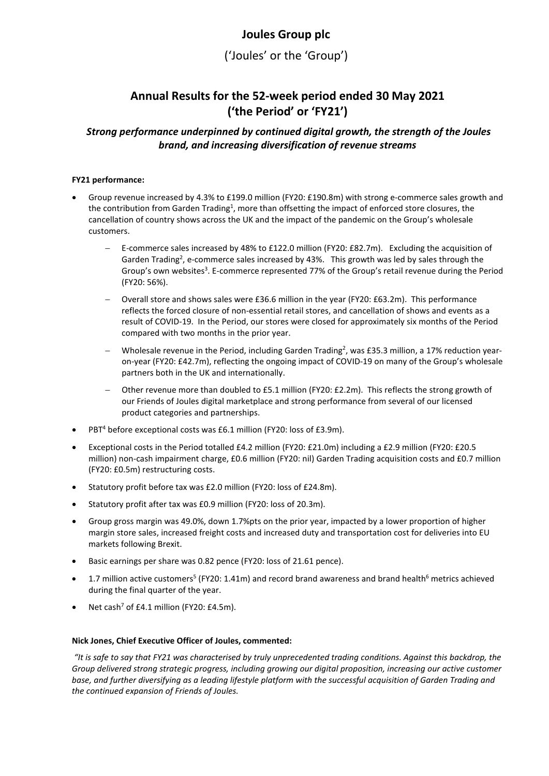# **Joules Group plc**

('Joules' or the 'Group')

# **Annual Results for the 52-week period ended 30 May 2021 ('the Period' or 'FY21')**

# *Strong performance underpinned by continued digital growth, the strength of the Joules brand, and increasing diversification of revenue streams*

# **FY21 performance:**

- Group revenue increased by 4.3% to £199.0 million (FY20: £190.8m) with strong e-commerce sales growth and the contribution from Garden Trading<sup>1</sup>, more than offsetting the impact of enforced store closures, the cancellation of country shows across the UK and the impact of the pandemic on the Group's wholesale customers.
	- − E-commerce sales increased by 48% to £122.0 million (FY20: £82.7m). Excluding the acquisition of Garden Trading<sup>2</sup>, e-commerce sales increased by 43%. This growth was led by sales through the Group's own websites<sup>3</sup>. E-commerce represented 77% of the Group's retail revenue during the Period (FY20: 56%).
	- − Overall store and shows sales were £36.6 million in the year (FY20: £63.2m). This performance reflects the forced closure of non-essential retail stores, and cancellation of shows and events as a result of COVID-19. In the Period, our stores were closed for approximately six months of the Period compared with two months in the prior year.
	- − Wholesale revenue in the Period, including Garden Trading2 , was £35.3 million, a 17% reduction yearon-year (FY20: £42.7m), reflecting the ongoing impact of COVID-19 on many of the Group's wholesale partners both in the UK and internationally.
	- Other revenue more than doubled to £5.1 million (FY20: £2.2m). This reflects the strong growth of our Friends of Joules digital marketplace and strong performance from several of our licensed product categories and partnerships.
- PBT<sup>4</sup> before exceptional costs was £6.1 million (FY20: loss of £3.9m).
- Exceptional costs in the Period totalled £4.2 million (FY20: £21.0m) including a £2.9 million (FY20: £20.5 million) non-cash impairment charge, £0.6 million (FY20: nil) Garden Trading acquisition costs and £0.7 million (FY20: £0.5m) restructuring costs.
- Statutory profit before tax was £2.0 million (FY20: loss of £24.8m).
- Statutory profit after tax was £0.9 million (FY20: loss of 20.3m).
- Group gross margin was 49.0%, down 1.7%pts on the prior year, impacted by a lower proportion of higher margin store sales, increased freight costs and increased duty and transportation cost for deliveries into EU markets following Brexit.
- Basic earnings per share was 0.82 pence (FY20: loss of 21.61 pence).
- 1.7 million active customers<sup>5</sup> (FY20: 1.41m) and record brand awareness and brand health<sup>6</sup> metrics achieved during the final quarter of the year.
- Net cash<sup>7</sup> of £4.1 million (FY20: £4.5m).

# **Nick Jones, Chief Executive Officer of Joules, commented:**

*"It is safe to say that FY21 was characterised by truly unprecedented trading conditions. Against this backdrop, the Group delivered strong strategic progress, including growing our digital proposition, increasing our active customer base, and further diversifying as a leading lifestyle platform with the successful acquisition of Garden Trading and the continued expansion of Friends of Joules.*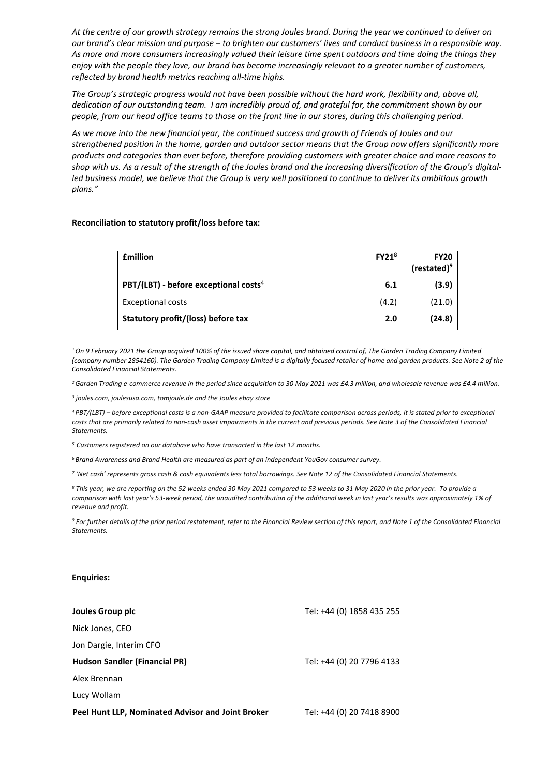*At the centre of our growth strategy remains the strong Joules brand. During the year we continued to deliver on our brand's clear mission and purpose – to brighten our customers' lives and conduct business in a responsible way. As more and more consumers increasingly valued their leisure time spent outdoors and time doing the things they enjoy with the people they love, our brand has become increasingly relevant to a greater number of customers, reflected by brand health metrics reaching all-time highs.* 

*The Group's strategic progress would not have been possible without the hard work, flexibility and, above all, dedication of our outstanding team. I am incredibly proud of, and grateful for, the commitment shown by our people, from our head office teams to those on the front line in our stores, during this challenging period.* 

*As we move into the new financial year, the continued success and growth of Friends of Joules and our strengthened position in the home, garden and outdoor sector means that the Group now offers significantly more products and categories than ever before, therefore providing customers with greater choice and more reasons to shop with us. As a result of the strength of the Joules brand and the increasing diversification of the Group's digitalled business model, we believe that the Group is very well positioned to continue to deliver its ambitious growth plans."*

#### **Reconciliation to statutory profit/loss before tax:**

| <b>£million</b>                                     | FY21 <sup>8</sup> | <b>FY20</b><br>(restated) <sup>9</sup> |
|-----------------------------------------------------|-------------------|----------------------------------------|
| $PBT/(LBT)$ - before exceptional costs <sup>4</sup> | 6.1               | (3.9)                                  |
| Exceptional costs                                   | (4.2)             | (21.0)                                 |
| Statutory profit/(loss) before tax                  | 2.0               | (24.8)                                 |

*1On 9 February 2021 the Group acquired 100% of the issued share capital, and obtained control of, The Garden Trading Company Limited (company number 2854160). The Garden Trading Company Limited is a digitally focused retailer of home and garden products. See Note 2 of the Consolidated Financial Statements.*

*2 Garden Trading e-commerce revenue in the period since acquisition to 30 May 2021 was £4.3 million, and wholesale revenue was £4.4 million.*

*<sup>3</sup> joules.com, joulesusa.com, tomjoule.de and the Joules ebay store*

*<sup>4</sup> PBT/(LBT) – before exceptional costs is a non-GAAP measure provided to facilitate comparison across periods, it is stated prior to exceptional costs that are primarily related to non-cash asset impairments in the current and previous periods. See Note 3 of the Consolidated Financial Statements.*

*5 Customers registered on our database who have transacted in the last 12 months.*

*<sup>6</sup> Brand Awareness and Brand Health are measured as part of an independent YouGov consumer survey.*

*<sup>7</sup> 'Net cash' represents gross cash & cash equivalents less total borrowings. See Note 12 of the Consolidated Financial Statements.*

*<sup>8</sup> This year, we are reporting on the 52 weeks ended 30 May 2021 compared to 53 weeks to 31 May 2020 in the prior year. To provide a comparison with last year's 53-week period, the unaudited contribution of the additional week in last year's results was approximately 1% of revenue and profit.*

*<sup>9</sup> For further details of the prior period restatement, refer to the Financial Review section of this report, and Note 1 of the Consolidated Financial Statements.*

#### **Enquiries:**

| Joules Group plc                                  | Tel: +44 (0) 1858 435 255 |
|---------------------------------------------------|---------------------------|
| Nick Jones, CEO                                   |                           |
| Jon Dargie, Interim CFO                           |                           |
| <b>Hudson Sandler (Financial PR)</b>              | Tel: +44 (0) 20 7796 4133 |
| Alex Brennan                                      |                           |
| Lucy Wollam                                       |                           |
| Peel Hunt LLP, Nominated Advisor and Joint Broker | Tel: +44 (0) 20 7418 8900 |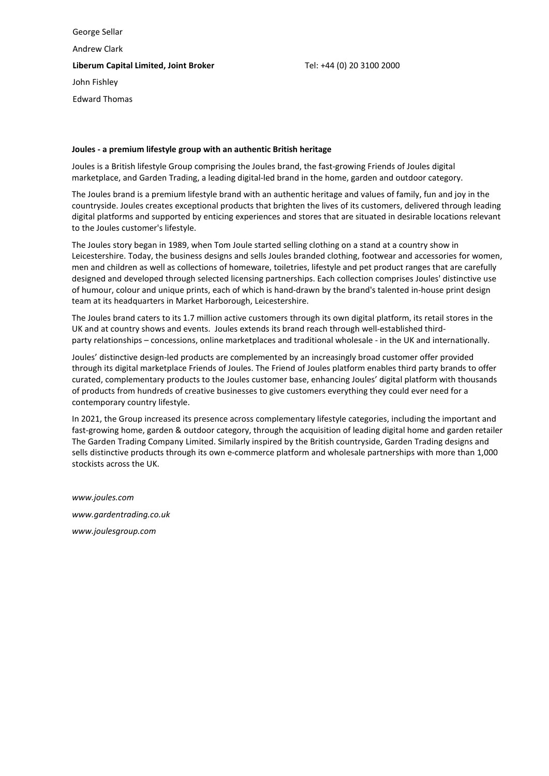George Sellar Andrew Clark **Liberum Capital Limited, Joint Broker** Tel: +44 (0) 20 3100 2000 John Fishley Edward Thomas

#### **Joules - a premium lifestyle group with an authentic British heritage**

Joules is a British lifestyle Group comprising the Joules brand, the fast-growing Friends of Joules digital marketplace, and Garden Trading, a leading digital-led brand in the home, garden and outdoor category.

The Joules brand is a premium lifestyle brand with an authentic heritage and values of family, fun and joy in the countryside. Joules creates exceptional products that brighten the lives of its customers, delivered through leading digital platforms and supported by enticing experiences and stores that are situated in desirable locations relevant to the Joules customer's lifestyle. 

The Joules story began in 1989, when Tom Joule started selling clothing on a stand at a country show in Leicestershire. Today, the business designs and sells Joules branded clothing, footwear and accessories for women, men and children as well as collections of homeware, toiletries, lifestyle and pet product ranges that are carefully designed and developed through selected licensing partnerships. Each collection comprises Joules' distinctive use of humour, colour and unique prints, each of which is hand-drawn by the brand's talented in-house print design team at its headquarters in Market Harborough, Leicestershire.

The Joules brand caters to its 1.7 million active customers through its own digital platform, its retail stores in the UK and at country shows and events. Joules extends its brand reach through well-established thirdparty relationships – concessions, online marketplaces and traditional wholesale - in the UK and internationally.

Joules' distinctive design-led products are complemented by an increasingly broad customer offer provided through its digital marketplace Friends of Joules. The Friend of Joules platform enables third party brands to offer curated, complementary products to the Joules customer base, enhancing Joules' digital platform with thousands of products from hundreds of creative businesses to give customers everything they could ever need for a contemporary country lifestyle.

In 2021, the Group increased its presence across complementary lifestyle categories, including the important and fast-growing home, garden & outdoor category, through the acquisition of leading digital home and garden retailer The Garden Trading Company Limited. Similarly inspired by the British countryside, Garden Trading designs and sells distinctive products through its own e-commerce platform and wholesale partnerships with more than 1,000 stockists across the UK.

*[www.joules.com](https://eur01.safelinks.protection.outlook.com/?url=http%3A%2F%2Fwww.joules.com&data=02%7C01%7Cmstreeton%40hudsonsandler.com%7Ce016d8f64ba847a38f2508d823facd54%7Ca33bdb157e25438ab1fd5c523a8866f9%7C1%7C0%7C637298907377195582&sdata=qCWiagx2jOt9WsoWXG43iqb0v62Ypm2lOFjBqD1Syug%3D&reserved=0) www.gardentrading.co.uk [www.joulesgroup.com](http://www.joulesgroup.com/)*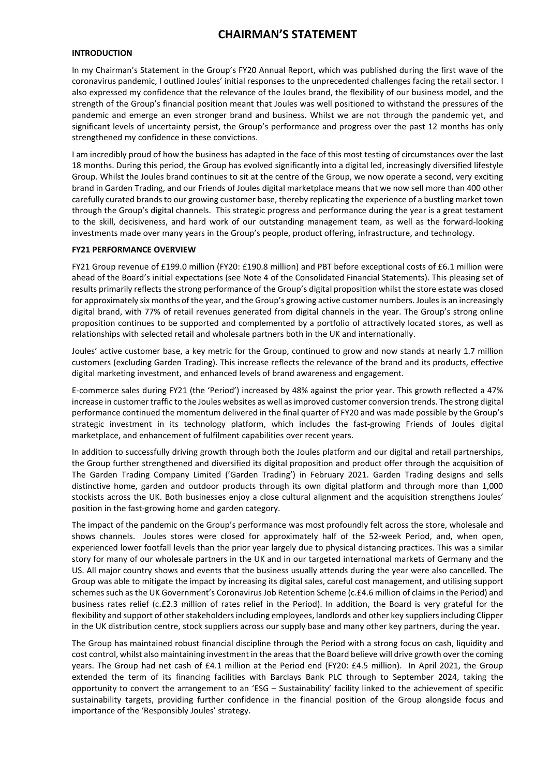# **CHAIRMAN'S STATEMENT**

# **INTRODUCTION**

In my Chairman's Statement in the Group's FY20 Annual Report, which was published during the first wave of the coronavirus pandemic, I outlined Joules' initial responses to the unprecedented challenges facing the retail sector. I also expressed my confidence that the relevance of the Joules brand, the flexibility of our business model, and the strength of the Group's financial position meant that Joules was well positioned to withstand the pressures of the pandemic and emerge an even stronger brand and business. Whilst we are not through the pandemic yet, and significant levels of uncertainty persist, the Group's performance and progress over the past 12 months has only strengthened my confidence in these convictions.

I am incredibly proud of how the business has adapted in the face of this most testing of circumstances over the last 18 months. During this period, the Group has evolved significantly into a digital led, increasingly diversified lifestyle Group. Whilst the Joules brand continues to sit at the centre of the Group, we now operate a second, very exciting brand in Garden Trading, and our Friends of Joules digital marketplace means that we now sell more than 400 other carefully curated brands to our growing customer base, thereby replicating the experience of a bustling market town through the Group's digital channels. This strategic progress and performance during the year is a great testament to the skill, decisiveness, and hard work of our outstanding management team, as well as the forward-looking investments made over many years in the Group's people, product offering, infrastructure, and technology.

#### **FY21 PERFORMANCE OVERVIEW**

FY21 Group revenue of £199.0 million (FY20: £190.8 million) and PBT before exceptional costs of £6.1 million were ahead of the Board's initial expectations (see Note 4 of the Consolidated Financial Statements). This pleasing set of results primarily reflects the strong performance of the Group's digital proposition whilst the store estate was closed for approximately six months of the year, and the Group's growing active customer numbers. Joules is an increasingly digital brand, with 77% of retail revenues generated from digital channels in the year. The Group's strong online proposition continues to be supported and complemented by a portfolio of attractively located stores, as well as relationships with selected retail and wholesale partners both in the UK and internationally.

Joules' active customer base, a key metric for the Group, continued to grow and now stands at nearly 1.7 million customers (excluding Garden Trading). This increase reflects the relevance of the brand and its products, effective digital marketing investment, and enhanced levels of brand awareness and engagement.

E-commerce sales during FY21 (the 'Period') increased by 48% against the prior year. This growth reflected a 47% increase in customer traffic to the Joules websites as well as improved customer conversion trends. The strong digital performance continued the momentum delivered in the final quarter of FY20 and was made possible by the Group's strategic investment in its technology platform, which includes the fast-growing Friends of Joules digital marketplace, and enhancement of fulfilment capabilities over recent years.

In addition to successfully driving growth through both the Joules platform and our digital and retail partnerships, the Group further strengthened and diversified its digital proposition and product offer through the acquisition of The Garden Trading Company Limited ('Garden Trading') in February 2021. Garden Trading designs and sells distinctive home, garden and outdoor products through its own digital platform and through more than 1,000 stockists across the UK. Both businesses enjoy a close cultural alignment and the acquisition strengthens Joules' position in the fast-growing home and garden category.

The impact of the pandemic on the Group's performance was most profoundly felt across the store, wholesale and shows channels. Joules stores were closed for approximately half of the 52-week Period, and, when open, experienced lower footfall levels than the prior year largely due to physical distancing practices. This was a similar story for many of our wholesale partners in the UK and in our targeted international markets of Germany and the US. All major country shows and events that the business usually attends during the year were also cancelled. The Group was able to mitigate the impact by increasing its digital sales, careful cost management, and utilising support schemes such as the UK Government's Coronavirus Job Retention Scheme (c.£4.6 million of claims in the Period) and business rates relief (c.£2.3 million of rates relief in the Period). In addition, the Board is very grateful for the flexibility and support of other stakeholders including employees, landlords and other key suppliers including Clipper in the UK distribution centre, stock suppliers across our supply base and many other key partners, during the year.

The Group has maintained robust financial discipline through the Period with a strong focus on cash, liquidity and cost control, whilst also maintaining investment in the areas that the Board believe will drive growth over the coming years. The Group had net cash of £4.1 million at the Period end (FY20: £4.5 million). In April 2021, the Group extended the term of its financing facilities with Barclays Bank PLC through to September 2024, taking the opportunity to convert the arrangement to an 'ESG – Sustainability' facility linked to the achievement of specific sustainability targets, providing further confidence in the financial position of the Group alongside focus and importance of the 'Responsibly Joules' strategy.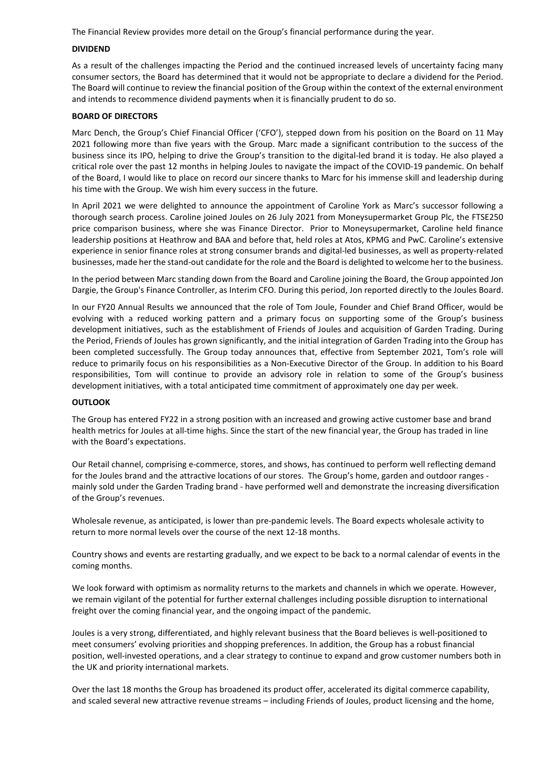The Financial Review provides more detail on the Group's financial performance during the year.

#### **DIVIDEND**

As a result of the challenges impacting the Period and the continued increased levels of uncertainty facing many consumer sectors, the Board has determined that it would not be appropriate to declare a dividend for the Period. The Board will continue to review the financial position of the Group within the context of the external environment and intends to recommence dividend payments when it is financially prudent to do so.

### **BOARD OF DIRECTORS**

Marc Dench, the Group's Chief Financial Officer ('CFO'), stepped down from his position on the Board on 11 May 2021 following more than five years with the Group. Marc made a significant contribution to the success of the business since its IPO, helping to drive the Group's transition to the digital-led brand it is today. He also played a critical role over the past 12 months in helping Joules to navigate the impact of the COVID-19 pandemic. On behalf of the Board, I would like to place on record our sincere thanks to Marc for his immense skill and leadership during his time with the Group. We wish him every success in the future.

In April 2021 we were delighted to announce the appointment of Caroline York as Marc's successor following a thorough search process. Caroline joined Joules on 26 July 2021 from Moneysupermarket Group Plc, the FTSE250 price comparison business, where she was Finance Director. Prior to Moneysupermarket, Caroline held finance leadership positions at Heathrow and BAA and before that, held roles at Atos, KPMG and PwC. Caroline's extensive experience in senior finance roles at strong consumer brands and digital-led businesses, as well as property-related businesses, made her the stand-out candidate for the role and the Board is delighted to welcome her to the business.

In the period between Marc standing down from the Board and Caroline joining the Board, the Group appointed Jon Dargie, the Group's Finance Controller, as Interim CFO. During this period, Jon reported directly to the Joules Board.

In our FY20 Annual Results we announced that the role of Tom Joule, Founder and Chief Brand Officer, would be evolving with a reduced working pattern and a primary focus on supporting some of the Group's business development initiatives, such as the establishment of Friends of Joules and acquisition of Garden Trading. During the Period, Friends of Joules has grown significantly, and the initial integration of Garden Trading into the Group has been completed successfully. The Group today announces that, effective from September 2021, Tom's role will reduce to primarily focus on his responsibilities as a Non-Executive Director of the Group. In addition to his Board responsibilities, Tom will continue to provide an advisory role in relation to some of the Group's business development initiatives, with a total anticipated time commitment of approximately one day per week.

# **OUTLOOK**

The Group has entered FY22 in a strong position with an increased and growing active customer base and brand health metrics for Joules at all-time highs. Since the start of the new financial year, the Group has traded in line with the Board's expectations.

Our Retail channel, comprising e-commerce, stores, and shows, has continued to perform well reflecting demand for the Joules brand and the attractive locations of our stores. The Group's home, garden and outdoor ranges mainly sold under the Garden Trading brand - have performed well and demonstrate the increasing diversification of the Group's revenues.

Wholesale revenue, as anticipated, is lower than pre-pandemic levels. The Board expects wholesale activity to return to more normal levels over the course of the next 12-18 months.

Country shows and events are restarting gradually, and we expect to be back to a normal calendar of events in the coming months.

We look forward with optimism as normality returns to the markets and channels in which we operate. However, we remain vigilant of the potential for further external challenges including possible disruption to international freight over the coming financial year, and the ongoing impact of the pandemic.

Joules is a very strong, differentiated, and highly relevant business that the Board believes is well-positioned to meet consumers' evolving priorities and shopping preferences. In addition, the Group has a robust financial position, well-invested operations, and a clear strategy to continue to expand and grow customer numbers both in the UK and priority international markets.

Over the last 18 months the Group has broadened its product offer, accelerated its digital commerce capability, and scaled several new attractive revenue streams – including Friends of Joules, product licensing and the home,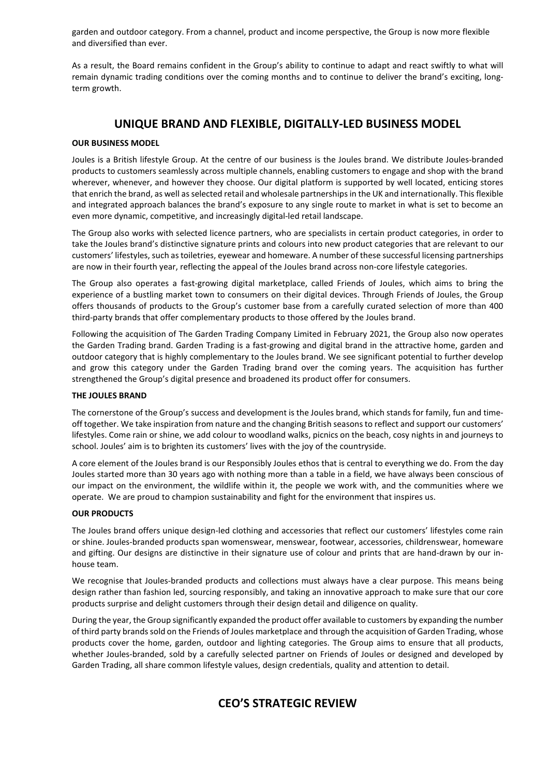garden and outdoor category. From a channel, product and income perspective, the Group is now more flexible and diversified than ever.

As a result, the Board remains confident in the Group's ability to continue to adapt and react swiftly to what will remain dynamic trading conditions over the coming months and to continue to deliver the brand's exciting, longterm growth.

# **UNIQUE BRAND AND FLEXIBLE, DIGITALLY-LED BUSINESS MODEL**

# **OUR BUSINESS MODEL**

Joules is a British lifestyle Group. At the centre of our business is the Joules brand. We distribute Joules-branded products to customers seamlessly across multiple channels, enabling customers to engage and shop with the brand wherever, whenever, and however they choose. Our digital platform is supported by well located, enticing stores that enrich the brand, as well as selected retail and wholesale partnerships in the UK and internationally. This flexible and integrated approach balances the brand's exposure to any single route to market in what is set to become an even more dynamic, competitive, and increasingly digital-led retail landscape.

The Group also works with selected licence partners, who are specialists in certain product categories, in order to take the Joules brand's distinctive signature prints and colours into new product categories that are relevant to our customers' lifestyles, such as toiletries, eyewear and homeware. A number of these successful licensing partnerships are now in their fourth year, reflecting the appeal of the Joules brand across non-core lifestyle categories.

The Group also operates a fast-growing digital marketplace, called Friends of Joules, which aims to bring the experience of a bustling market town to consumers on their digital devices. Through Friends of Joules, the Group offers thousands of products to the Group's customer base from a carefully curated selection of more than 400 third-party brands that offer complementary products to those offered by the Joules brand.

Following the acquisition of The Garden Trading Company Limited in February 2021, the Group also now operates the Garden Trading brand. Garden Trading is a fast-growing and digital brand in the attractive home, garden and outdoor category that is highly complementary to the Joules brand. We see significant potential to further develop and grow this category under the Garden Trading brand over the coming years. The acquisition has further strengthened the Group's digital presence and broadened its product offer for consumers.

# **THE JOULES BRAND**

The cornerstone of the Group's success and development is the Joules brand, which stands for family, fun and timeoff together. We take inspiration from nature and the changing British seasons to reflect and support our customers' lifestyles. Come rain or shine, we add colour to woodland walks, picnics on the beach, cosy nights in and journeys to school. Joules' aim is to brighten its customers' lives with the joy of the countryside.

A core element of the Joules brand is our Responsibly Joules ethos that is central to everything we do. From the day Joules started more than 30 years ago with nothing more than a table in a field, we have always been conscious of our impact on the environment, the wildlife within it, the people we work with, and the communities where we operate. We are proud to champion sustainability and fight for the environment that inspires us.

# **OUR PRODUCTS**

The Joules brand offers unique design-led clothing and accessories that reflect our customers' lifestyles come rain or shine. Joules-branded products span womenswear, menswear, footwear, accessories, childrenswear, homeware and gifting. Our designs are distinctive in their signature use of colour and prints that are hand-drawn by our inhouse team.

We recognise that Joules-branded products and collections must always have a clear purpose. This means being design rather than fashion led, sourcing responsibly, and taking an innovative approach to make sure that our core products surprise and delight customers through their design detail and diligence on quality.

During the year, the Group significantly expanded the product offer available to customers by expanding the number of third party brands sold on the Friends of Joules marketplace and through the acquisition of Garden Trading, whose products cover the home, garden, outdoor and lighting categories. The Group aims to ensure that all products, whether Joules-branded, sold by a carefully selected partner on Friends of Joules or designed and developed by Garden Trading, all share common lifestyle values, design credentials, quality and attention to detail.

# **CEO'S STRATEGIC REVIEW**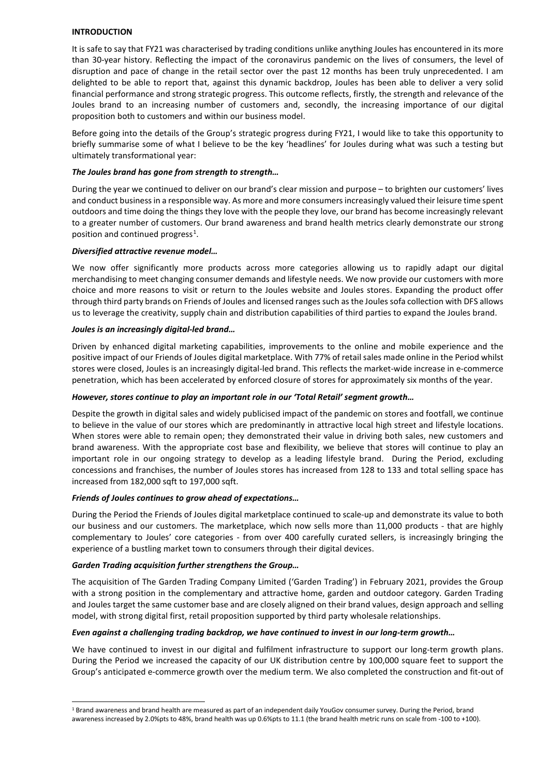### **INTRODUCTION**

It is safe to say that FY21 was characterised by trading conditions unlike anything Joules has encountered in its more than 30-year history. Reflecting the impact of the coronavirus pandemic on the lives of consumers, the level of disruption and pace of change in the retail sector over the past 12 months has been truly unprecedented. I am delighted to be able to report that, against this dynamic backdrop, Joules has been able to deliver a very solid financial performance and strong strategic progress. This outcome reflects, firstly, the strength and relevance of the Joules brand to an increasing number of customers and, secondly, the increasing importance of our digital proposition both to customers and within our business model.

Before going into the details of the Group's strategic progress during FY21, I would like to take this opportunity to briefly summarise some of what I believe to be the key 'headlines' for Joules during what was such a testing but ultimately transformational year:

# *The Joules brand has gone from strength to strength…*

During the year we continued to deliver on our brand's clear mission and purpose – to brighten our customers' lives and conduct business in a responsible way. As more and more consumers increasingly valued their leisure time spent outdoors and time doing the things they love with the people they love, our brand has become increasingly relevant to a greater number of customers. Our brand awareness and brand health metrics clearly demonstrate our strong position and continued progress<sup>[1](#page-6-0)</sup>.

# *Diversified attractive revenue model…*

We now offer significantly more products across more categories allowing us to rapidly adapt our digital merchandising to meet changing consumer demands and lifestyle needs. We now provide our customers with more choice and more reasons to visit or return to the Joules website and Joules stores. Expanding the product offer through third party brands on Friends of Joules and licensed ranges such as the Joules sofa collection with DFS allows us to leverage the creativity, supply chain and distribution capabilities of third parties to expand the Joules brand.

### *Joules is an increasingly digital-led brand…*

Driven by enhanced digital marketing capabilities, improvements to the online and mobile experience and the positive impact of our Friends of Joules digital marketplace. With 77% of retail sales made online in the Period whilst stores were closed, Joules is an increasingly digital-led brand. This reflects the market-wide increase in e-commerce penetration, which has been accelerated by enforced closure of stores for approximately six months of the year.

# *However, stores continue to play an important role in our 'Total Retail' segment growth…*

Despite the growth in digital sales and widely publicised impact of the pandemic on stores and footfall, we continue to believe in the value of our stores which are predominantly in attractive local high street and lifestyle locations. When stores were able to remain open; they demonstrated their value in driving both sales, new customers and brand awareness. With the appropriate cost base and flexibility, we believe that stores will continue to play an important role in our ongoing strategy to develop as a leading lifestyle brand.During the Period, excluding concessions and franchises, the number of Joules stores has increased from 128 to 133 and total selling space has increased from 182,000 sqft to 197,000 sqft.

# *Friends of Joules continues to grow ahead of expectations…*

During the Period the Friends of Joules digital marketplace continued to scale-up and demonstrate its value to both our business and our customers. The marketplace, which now sells more than 11,000 products - that are highly complementary to Joules' core categories - from over 400 carefully curated sellers, is increasingly bringing the experience of a bustling market town to consumers through their digital devices.

# *Garden Trading acquisition further strengthens the Group…*

The acquisition of The Garden Trading Company Limited ('Garden Trading') in February 2021, provides the Group with a strong position in the complementary and attractive home, garden and outdoor category. Garden Trading and Joules target the same customer base and are closely aligned on their brand values, design approach and selling model, with strong digital first, retail proposition supported by third party wholesale relationships.

#### *Even against a challenging trading backdrop, we have continued to invest in our long-term growth…*

We have continued to invest in our digital and fulfilment infrastructure to support our long-term growth plans. During the Period we increased the capacity of our UK distribution centre by 100,000 square feet to support the Group's anticipated e-commerce growth over the medium term. We also completed the construction and fit-out of

<span id="page-6-0"></span><sup>1</sup> Brand awareness and brand health are measured as part of an independent daily YouGov consumer survey. During the Period, brand awareness increased by 2.0%pts to 48%, brand health was up 0.6%pts to 11.1 (the brand health metric runs on scale from -100 to +100).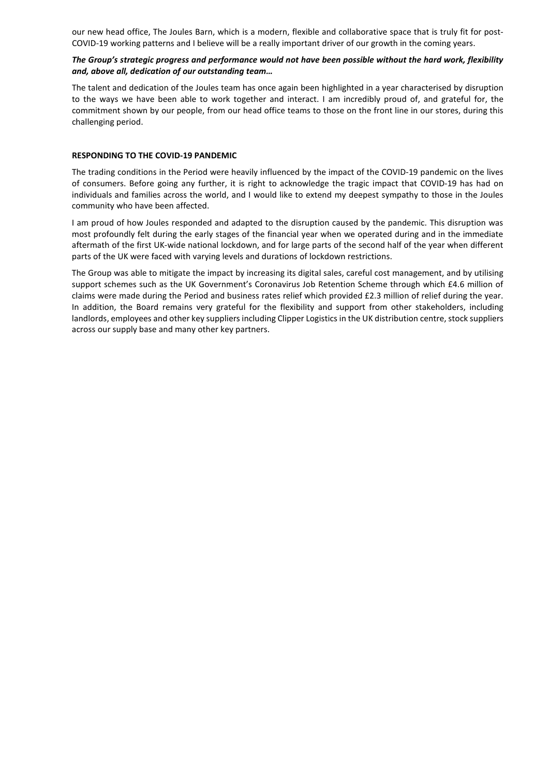our new head office, The Joules Barn, which is a modern, flexible and collaborative space that is truly fit for post-COVID-19 working patterns and I believe will be a really important driver of our growth in the coming years.

### *The Group's strategic progress and performance would not have been possible without the hard work, flexibility and, above all, dedication of our outstanding team…*

The talent and dedication of the Joules team has once again been highlighted in a year characterised by disruption to the ways we have been able to work together and interact. I am incredibly proud of, and grateful for, the commitment shown by our people, from our head office teams to those on the front line in our stores, during this challenging period.

### **RESPONDING TO THE COVID-19 PANDEMIC**

The trading conditions in the Period were heavily influenced by the impact of the COVID-19 pandemic on the lives of consumers. Before going any further, it is right to acknowledge the tragic impact that COVID-19 has had on individuals and families across the world, and I would like to extend my deepest sympathy to those in the Joules community who have been affected.

I am proud of how Joules responded and adapted to the disruption caused by the pandemic. This disruption was most profoundly felt during the early stages of the financial year when we operated during and in the immediate aftermath of the first UK-wide national lockdown, and for large parts of the second half of the year when different parts of the UK were faced with varying levels and durations of lockdown restrictions.

The Group was able to mitigate the impact by increasing its digital sales, careful cost management, and by utilising support schemes such as the UK Government's Coronavirus Job Retention Scheme through which £4.6 million of claims were made during the Period and business rates relief which provided £2.3 million of relief during the year. In addition, the Board remains very grateful for the flexibility and support from other stakeholders, including landlords, employees and other key suppliers including Clipper Logistics in the UK distribution centre, stock suppliers across our supply base and many other key partners.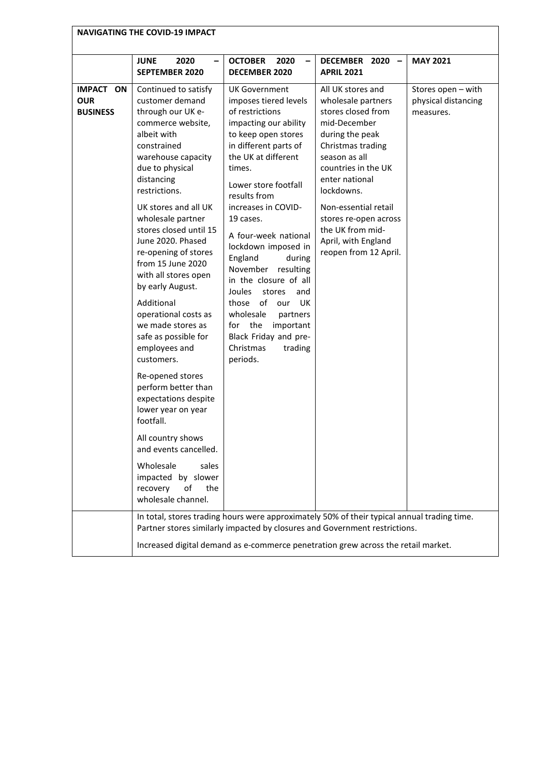|                                                   | <b>NAVIGATING THE COVID-19 IMPACT</b>                                                                                                                                                                                                                                                                                                                                                                                                                                                                                                                                                                                                                                                                                                         |                                                                                                                                                                                                                                                                                                                                                                                                                                                                                                                                               |                                                                                                                                                                                                                                                                                                                    |                                                        |  |
|---------------------------------------------------|-----------------------------------------------------------------------------------------------------------------------------------------------------------------------------------------------------------------------------------------------------------------------------------------------------------------------------------------------------------------------------------------------------------------------------------------------------------------------------------------------------------------------------------------------------------------------------------------------------------------------------------------------------------------------------------------------------------------------------------------------|-----------------------------------------------------------------------------------------------------------------------------------------------------------------------------------------------------------------------------------------------------------------------------------------------------------------------------------------------------------------------------------------------------------------------------------------------------------------------------------------------------------------------------------------------|--------------------------------------------------------------------------------------------------------------------------------------------------------------------------------------------------------------------------------------------------------------------------------------------------------------------|--------------------------------------------------------|--|
|                                                   | <b>JUNE</b><br>2020<br>-<br><b>SEPTEMBER 2020</b>                                                                                                                                                                                                                                                                                                                                                                                                                                                                                                                                                                                                                                                                                             | <b>OCTOBER</b><br>2020<br>$\overline{a}$<br><b>DECEMBER 2020</b>                                                                                                                                                                                                                                                                                                                                                                                                                                                                              | DECEMBER 2020 -<br><b>APRIL 2021</b>                                                                                                                                                                                                                                                                               | <b>MAY 2021</b>                                        |  |
| <b>IMPACT ON</b><br><b>OUR</b><br><b>BUSINESS</b> | Continued to satisfy<br>customer demand<br>through our UK e-<br>commerce website,<br>albeit with<br>constrained<br>warehouse capacity<br>due to physical<br>distancing<br>restrictions.<br>UK stores and all UK<br>wholesale partner<br>stores closed until 15<br>June 2020. Phased<br>re-opening of stores<br>from 15 June 2020<br>with all stores open<br>by early August.<br>Additional<br>operational costs as<br>we made stores as<br>safe as possible for<br>employees and<br>customers.<br>Re-opened stores<br>perform better than<br>expectations despite<br>lower year on year<br>footfall.<br>All country shows<br>and events cancelled.<br>Wholesale<br>sales<br>impacted by slower<br>recovery<br>of<br>the<br>wholesale channel. | UK Government<br>imposes tiered levels<br>of restrictions<br>impacting our ability<br>to keep open stores<br>in different parts of<br>the UK at different<br>times.<br>Lower store footfall<br>results from<br>increases in COVID-<br>19 cases.<br>A four-week national<br>lockdown imposed in<br>England<br>during<br>November<br>resulting<br>in the closure of all<br>Joules<br>stores<br>and<br>those<br>of<br>UK<br>our<br>wholesale<br>partners<br>the<br>important<br>for<br>Black Friday and pre-<br>Christmas<br>trading<br>periods. | All UK stores and<br>wholesale partners<br>stores closed from<br>mid-December<br>during the peak<br>Christmas trading<br>season as all<br>countries in the UK<br>enter national<br>lockdowns.<br>Non-essential retail<br>stores re-open across<br>the UK from mid-<br>April, with England<br>reopen from 12 April. | Stores open - with<br>physical distancing<br>measures. |  |
|                                                   | In total, stores trading hours were approximately 50% of their typical annual trading time.<br>Partner stores similarly impacted by closures and Government restrictions.<br>Increased digital demand as e-commerce penetration grew across the retail market.                                                                                                                                                                                                                                                                                                                                                                                                                                                                                |                                                                                                                                                                                                                                                                                                                                                                                                                                                                                                                                               |                                                                                                                                                                                                                                                                                                                    |                                                        |  |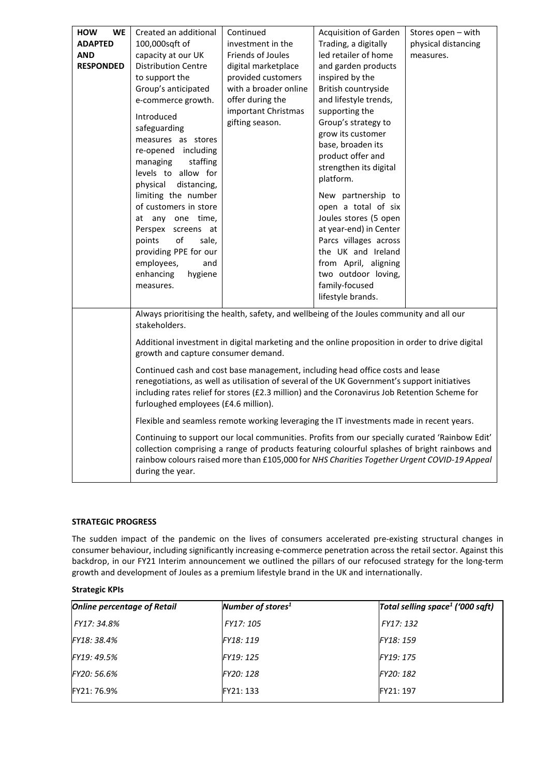| <b>HOW</b><br><b>WE</b> | Created an additional                                                                    | Continued             | <b>Acquisition of Garden</b>                                                                    | Stores open - with  |
|-------------------------|------------------------------------------------------------------------------------------|-----------------------|-------------------------------------------------------------------------------------------------|---------------------|
| <b>ADAPTED</b>          | 100,000sqft of                                                                           | investment in the     | Trading, a digitally                                                                            | physical distancing |
| <b>AND</b>              | capacity at our UK                                                                       | Friends of Joules     | led retailer of home                                                                            | measures.           |
| <b>RESPONDED</b>        | <b>Distribution Centre</b>                                                               | digital marketplace   | and garden products                                                                             |                     |
|                         | to support the                                                                           | provided customers    | inspired by the                                                                                 |                     |
|                         | Group's anticipated                                                                      | with a broader online | British countryside                                                                             |                     |
|                         | e-commerce growth.                                                                       | offer during the      | and lifestyle trends,                                                                           |                     |
|                         |                                                                                          | important Christmas   | supporting the                                                                                  |                     |
|                         | Introduced                                                                               | gifting season.       | Group's strategy to                                                                             |                     |
|                         | safeguarding                                                                             |                       | grow its customer                                                                               |                     |
|                         | measures as stores                                                                       |                       | base, broaden its                                                                               |                     |
|                         | re-opened including                                                                      |                       | product offer and                                                                               |                     |
|                         | managing<br>staffing<br>levels to allow for                                              |                       | strengthen its digital                                                                          |                     |
|                         | physical distancing,                                                                     |                       | platform.                                                                                       |                     |
|                         | limiting the number                                                                      |                       | New partnership to                                                                              |                     |
|                         | of customers in store                                                                    |                       | open a total of six                                                                             |                     |
|                         | at any one time,                                                                         |                       | Joules stores (5 open                                                                           |                     |
|                         | Perspex screens at                                                                       |                       | at year-end) in Center                                                                          |                     |
|                         | of<br>points<br>sale,                                                                    |                       |                                                                                                 |                     |
|                         | providing PPE for our                                                                    |                       | Parcs villages across<br>the UK and Ireland                                                     |                     |
|                         |                                                                                          |                       | from April, aligning                                                                            |                     |
|                         | employees,<br>and<br>enhancing<br>hygiene                                                |                       | two outdoor loving,                                                                             |                     |
|                         |                                                                                          |                       | family-focused                                                                                  |                     |
|                         | measures.                                                                                |                       | lifestyle brands.                                                                               |                     |
|                         |                                                                                          |                       |                                                                                                 |                     |
|                         |                                                                                          |                       | Always prioritising the health, safety, and wellbeing of the Joules community and all our       |                     |
|                         | stakeholders.                                                                            |                       |                                                                                                 |                     |
|                         |                                                                                          |                       | Additional investment in digital marketing and the online proposition in order to drive digital |                     |
|                         | growth and capture consumer demand.                                                      |                       |                                                                                                 |                     |
|                         |                                                                                          |                       | Continued cash and cost base management, including head office costs and lease                  |                     |
|                         |                                                                                          |                       | renegotiations, as well as utilisation of several of the UK Government's support initiatives    |                     |
|                         |                                                                                          |                       | including rates relief for stores (£2.3 million) and the Coronavirus Job Retention Scheme for   |                     |
|                         | furloughed employees (£4.6 million).                                                     |                       |                                                                                                 |                     |
|                         | Flexible and seamless remote working leveraging the IT investments made in recent years. |                       |                                                                                                 |                     |
|                         |                                                                                          |                       | Continuing to support our local communities. Profits from our specially curated 'Rainbow Edit'  |                     |
|                         |                                                                                          |                       | collection comprising a range of products featuring colourful splashes of bright rainbows and   |                     |
|                         |                                                                                          |                       | rainbow colours raised more than £105,000 for NHS Charities Together Urgent COVID-19 Appeal     |                     |
|                         | during the year.                                                                         |                       |                                                                                                 |                     |
|                         |                                                                                          |                       |                                                                                                 |                     |

# **STRATEGIC PROGRESS**

The sudden impact of the pandemic on the lives of consumers accelerated pre-existing structural changes in consumer behaviour, including significantly increasing e-commerce penetration across the retail sector. Against this backdrop, in our FY21 Interim announcement we outlined the pillars of our refocused strategy for the long-term growth and development of Joules as a premium lifestyle brand in the UK and internationally.

# **Strategic KPIs**

| <b>Online percentage of Retail</b> | Number of stores <sup>1</sup> | Total selling space <sup>1</sup> ('000 sqft) |
|------------------------------------|-------------------------------|----------------------------------------------|
| FY17: 34.8%                        | FY17: 105                     | FY17: 132                                    |
| FY18: 38.4%                        | FY18: 119                     | FY18: 159                                    |
| FY19: 49.5%                        | FY19: 125                     | FY19: 175                                    |
| FY20: 56.6%                        | FY20: 128                     | FY20: 182                                    |
| FY21: 76.9%                        | FY21: 133                     | FY21: 197                                    |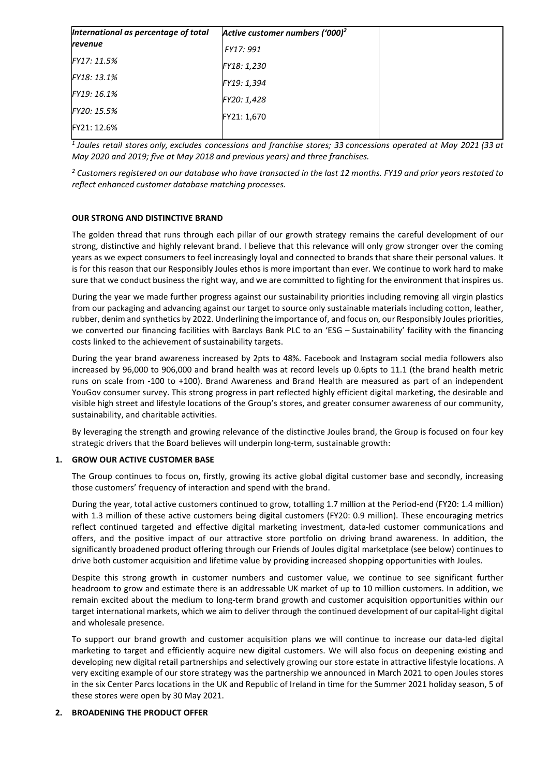| International as percentage of total | Active customer numbers ('000) <sup>2</sup> |  |
|--------------------------------------|---------------------------------------------|--|
| revenue                              | FY17: 991                                   |  |
| FY17: 11.5%                          | FY18: 1,230                                 |  |
| FY18: 13.1%                          | FY19: 1,394                                 |  |
| FY19: 16.1%                          | FY20: 1,428                                 |  |
| FY20: 15.5%                          | FY21: 1,670                                 |  |
| FY21: 12.6%                          |                                             |  |

*<sup>1</sup> Joules retail stores only, excludes concessions and franchise stores; 33 concessions operated at May 2021 (33 at May 2020 and 2019; five at May 2018 and previous years) and three franchises.*

*<sup>2</sup> Customers registered on our database who have transacted in the last 12 months. FY19 and prior years restated to reflect enhanced customer database matching processes.*

# **OUR STRONG AND DISTINCTIVE BRAND**

The golden thread that runs through each pillar of our growth strategy remains the careful development of our strong, distinctive and highly relevant brand. I believe that this relevance will only grow stronger over the coming years as we expect consumers to feel increasingly loyal and connected to brands that share their personal values. It is for this reason that our Responsibly Joules ethos is more important than ever. We continue to work hard to make sure that we conduct business the right way, and we are committed to fighting for the environment that inspires us.

During the year we made further progress against our sustainability priorities including removing all virgin plastics from our packaging and advancing against our target to source only sustainable materials including cotton, leather, rubber, denim and synthetics by 2022. Underlining the importance of, and focus on, our Responsibly Joules priorities, we converted our financing facilities with Barclays Bank PLC to an 'ESG – Sustainability' facility with the financing costs linked to the achievement of sustainability targets.

During the year brand awareness increased by 2pts to 48%. Facebook and Instagram social media followers also increased by 96,000 to 906,000 and brand health was at record levels up 0.6pts to 11.1 (the brand health metric runs on scale from -100 to +100). Brand Awareness and Brand Health are measured as part of an independent YouGov consumer survey. This strong progress in part reflected highly efficient digital marketing, the desirable and visible high street and lifestyle locations of the Group's stores, and greater consumer awareness of our community, sustainability, and charitable activities.

By leveraging the strength and growing relevance of the distinctive Joules brand, the Group is focused on four key strategic drivers that the Board believes will underpin long-term, sustainable growth:

# **1. GROW OUR ACTIVE CUSTOMER BASE**

The Group continues to focus on, firstly, growing its active global digital customer base and secondly, increasing those customers' frequency of interaction and spend with the brand.

During the year, total active customers continued to grow, totalling 1.7 million at the Period-end (FY20: 1.4 million) with 1.3 million of these active customers being digital customers (FY20: 0.9 million). These encouraging metrics reflect continued targeted and effective digital marketing investment, data-led customer communications and offers, and the positive impact of our attractive store portfolio on driving brand awareness. In addition, the significantly broadened product offering through our Friends of Joules digital marketplace (see below) continues to drive both customer acquisition and lifetime value by providing increased shopping opportunities with Joules.

Despite this strong growth in customer numbers and customer value, we continue to see significant further headroom to grow and estimate there is an addressable UK market of up to 10 million customers. In addition, we remain excited about the medium to long-term brand growth and customer acquisition opportunities within our target international markets, which we aim to deliver through the continued development of our capital-light digital and wholesale presence.

To support our brand growth and customer acquisition plans we will continue to increase our data-led digital marketing to target and efficiently acquire new digital customers. We will also focus on deepening existing and developing new digital retail partnerships and selectively growing our store estate in attractive lifestyle locations. A very exciting example of our store strategy was the partnership we announced in March 2021 to open Joules stores in the six Center Parcs locations in the UK and Republic of Ireland in time for the Summer 2021 holiday season, 5 of these stores were open by 30 May 2021.

# **2. BROADENING THE PRODUCT OFFER**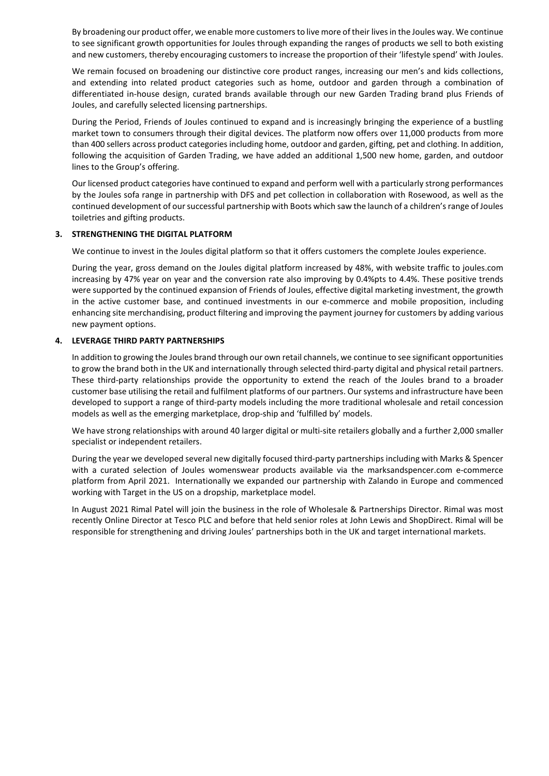By broadening our product offer, we enable more customers to live more of their lives in the Joules way. We continue to see significant growth opportunities for Joules through expanding the ranges of products we sell to both existing and new customers, thereby encouraging customers to increase the proportion of their 'lifestyle spend' with Joules.

We remain focused on broadening our distinctive core product ranges, increasing our men's and kids collections, and extending into related product categories such as home, outdoor and garden through a combination of differentiated in-house design, curated brands available through our new Garden Trading brand plus Friends of Joules, and carefully selected licensing partnerships.

During the Period, Friends of Joules continued to expand and is increasingly bringing the experience of a bustling market town to consumers through their digital devices. The platform now offers over 11,000 products from more than 400 sellers across product categories including home, outdoor and garden, gifting, pet and clothing. In addition, following the acquisition of Garden Trading, we have added an additional 1,500 new home, garden, and outdoor lines to the Group's offering.

Our licensed product categories have continued to expand and perform well with a particularly strong performances by the Joules sofa range in partnership with DFS and pet collection in collaboration with Rosewood, as well as the continued development of our successful partnership with Boots which saw the launch of a children's range of Joules toiletries and gifting products.

# **3. STRENGTHENING THE DIGITAL PLATFORM**

We continue to invest in the Joules digital platform so that it offers customers the complete Joules experience.

During the year, gross demand on the Joules digital platform increased by 48%, with website traffic to joules.com increasing by 47% year on year and the conversion rate also improving by 0.4%pts to 4.4%. These positive trends were supported by the continued expansion of Friends of Joules, effective digital marketing investment, the growth in the active customer base, and continued investments in our e-commerce and mobile proposition, including enhancing site merchandising, product filtering and improving the payment journey for customers by adding various new payment options.

# **4. LEVERAGE THIRD PARTY PARTNERSHIPS**

In addition to growing the Joules brand through our own retail channels, we continue to see significant opportunities to grow the brand both in the UK and internationally through selected third-party digital and physical retail partners. These third-party relationships provide the opportunity to extend the reach of the Joules brand to a broader customer base utilising the retail and fulfilment platforms of our partners. Our systems and infrastructure have been developed to support a range of third-party models including the more traditional wholesale and retail concession models as well as the emerging marketplace, drop-ship and 'fulfilled by' models.

We have strong relationships with around 40 larger digital or multi-site retailers globally and a further 2,000 smaller specialist or independent retailers.

During the year we developed several new digitally focused third-party partnerships including with Marks & Spencer with a curated selection of Joules womenswear products available via the marksandspencer.com e-commerce platform from April 2021. Internationally we expanded our partnership with Zalando in Europe and commenced working with Target in the US on a dropship, marketplace model.

In August 2021 Rimal Patel will join the business in the role of Wholesale & Partnerships Director. Rimal was most recently Online Director at Tesco PLC and before that held senior roles at John Lewis and ShopDirect. Rimal will be responsible for strengthening and driving Joules' partnerships both in the UK and target international markets.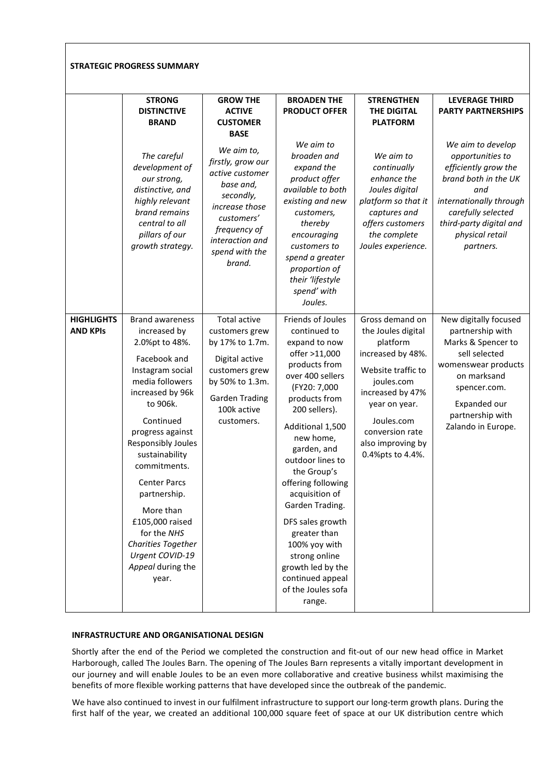|                                      | <b>STRATEGIC PROGRESS SUMMARY</b>                                                                                                                                                                                                                                                                                                                                                                            |                                                                                                                                                                                                                                                   |                                                                                                                                                                                                                                                                                                                                                                                                                                                         |                                                                                                                                                                                                                           |                                                                                                                                                                                                                                                                |
|--------------------------------------|--------------------------------------------------------------------------------------------------------------------------------------------------------------------------------------------------------------------------------------------------------------------------------------------------------------------------------------------------------------------------------------------------------------|---------------------------------------------------------------------------------------------------------------------------------------------------------------------------------------------------------------------------------------------------|---------------------------------------------------------------------------------------------------------------------------------------------------------------------------------------------------------------------------------------------------------------------------------------------------------------------------------------------------------------------------------------------------------------------------------------------------------|---------------------------------------------------------------------------------------------------------------------------------------------------------------------------------------------------------------------------|----------------------------------------------------------------------------------------------------------------------------------------------------------------------------------------------------------------------------------------------------------------|
|                                      | <b>STRONG</b><br><b>DISTINCTIVE</b><br><b>BRAND</b><br>The careful<br>development of<br>our strong,<br>distinctive, and<br>highly relevant<br>brand remains<br>central to all<br>pillars of our<br>growth strategy.                                                                                                                                                                                          | <b>GROW THE</b><br><b>ACTIVE</b><br><b>CUSTOMER</b><br><b>BASE</b><br>We aim to,<br>firstly, grow our<br>active customer<br>base and,<br>secondly,<br>increase those<br>customers'<br>frequency of<br>interaction and<br>spend with the<br>brand. | <b>BROADEN THE</b><br><b>PRODUCT OFFER</b><br>We aim to<br>broaden and<br>expand the<br>product offer<br>available to both<br>existing and new<br>customers,<br>thereby<br>encouraging<br>customers to<br>spend a greater<br>proportion of<br>their 'lifestyle<br>spend' with<br>Joules.                                                                                                                                                                | <b>STRENGTHEN</b><br><b>THE DIGITAL</b><br><b>PLATFORM</b><br>We aim to<br>continually<br>enhance the<br>Joules digital<br>platform so that it<br>captures and<br>offers customers<br>the complete<br>Joules experience.  | <b>LEVERAGE THIRD</b><br><b>PARTY PARTNERSHIPS</b><br>We aim to develop<br>opportunities to<br>efficiently grow the<br>brand both in the UK<br>and<br>internationally through<br>carefully selected<br>third-party digital and<br>physical retail<br>partners. |
| <b>HIGHLIGHTS</b><br><b>AND KPIS</b> | <b>Brand awareness</b><br>increased by<br>2.0%pt to 48%.<br>Facebook and<br>Instagram social<br>media followers<br>increased by 96k<br>to 906k.<br>Continued<br>progress against<br>Responsibly Joules<br>sustainability<br>commitments.<br><b>Center Parcs</b><br>partnership.<br>More than<br>£105,000 raised<br>for the NHS<br><b>Charities Together</b><br>Urgent COVID-19<br>Appeal during the<br>year. | Total active<br>customers grew<br>by 17% to 1.7m.<br>Digital active<br>customers grew<br>by 50% to 1.3m.<br><b>Garden Trading</b><br>100k active<br>customers.                                                                                    | Friends of Joules<br>continued to<br>expand to now<br>offer >11,000<br>products from<br>over 400 sellers<br>(FY20: 7,000<br>products from<br>200 sellers).<br>Additional 1,500<br>new home,<br>garden, and<br>outdoor lines to<br>the Group's<br>offering following<br>acquisition of<br>Garden Trading.<br>DFS sales growth<br>greater than<br>100% yoy with<br>strong online<br>growth led by the<br>continued appeal<br>of the Joules sofa<br>range. | Gross demand on<br>the Joules digital<br>platform<br>increased by 48%.<br>Website traffic to<br>joules.com<br>increased by 47%<br>year on year.<br>Joules.com<br>conversion rate<br>also improving by<br>0.4%pts to 4.4%. | New digitally focused<br>partnership with<br>Marks & Spencer to<br>sell selected<br>womenswear products<br>on marksand<br>spencer.com.<br>Expanded our<br>partnership with<br>Zalando in Europe.                                                               |

# **INFRASTRUCTURE AND ORGANISATIONAL DESIGN**

Shortly after the end of the Period we completed the construction and fit-out of our new head office in Market Harborough, called The Joules Barn. The opening of The Joules Barn represents a vitally important development in our journey and will enable Joules to be an even more collaborative and creative business whilst maximising the benefits of more flexible working patterns that have developed since the outbreak of the pandemic.

We have also continued to invest in our fulfilment infrastructure to support our long-term growth plans. During the first half of the year, we created an additional 100,000 square feet of space at our UK distribution centre which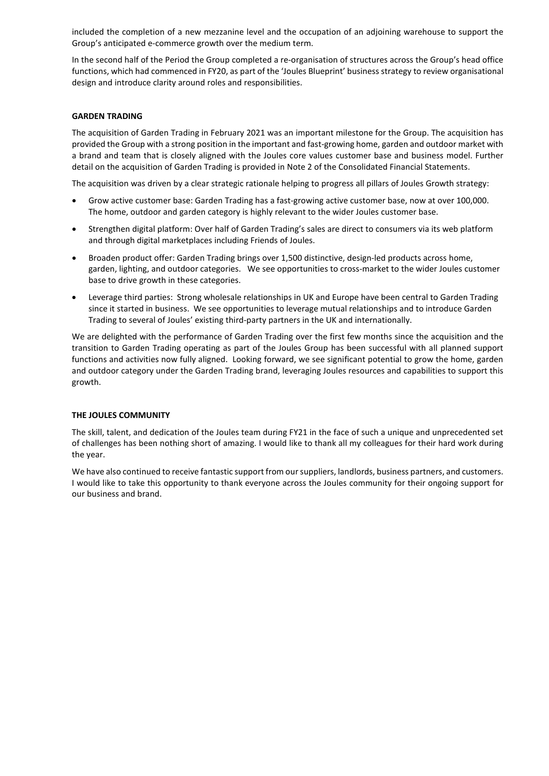included the completion of a new mezzanine level and the occupation of an adjoining warehouse to support the Group's anticipated e-commerce growth over the medium term.

In the second half of the Period the Group completed a re-organisation of structures across the Group's head office functions, which had commenced in FY20, as part of the 'Joules Blueprint' business strategy to review organisational design and introduce clarity around roles and responsibilities.

### **GARDEN TRADING**

The acquisition of Garden Trading in February 2021 was an important milestone for the Group. The acquisition has provided the Group with a strong position in the important and fast-growing home, garden and outdoor market with a brand and team that is closely aligned with the Joules core values customer base and business model. Further detail on the acquisition of Garden Trading is provided in Note 2 of the Consolidated Financial Statements.

The acquisition was driven by a clear strategic rationale helping to progress all pillars of Joules Growth strategy:

- Grow active customer base: Garden Trading has a fast-growing active customer base, now at over 100,000. The home, outdoor and garden category is highly relevant to the wider Joules customer base.
- Strengthen digital platform: Over half of Garden Trading's sales are direct to consumers via its web platform and through digital marketplaces including Friends of Joules.
- Broaden product offer: Garden Trading brings over 1,500 distinctive, design-led products across home, garden, lighting, and outdoor categories. We see opportunities to cross-market to the wider Joules customer base to drive growth in these categories.
- Leverage third parties: Strong wholesale relationships in UK and Europe have been central to Garden Trading since it started in business. We see opportunities to leverage mutual relationships and to introduce Garden Trading to several of Joules' existing third-party partners in the UK and internationally.

We are delighted with the performance of Garden Trading over the first few months since the acquisition and the transition to Garden Trading operating as part of the Joules Group has been successful with all planned support functions and activities now fully aligned. Looking forward, we see significant potential to grow the home, garden and outdoor category under the Garden Trading brand, leveraging Joules resources and capabilities to support this growth.

#### **THE JOULES COMMUNITY**

The skill, talent, and dedication of the Joules team during FY21 in the face of such a unique and unprecedented set of challenges has been nothing short of amazing. I would like to thank all my colleagues for their hard work during the year.

We have also continued to receive fantastic support from our suppliers, landlords, business partners, and customers. I would like to take this opportunity to thank everyone across the Joules community for their ongoing support for our business and brand.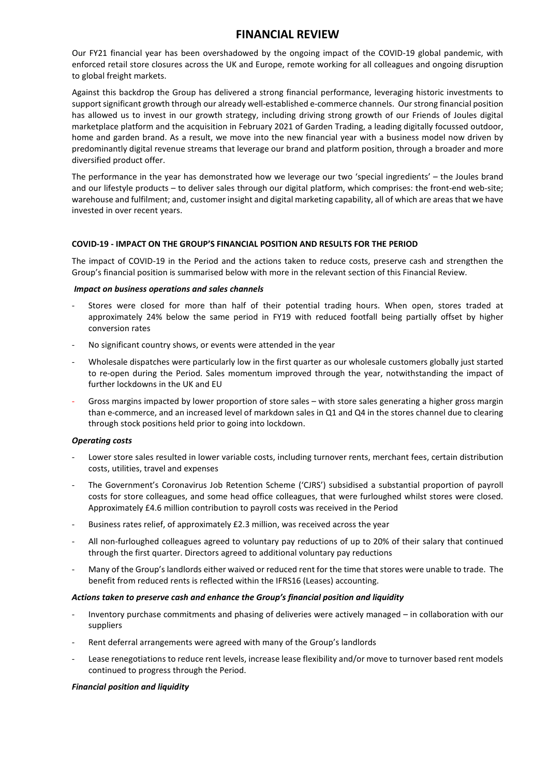# **FINANCIAL REVIEW**

Our FY21 financial year has been overshadowed by the ongoing impact of the COVID-19 global pandemic, with enforced retail store closures across the UK and Europe, remote working for all colleagues and ongoing disruption to global freight markets.

Against this backdrop the Group has delivered a strong financial performance, leveraging historic investments to support significant growth through our already well-established e-commerce channels. Our strong financial position has allowed us to invest in our growth strategy, including driving strong growth of our Friends of Joules digital marketplace platform and the acquisition in February 2021 of Garden Trading, a leading digitally focussed outdoor, home and garden brand. As a result, we move into the new financial year with a business model now driven by predominantly digital revenue streams that leverage our brand and platform position, through a broader and more diversified product offer.

The performance in the year has demonstrated how we leverage our two 'special ingredients' – the Joules brand and our lifestyle products – to deliver sales through our digital platform, which comprises: the front-end web-site; warehouse and fulfilment; and, customer insight and digital marketing capability, all of which are areas that we have invested in over recent years.

# **COVID-19 - IMPACT ON THE GROUP'S FINANCIAL POSITION AND RESULTS FOR THE PERIOD**

The impact of COVID-19 in the Period and the actions taken to reduce costs, preserve cash and strengthen the Group's financial position is summarised below with more in the relevant section of this Financial Review.

# *Impact on business operations and sales channels*

- Stores were closed for more than half of their potential trading hours. When open, stores traded at approximately 24% below the same period in FY19 with reduced footfall being partially offset by higher conversion rates
- No significant country shows, or events were attended in the year
- Wholesale dispatches were particularly low in the first quarter as our wholesale customers globally just started to re-open during the Period. Sales momentum improved through the year, notwithstanding the impact of further lockdowns in the UK and EU
- Gross margins impacted by lower proportion of store sales with store sales generating a higher gross margin than e-commerce, and an increased level of markdown sales in Q1 and Q4 in the stores channel due to clearing through stock positions held prior to going into lockdown.

# *Operating costs*

- Lower store sales resulted in lower variable costs, including turnover rents, merchant fees, certain distribution costs, utilities, travel and expenses
- The Government's Coronavirus Job Retention Scheme ('CJRS') subsidised a substantial proportion of payroll costs for store colleagues, and some head office colleagues, that were furloughed whilst stores were closed. Approximately £4.6 million contribution to payroll costs was received in the Period
- Business rates relief, of approximately £2.3 million, was received across the year
- All non-furloughed colleagues agreed to voluntary pay reductions of up to 20% of their salary that continued through the first quarter. Directors agreed to additional voluntary pay reductions
- Many of the Group's landlords either waived or reduced rent for the time that stores were unable to trade. The benefit from reduced rents is reflected within the IFRS16 (Leases) accounting.

# *Actions taken to preserve cash and enhance the Group's financial position and liquidity*

- Inventory purchase commitments and phasing of deliveries were actively managed in collaboration with our suppliers
- Rent deferral arrangements were agreed with many of the Group's landlords
- Lease renegotiations to reduce rent levels, increase lease flexibility and/or move to turnover based rent models continued to progress through the Period.

#### *Financial position and liquidity*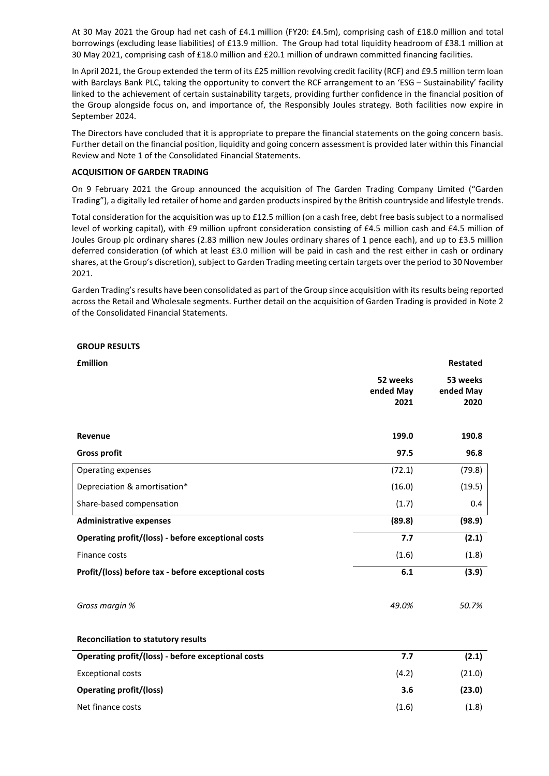At 30 May 2021 the Group had net cash of £4.1 million (FY20: £4.5m), comprising cash of £18.0 million and total borrowings (excluding lease liabilities) of £13.9 million. The Group had total liquidity headroom of £38.1 million at 30 May 2021, comprising cash of £18.0 million and £20.1 million of undrawn committed financing facilities.

In April 2021, the Group extended the term of its £25 million revolving credit facility (RCF) and £9.5 million term loan with Barclays Bank PLC, taking the opportunity to convert the RCF arrangement to an 'ESG – Sustainability' facility linked to the achievement of certain sustainability targets, providing further confidence in the financial position of the Group alongside focus on, and importance of, the Responsibly Joules strategy. Both facilities now expire in September 2024.

The Directors have concluded that it is appropriate to prepare the financial statements on the going concern basis. Further detail on the financial position, liquidity and going concern assessment is provided later within this Financial Review and Note 1 of the Consolidated Financial Statements.

### **ACQUISITION OF GARDEN TRADING**

On 9 February 2021 the Group announced the acquisition of The Garden Trading Company Limited ("Garden Trading"), a digitally led retailer of home and garden products inspired by the British countryside and lifestyle trends.

Total consideration for the acquisition was up to £12.5 million (on a cash free, debt free basis subject to a normalised level of working capital), with £9 million upfront consideration consisting of £4.5 million cash and £4.5 million of Joules Group plc ordinary shares (2.83 million new Joules ordinary shares of 1 pence each), and up to £3.5 million deferred consideration (of which at least £3.0 million will be paid in cash and the rest either in cash or ordinary shares, at the Group's discretion), subject to Garden Trading meeting certain targets over the period to 30 November 2021.

Garden Trading's results have been consolidated as part of the Group since acquisition with its results being reported across the Retail and Wholesale segments. Further detail on the acquisition of Garden Trading is provided in Note 2 of the Consolidated Financial Statements.

### **GROUP RESULTS**

| <b>£million</b>                                     |                               | <b>Restated</b>               |
|-----------------------------------------------------|-------------------------------|-------------------------------|
|                                                     | 52 weeks<br>ended May<br>2021 | 53 weeks<br>ended May<br>2020 |
| Revenue                                             | 199.0                         | 190.8                         |
| <b>Gross profit</b>                                 | 97.5                          | 96.8                          |
| Operating expenses                                  | (72.1)                        | (79.8)                        |
| Depreciation & amortisation*                        | (16.0)                        | (19.5)                        |
| Share-based compensation                            | (1.7)                         | 0.4                           |
| <b>Administrative expenses</b>                      | (89.8)                        | (98.9)                        |
| Operating profit/(loss) - before exceptional costs  | 7.7                           | (2.1)                         |
| Finance costs                                       | (1.6)                         | (1.8)                         |
| Profit/(loss) before tax - before exceptional costs | 6.1                           | (3.9)                         |
| Gross margin %                                      | 49.0%                         | 50.7%                         |
| <b>Reconciliation to statutory results</b>          |                               |                               |
| Operating profit/(loss) - before exceptional costs  | 7.7                           | (2.1)                         |
| <b>Exceptional costs</b>                            | (4.2)                         | (21.0)                        |
| <b>Operating profit/(loss)</b>                      | 3.6                           | (23.0)                        |
| Net finance costs                                   | (1.6)                         | (1.8)                         |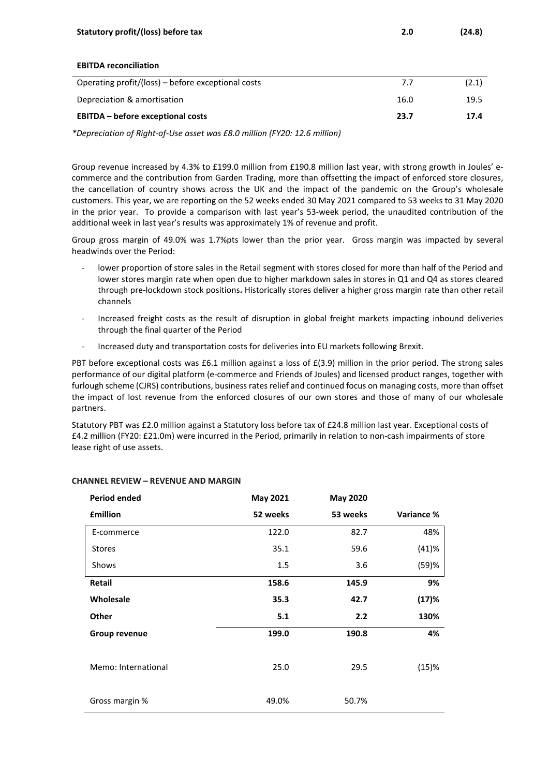| Statutory profit/(loss) before tax                 | 2.0  | (24.8) |
|----------------------------------------------------|------|--------|
|                                                    |      |        |
| <b>EBITDA reconciliation</b>                       |      |        |
| Operating profit/(loss) – before exceptional costs | 7.7  | (2.1)  |
| Depreciation & amortisation                        | 16.0 | 19.5   |
| <b>EBITDA</b> – before exceptional costs           | 23.7 | 17.4   |
|                                                    |      |        |

*\*Depreciation of Right-of-Use asset was £8.0 million (FY20: 12.6 million)*

Group revenue increased by 4.3% to £199.0 million from £190.8 million last year, with strong growth in Joules' ecommerce and the contribution from Garden Trading, more than offsetting the impact of enforced store closures, the cancellation of country shows across the UK and the impact of the pandemic on the Group's wholesale customers. This year, we are reporting on the 52 weeks ended 30 May 2021 compared to 53 weeks to 31 May 2020 in the prior year. To provide a comparison with last year's 53-week period, the unaudited contribution of the additional week in last year's results was approximately 1% of revenue and profit.

Group gross margin of 49.0% was 1.7%pts lower than the prior year. Gross margin was impacted by several headwinds over the Period:

- lower proportion of store sales in the Retail segment with stores closed for more than half of the Period and lower stores margin rate when open due to higher markdown sales in stores in Q1 and Q4 as stores cleared through pre-lockdown stock positions**.** Historically stores deliver a higher gross margin rate than other retail channels
- Increased freight costs as the result of disruption in global freight markets impacting inbound deliveries through the final quarter of the Period
- Increased duty and transportation costs for deliveries into EU markets following Brexit.

PBT before exceptional costs was £6.1 million against a loss of £(3.9) million in the prior period. The strong sales performance of our digital platform (e-commerce and Friends of Joules) and licensed product ranges, together with furlough scheme (CJRS) contributions, business rates relief and continued focus on managing costs, more than offset the impact of lost revenue from the enforced closures of our own stores and those of many of our wholesale partners.

Statutory PBT was £2.0 million against a Statutory loss before tax of £24.8 million last year. Exceptional costs of £4.2 million (FY20: £21.0m) were incurred in the Period, primarily in relation to non-cash impairments of store lease right of use assets.

| <b>Period ended</b> | May 2021 | <b>May 2020</b> |            |
|---------------------|----------|-----------------|------------|
| <b>£million</b>     | 52 weeks | 53 weeks        | Variance % |
| E-commerce          | 122.0    | 82.7            | 48%        |
| <b>Stores</b>       | 35.1     | 59.6            | (41)%      |
| Shows               | 1.5      | 3.6             | (59)%      |
| Retail              | 158.6    | 145.9           | 9%         |
| Wholesale           | 35.3     | 42.7            | (17)%      |
| <b>Other</b>        | 5.1      | 2.2             | 130%       |
| Group revenue       | 199.0    | 190.8           | 4%         |
|                     |          |                 |            |
| Memo: International | 25.0     | 29.5            | (15)%      |
|                     |          |                 |            |
| Gross margin %      | 49.0%    | 50.7%           |            |

# **CHANNEL REVIEW – REVENUE AND MARGIN**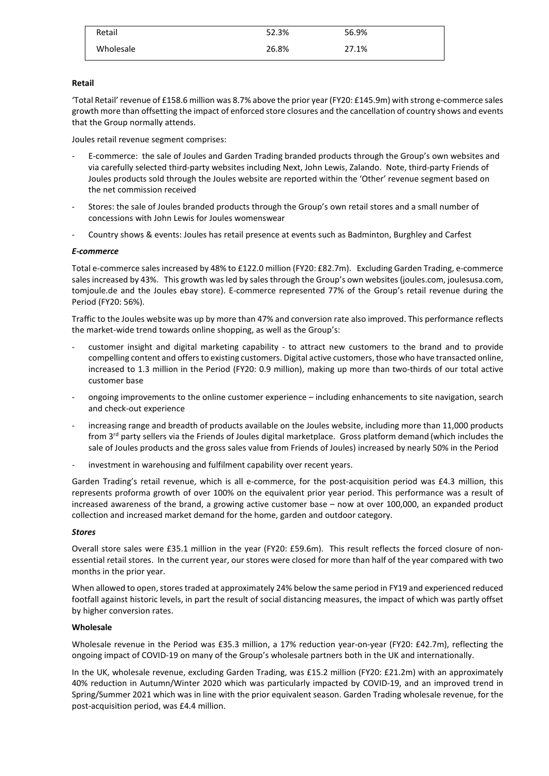| Retail    | 52.3% | 56.9% |
|-----------|-------|-------|
| Wholesale | 26.8% | 27.1% |

# **Retail**

'Total Retail' revenue of £158.6 million was 8.7% above the prior year (FY20: £145.9m) with strong e-commerce sales growth more than offsetting the impact of enforced store closures and the cancellation of country shows and events that the Group normally attends.

Joules retail revenue segment comprises:

- E-commerce: the sale of Joules and Garden Trading branded products through the Group's own websites and via carefully selected third-party websites including Next, John Lewis, Zalando. Note, third-party Friends of Joules products sold through the Joules website are reported within the 'Other' revenue segment based on the net commission received
- Stores: the sale of Joules branded products through the Group's own retail stores and a small number of concessions with John Lewis for Joules womenswear
- Country shows & events: Joules has retail presence at events such as Badminton, Burghley and Carfest

# *E-commerce*

Total e-commerce sales increased by 48% to £122.0 million (FY20: £82.7m). Excluding Garden Trading, e-commerce sales increased by 43%. This growth was led by sales through the Group's own websites (joules.com, joulesusa.com, tomjoule.de and the Joules ebay store). E-commerce represented 77% of the Group's retail revenue during the Period (FY20: 56%).

Traffic to the Joules website was up by more than 47% and conversion rate also improved. This performance reflects the market-wide trend towards online shopping, as well as the Group's:

- customer insight and digital marketing capability to attract new customers to the brand and to provide compelling content and offers to existing customers. Digital active customers, those who have transacted online, increased to 1.3 million in the Period (FY20: 0.9 million), making up more than two-thirds of our total active customer base
- ongoing improvements to the online customer experience including enhancements to site navigation, search and check-out experience
- increasing range and breadth of products available on the Joules website, including more than 11,000 products from 3rd party sellers via the Friends of Joules digital marketplace. Gross platform demand (which includes the sale of Joules products and the gross sales value from Friends of Joules) increased by nearly 50% in the Period
- investment in warehousing and fulfilment capability over recent years.

Garden Trading's retail revenue, which is all e-commerce, for the post-acquisition period was £4.3 million, this represents proforma growth of over 100% on the equivalent prior year period. This performance was a result of increased awareness of the brand, a growing active customer base – now at over 100,000, an expanded product collection and increased market demand for the home, garden and outdoor category.

# *Stores*

Overall store sales were £35.1 million in the year (FY20: £59.6m). This result reflects the forced closure of nonessential retail stores. In the current year, our stores were closed for more than half of the year compared with two months in the prior year.

When allowed to open, stores traded at approximately 24% below the same period in FY19 and experienced reduced footfall against historic levels, in part the result of social distancing measures, the impact of which was partly offset by higher conversion rates.

# **Wholesale**

Wholesale revenue in the Period was £35.3 million, a 17% reduction year-on-year (FY20: £42.7m), reflecting the ongoing impact of COVID-19 on many of the Group's wholesale partners both in the UK and internationally.

In the UK, wholesale revenue, excluding Garden Trading, was £15.2 million (FY20: £21.2m) with an approximately 40% reduction in Autumn/Winter 2020 which was particularly impacted by COVID-19, and an improved trend in Spring/Summer 2021 which was in line with the prior equivalent season. Garden Trading wholesale revenue, for the post-acquisition period, was £4.4 million.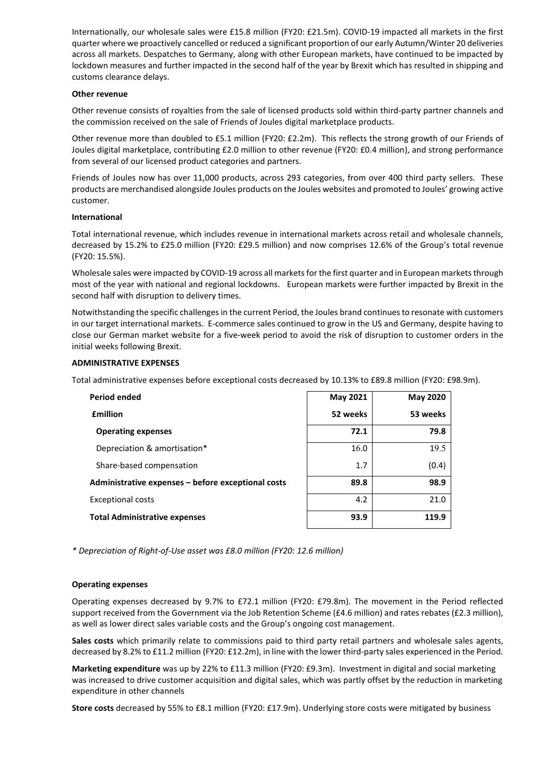Internationally, our wholesale sales were £15.8 million (FY20: £21.5m). COVID-19 impacted all markets in the first quarter where we proactively cancelled or reduced a significant proportion of our early Autumn/Winter 20 deliveries across all markets. Despatches to Germany, along with other European markets, have continued to be impacted by lockdown measures and further impacted in the second half of the year by Brexit which has resulted in shipping and customs clearance delays.

#### **Other revenue**

Other revenue consists of royalties from the sale of licensed products sold within third-party partner channels and the commission received on the sale of Friends of Joules digital marketplace products.

Other revenue more than doubled to £5.1 million (FY20: £2.2m). This reflects the strong growth of our Friends of Joules digital marketplace, contributing £2.0 million to other revenue (FY20: £0.4 million), and strong performance from several of our licensed product categories and partners.

Friends of Joules now has over 11,000 products, across 293 categories, from over 400 third party sellers. These products are merchandised alongside Joules products on the Joules websites and promoted to Joules' growing active customer.

#### **International**

Total international revenue, which includes revenue in international markets across retail and wholesale channels, decreased by 15.2% to £25.0 million (FY20: £29.5 million) and now comprises 12.6% of the Group's total revenue (FY20: 15.5%).

Wholesale sales were impacted by COVID-19 across all markets for the first quarter and in European markets through most of the year with national and regional lockdowns. European markets were further impacted by Brexit in the second half with disruption to delivery times.

Notwithstanding the specific challenges in the current Period, the Joules brand continues to resonate with customers in our target international markets. E-commerce sales continued to grow in the US and Germany, despite having to close our German market website for a five-week period to avoid the risk of disruption to customer orders in the initial weeks following Brexit.

### **ADMINISTRATIVE EXPENSES**

Total administrative expenses before exceptional costs decreased by 10.13% to £89.8 million (FY20: £98.9m).

| <b>Period ended</b>                                | May 2021 | <b>May 2020</b> |
|----------------------------------------------------|----------|-----------------|
| <b>£million</b>                                    | 52 weeks | 53 weeks        |
| <b>Operating expenses</b>                          | 72.1     | 79.8            |
| Depreciation & amortisation*                       | 16.0     | 19.5            |
| Share-based compensation                           | 1.7      | (0.4)           |
| Administrative expenses - before exceptional costs | 89.8     | 98.9            |
| <b>Exceptional costs</b>                           | 4.2      | 21.0            |
| <b>Total Administrative expenses</b>               | 93.9     | 119.9           |

*\* Depreciation of Right-of-Use asset was £8.0 million (FY20: 12.6 million)*

#### **Operating expenses**

Operating expenses decreased by 9.7% to £72.1 million (FY20: £79.8m). The movement in the Period reflected support received from the Government via the Job Retention Scheme (£4.6 million) and rates rebates (£2.3 million), as well as lower direct sales variable costs and the Group's ongoing cost management.

**Sales costs** which primarily relate to commissions paid to third party retail partners and wholesale sales agents, decreased by 8.2% to £11.2 million (FY20: £12.2m), in line with the lower third-party sales experienced in the Period.

**Marketing expenditure** was up by 22% to £11.3 million (FY20: £9.3m). Investment in digital and social marketing was increased to drive customer acquisition and digital sales, which was partly offset by the reduction in marketing expenditure in other channels

**Store costs** decreased by 55% to £8.1 million (FY20: £17.9m). Underlying store costs were mitigated by business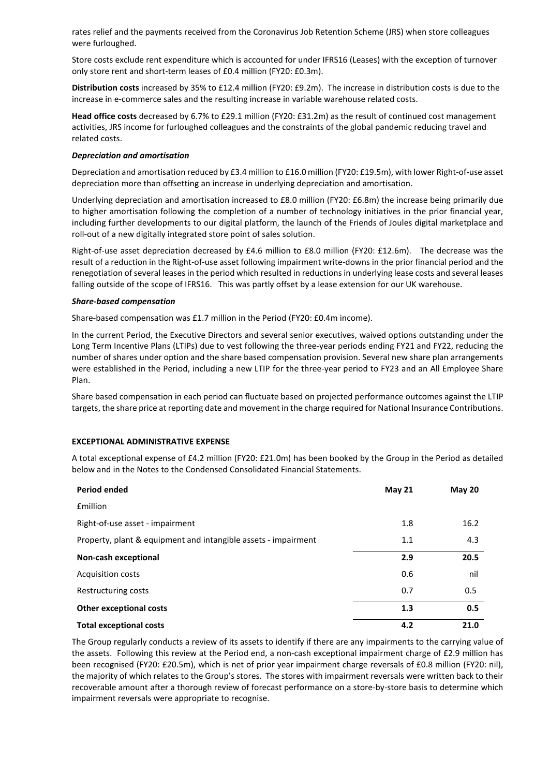rates relief and the payments received from the Coronavirus Job Retention Scheme (JRS) when store colleagues were furloughed.

Store costs exclude rent expenditure which is accounted for under IFRS16 (Leases) with the exception of turnover only store rent and short-term leases of £0.4 million (FY20: £0.3m).

**Distribution costs** increased by 35% to £12.4 million (FY20: £9.2m). The increase in distribution costs is due to the increase in e-commerce sales and the resulting increase in variable warehouse related costs.

**Head office costs** decreased by 6.7% to £29.1 million (FY20: £31.2m) as the result of continued cost management activities, JRS income for furloughed colleagues and the constraints of the global pandemic reducing travel and related costs.

### *Depreciation and amortisation*

Depreciation and amortisation reduced by £3.4 million to £16.0 million (FY20: £19.5m), with lower Right-of-use asset depreciation more than offsetting an increase in underlying depreciation and amortisation.

Underlying depreciation and amortisation increased to £8.0 million (FY20: £6.8m) the increase being primarily due to higher amortisation following the completion of a number of technology initiatives in the prior financial year, including further developments to our digital platform, the launch of the Friends of Joules digital marketplace and roll-out of a new digitally integrated store point of sales solution.

Right-of-use asset depreciation decreased by £4.6 million to £8.0 million (FY20: £12.6m). The decrease was the result of a reduction in the Right-of-use asset following impairment write-downs in the prior financial period and the renegotiation of several leases in the period which resulted in reductions in underlying lease costs and several leases falling outside of the scope of IFRS16. This was partly offset by a lease extension for our UK warehouse.

### *Share-based compensation*

Share-based compensation was £1.7 million in the Period (FY20: £0.4m income).

In the current Period, the Executive Directors and several senior executives, waived options outstanding under the Long Term Incentive Plans (LTIPs) due to vest following the three-year periods ending FY21 and FY22, reducing the number of shares under option and the share based compensation provision. Several new share plan arrangements were established in the Period, including a new LTIP for the three-year period to FY23 and an All Employee Share Plan.

Share based compensation in each period can fluctuate based on projected performance outcomes against the LTIP targets, the share price at reporting date and movement in the charge required for National Insurance Contributions.

# **EXCEPTIONAL ADMINISTRATIVE EXPENSE**

A total exceptional expense of £4.2 million (FY20: £21.0m) has been booked by the Group in the Period as detailed below and in the Notes to the Condensed Consolidated Financial Statements.

| <b>Period ended</b>                                            | <b>May 21</b> | <b>May 20</b> |
|----------------------------------------------------------------|---------------|---------------|
| <b>f</b> million                                               |               |               |
| Right-of-use asset - impairment                                | 1.8           | 16.2          |
| Property, plant & equipment and intangible assets - impairment | 1.1           | 4.3           |
| Non-cash exceptional                                           | 2.9           | 20.5          |
| <b>Acquisition costs</b>                                       | 0.6           | nil           |
| Restructuring costs                                            | 0.7           | 0.5           |
| <b>Other exceptional costs</b>                                 | 1.3           | 0.5           |
| <b>Total exceptional costs</b>                                 | 4.2           | 21.0          |

The Group regularly conducts a review of its assets to identify if there are any impairments to the carrying value of the assets. Following this review at the Period end, a non-cash exceptional impairment charge of £2.9 million has been recognised (FY20: £20.5m), which is net of prior year impairment charge reversals of £0.8 million (FY20: nil), the majority of which relates to the Group's stores. The stores with impairment reversals were written back to their recoverable amount after a thorough review of forecast performance on a store-by-store basis to determine which impairment reversals were appropriate to recognise.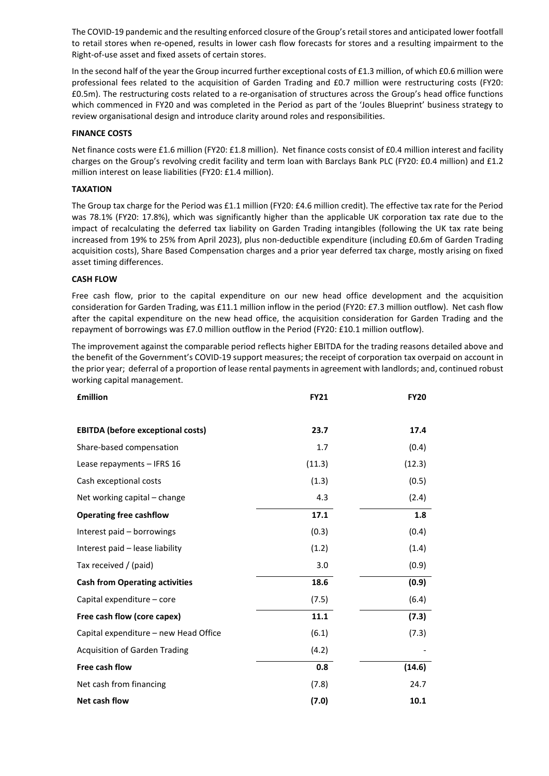The COVID-19 pandemic and the resulting enforced closure of the Group's retail stores and anticipated lower footfall to retail stores when re-opened, results in lower cash flow forecasts for stores and a resulting impairment to the Right-of-use asset and fixed assets of certain stores.

In the second half of the year the Group incurred further exceptional costs of £1.3 million, of which £0.6 million were professional fees related to the acquisition of Garden Trading and £0.7 million were restructuring costs (FY20: £0.5m). The restructuring costs related to a re-organisation of structures across the Group's head office functions which commenced in FY20 and was completed in the Period as part of the 'Joules Blueprint' business strategy to review organisational design and introduce clarity around roles and responsibilities.

# **FINANCE COSTS**

Net finance costs were £1.6 million (FY20: £1.8 million). Net finance costs consist of £0.4 million interest and facility charges on the Group's revolving credit facility and term loan with Barclays Bank PLC (FY20: £0.4 million) and £1.2 million interest on lease liabilities (FY20: £1.4 million).

# **TAXATION**

The Group tax charge for the Period was £1.1 million (FY20: £4.6 million credit). The effective tax rate for the Period was 78.1% (FY20: 17.8%), which was significantly higher than the applicable UK corporation tax rate due to the impact of recalculating the deferred tax liability on Garden Trading intangibles (following the UK tax rate being increased from 19% to 25% from April 2023), plus non-deductible expenditure (including £0.6m of Garden Trading acquisition costs), Share Based Compensation charges and a prior year deferred tax charge, mostly arising on fixed asset timing differences.

# **CASH FLOW**

Free cash flow, prior to the capital expenditure on our new head office development and the acquisition consideration for Garden Trading, was £11.1 million inflow in the period (FY20: £7.3 million outflow). Net cash flow after the capital expenditure on the new head office, the acquisition consideration for Garden Trading and the repayment of borrowings was £7.0 million outflow in the Period (FY20: £10.1 million outflow).

The improvement against the comparable period reflects higher EBITDA for the trading reasons detailed above and the benefit of the Government's COVID-19 support measures; the receipt of corporation tax overpaid on account in the prior year; deferral of a proportion of lease rental payments in agreement with landlords; and, continued robust working capital management.

| <b>£million</b>                          | <b>FY21</b> | <b>FY20</b> |
|------------------------------------------|-------------|-------------|
| <b>EBITDA (before exceptional costs)</b> | 23.7        | 17.4        |
| Share-based compensation                 | 1.7         | (0.4)       |
| Lease repayments - IFRS 16               | (11.3)      | (12.3)      |
| Cash exceptional costs                   | (1.3)       | (0.5)       |
| Net working capital – change             | 4.3         | (2.4)       |
| <b>Operating free cashflow</b>           | 17.1        | 1.8         |
| Interest paid - borrowings               | (0.3)       | (0.4)       |
| Interest paid - lease liability          | (1.2)       | (1.4)       |
| Tax received / (paid)                    | 3.0         | (0.9)       |
| <b>Cash from Operating activities</b>    | 18.6        | (0.9)       |
| Capital expenditure – core               | (7.5)       | (6.4)       |
| Free cash flow (core capex)              | 11.1        | (7.3)       |
| Capital expenditure – new Head Office    | (6.1)       | (7.3)       |
| <b>Acquisition of Garden Trading</b>     | (4.2)       |             |
| Free cash flow                           | 0.8         | (14.6)      |
| Net cash from financing                  | (7.8)       | 24.7        |
| Net cash flow                            | (7.0)       | 10.1        |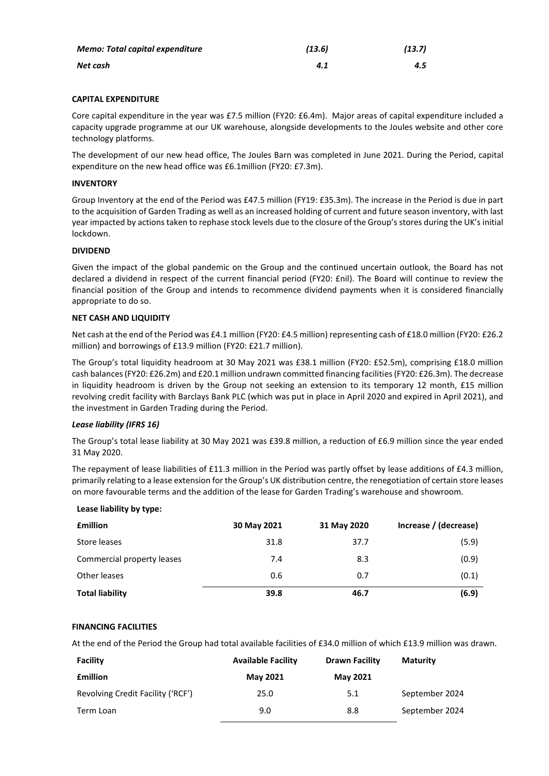| <b>Memo: Total capital expenditure</b> | (13.6) | (13.7) |
|----------------------------------------|--------|--------|
| Net cash                               | 4.1    | 4.5    |

# **CAPITAL EXPENDITURE**

Core capital expenditure in the year was £7.5 million (FY20: £6.4m). Major areas of capital expenditure included a capacity upgrade programme at our UK warehouse, alongside developments to the Joules website and other core technology platforms.

The development of our new head office, The Joules Barn was completed in June 2021. During the Period, capital expenditure on the new head office was £6.1million (FY20: £7.3m).

### **INVENTORY**

Group Inventory at the end of the Period was £47.5 million (FY19: £35.3m). The increase in the Period is due in part to the acquisition of Garden Trading as well as an increased holding of current and future season inventory, with last year impacted by actions taken to rephase stock levels due to the closure of the Group's stores during the UK's initial lockdown.

# **DIVIDEND**

Given the impact of the global pandemic on the Group and the continued uncertain outlook, the Board has not declared a dividend in respect of the current financial period (FY20: £nil). The Board will continue to review the financial position of the Group and intends to recommence dividend payments when it is considered financially appropriate to do so.

### **NET CASH AND LIQUIDITY**

Net cash at the end of the Period was £4.1 million (FY20: £4.5 million) representing cash of £18.0 million (FY20: £26.2 million) and borrowings of £13.9 million (FY20: £21.7 million).

The Group's total liquidity headroom at 30 May 2021 was £38.1 million (FY20: £52.5m), comprising £18.0 million cash balances (FY20: £26.2m) and £20.1 million undrawn committed financing facilities(FY20: £26.3m). The decrease in liquidity headroom is driven by the Group not seeking an extension to its temporary 12 month, £15 million revolving credit facility with Barclays Bank PLC (which was put in place in April 2020 and expired in April 2021), and the investment in Garden Trading during the Period.

# *Lease liability (IFRS 16)*

The Group's total lease liability at 30 May 2021 was £39.8 million, a reduction of £6.9 million since the year ended 31 May 2020.

The repayment of lease liabilities of £11.3 million in the Period was partly offset by lease additions of £4.3 million, primarily relating to a lease extension for the Group's UK distribution centre, the renegotiation of certain store leases on more favourable terms and the addition of the lease for Garden Trading's warehouse and showroom.

# **Lease liability by type:**

| <b>£million</b>            | 30 May 2021 | 31 May 2020 | Increase / (decrease) |
|----------------------------|-------------|-------------|-----------------------|
| Store leases               | 31.8        | 37.7        | (5.9)                 |
| Commercial property leases | 7.4         | 8.3         | (0.9)                 |
| Other leases               | 0.6         | 0.7         | (0.1)                 |
| <b>Total liability</b>     | 39.8        | 46.7        | (6.9)                 |

# **FINANCING FACILITIES**

At the end of the Period the Group had total available facilities of £34.0 million of which £13.9 million was drawn.

| Facility                          | <b>Available Facility</b> | Drawn Facility  | <b>Maturity</b> |
|-----------------------------------|---------------------------|-----------------|-----------------|
| <b>f</b> million                  | <b>May 2021</b>           | <b>May 2021</b> |                 |
| Revolving Credit Facility ('RCF') | 25.0                      | 5.1             | September 2024  |
| Term Loan                         | 9.0                       | 8.8             | September 2024  |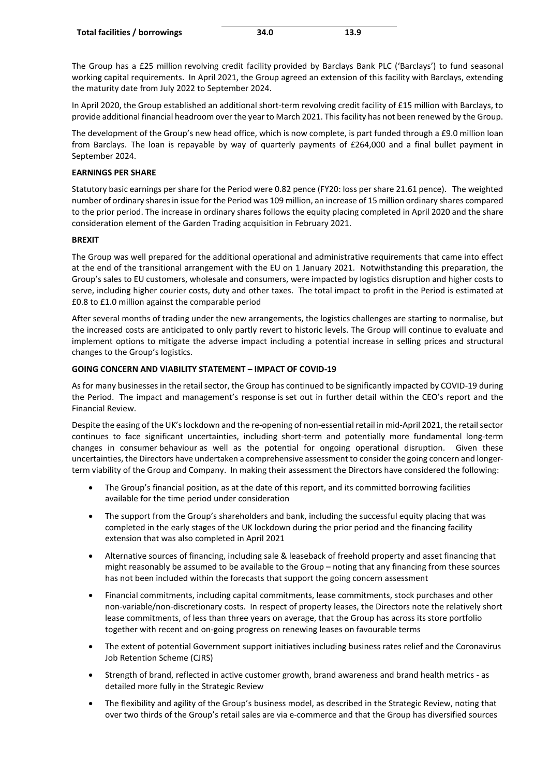The Group has a £25 million revolving credit facility provided by Barclays Bank PLC ('Barclays') to fund seasonal working capital requirements. In April 2021, the Group agreed an extension of this facility with Barclays, extending the maturity date from July 2022 to September 2024.

In April 2020, the Group established an additional short-term revolving credit facility of £15 million with Barclays, to provide additional financial headroom over the year to March 2021. This facility has not been renewed by the Group.

The development of the Group's new head office, which is now complete, is part funded through a £9.0 million loan from Barclays. The loan is repayable by way of quarterly payments of £264,000 and a final bullet payment in September 2024.

# **EARNINGS PER SHARE**

Statutory basic earnings per share for the Period were 0.82 pence (FY20: loss per share 21.61 pence). The weighted number of ordinary shares in issue for the Period was 109 million, an increase of 15 million ordinary shares compared to the prior period. The increase in ordinary shares follows the equity placing completed in April 2020 and the share consideration element of the Garden Trading acquisition in February 2021.

# **BREXIT**

The Group was well prepared for the additional operational and administrative requirements that came into effect at the end of the transitional arrangement with the EU on 1 January 2021. Notwithstanding this preparation, the Group's sales to EU customers, wholesale and consumers, were impacted by logistics disruption and higher costs to serve, including higher courier costs, duty and other taxes. The total impact to profit in the Period is estimated at £0.8 to £1.0 million against the comparable period

After several months of trading under the new arrangements, the logistics challenges are starting to normalise, but the increased costs are anticipated to only partly revert to historic levels. The Group will continue to evaluate and implement options to mitigate the adverse impact including a potential increase in selling prices and structural changes to the Group's logistics.

# **GOING CONCERN AND VIABILITY STATEMENT – IMPACT OF COVID-19**

As for many businesses in the retail sector, the Group has continued to be significantly impacted by COVID-19 during the Period. The impact and management's response is set out in further detail within the CEO's report and the Financial Review.

Despite the easing of the UK's lockdown and the re-opening of non-essential retail in mid-April 2021, the retail sector continues to face significant uncertainties, including short-term and potentially more fundamental long-term changes in consumer behaviour as well as the potential for ongoing operational disruption. Given these uncertainties, the Directors have undertaken a comprehensive assessment to consider the going concern and longerterm viability of the Group and Company. In making their assessment the Directors have considered the following:

- The Group's financial position, as at the date of this report, and its committed borrowing facilities available for the time period under consideration
- The support from the Group's shareholders and bank, including the successful equity placing that was completed in the early stages of the UK lockdown during the prior period and the financing facility extension that was also completed in April 2021
- Alternative sources of financing, including sale & leaseback of freehold property and asset financing that might reasonably be assumed to be available to the Group – noting that any financing from these sources has not been included within the forecasts that support the going concern assessment
- Financial commitments, including capital commitments, lease commitments, stock purchases and other non-variable/non-discretionary costs. In respect of property leases, the Directors note the relatively short lease commitments, of less than three years on average, that the Group has across its store portfolio together with recent and on-going progress on renewing leases on favourable terms
- The extent of potential Government support initiatives including business rates relief and the Coronavirus Job Retention Scheme (CJRS)
- Strength of brand, reflected in active customer growth, brand awareness and brand health metrics as detailed more fully in the Strategic Review
- The flexibility and agility of the Group's business model, as described in the Strategic Review, noting that over two thirds of the Group's retail sales are via e-commerce and that the Group has diversified sources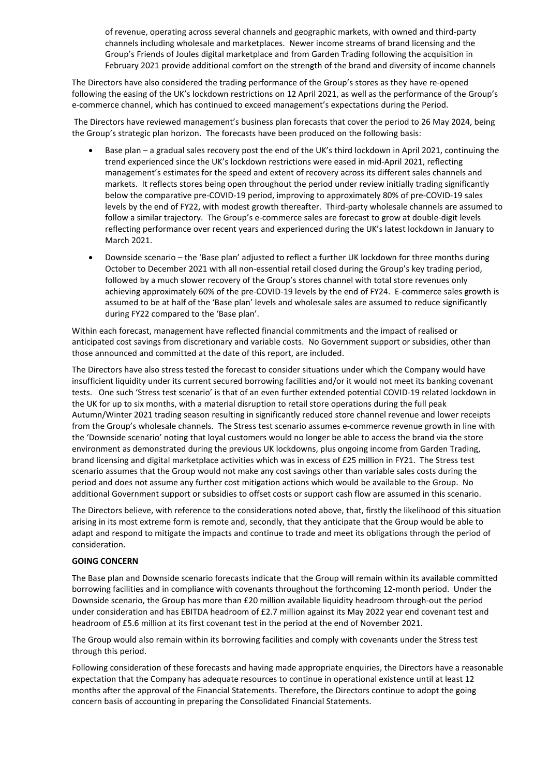of revenue, operating across several channels and geographic markets, with owned and third-party channels including wholesale and marketplaces. Newer income streams of brand licensing and the Group's Friends of Joules digital marketplace and from Garden Trading following the acquisition in February 2021 provide additional comfort on the strength of the brand and diversity of income channels

The Directors have also considered the trading performance of the Group's stores as they have re-opened following the easing of the UK's lockdown restrictions on 12 April 2021, as well as the performance of the Group's e-commerce channel, which has continued to exceed management's expectations during the Period.

The Directors have reviewed management's business plan forecasts that cover the period to 26 May 2024, being the Group's strategic plan horizon. The forecasts have been produced on the following basis:

- Base plan a gradual sales recovery post the end of the UK's third lockdown in April 2021, continuing the trend experienced since the UK's lockdown restrictions were eased in mid-April 2021, reflecting management's estimates for the speed and extent of recovery across its different sales channels and markets. It reflects stores being open throughout the period under review initially trading significantly below the comparative pre-COVID-19 period, improving to approximately 80% of pre-COVID-19 sales levels by the end of FY22, with modest growth thereafter. Third-party wholesale channels are assumed to follow a similar trajectory. The Group's e-commerce sales are forecast to grow at double-digit levels reflecting performance over recent years and experienced during the UK's latest lockdown in January to March 2021.
- Downside scenario the 'Base plan' adjusted to reflect a further UK lockdown for three months during October to December 2021 with all non-essential retail closed during the Group's key trading period, followed by a much slower recovery of the Group's stores channel with total store revenues only achieving approximately 60% of the pre-COVID-19 levels by the end of FY24. E-commerce sales growth is assumed to be at half of the 'Base plan' levels and wholesale sales are assumed to reduce significantly during FY22 compared to the 'Base plan'.

Within each forecast, management have reflected financial commitments and the impact of realised or anticipated cost savings from discretionary and variable costs. No Government support or subsidies, other than those announced and committed at the date of this report, are included.

The Directors have also stress tested the forecast to consider situations under which the Company would have insufficient liquidity under its current secured borrowing facilities and/or it would not meet its banking covenant tests. One such 'Stress test scenario' is that of an even further extended potential COVID-19 related lockdown in the UK for up to six months, with a material disruption to retail store operations during the full peak Autumn/Winter 2021 trading season resulting in significantly reduced store channel revenue and lower receipts from the Group's wholesale channels. The Stress test scenario assumes e-commerce revenue growth in line with the 'Downside scenario' noting that loyal customers would no longer be able to access the brand via the store environment as demonstrated during the previous UK lockdowns, plus ongoing income from Garden Trading, brand licensing and digital marketplace activities which was in excess of £25 million in FY21. The Stress test scenario assumes that the Group would not make any cost savings other than variable sales costs during the period and does not assume any further cost mitigation actions which would be available to the Group. No additional Government support or subsidies to offset costs or support cash flow are assumed in this scenario.

The Directors believe, with reference to the considerations noted above, that, firstly the likelihood of this situation arising in its most extreme form is remote and, secondly, that they anticipate that the Group would be able to adapt and respond to mitigate the impacts and continue to trade and meet its obligations through the period of consideration.

# **GOING CONCERN**

The Base plan and Downside scenario forecasts indicate that the Group will remain within its available committed borrowing facilities and in compliance with covenants throughout the forthcoming 12-month period.  Under the Downside scenario, the Group has more than £20 million available liquidity headroom through-out the period under consideration and has EBITDA headroom of £2.7 million against its May 2022 year end covenant test and headroom of £5.6 million at its first covenant test in the period at the end of November 2021.

The Group would also remain within its borrowing facilities and comply with covenants under the Stress test through this period.

Following consideration of these forecasts and having made appropriate enquiries, the Directors have a reasonable expectation that the Company has adequate resources to continue in operational existence until at least 12 months after the approval of the Financial Statements. Therefore, the Directors continue to adopt the going concern basis of accounting in preparing the Consolidated Financial Statements.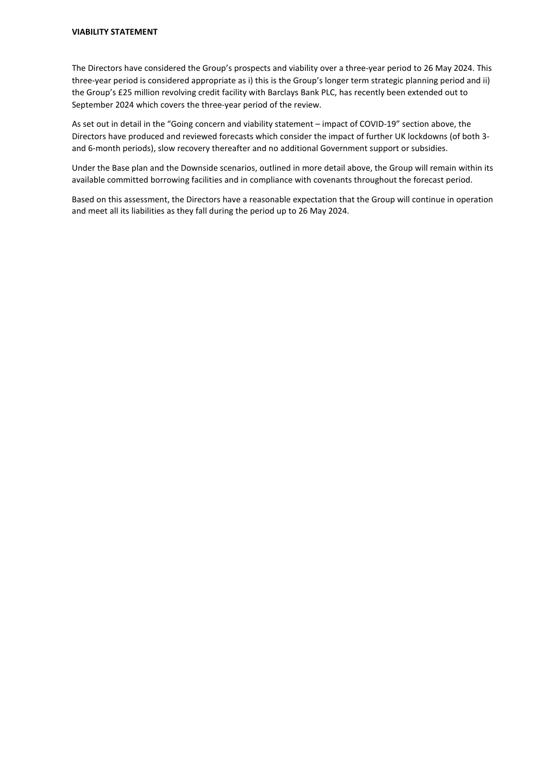The Directors have considered the Group's prospects and viability over a three-year period to 26 May 2024. This three-year period is considered appropriate as i) this is the Group's longer term strategic planning period and ii) the Group's £25 million revolving credit facility with Barclays Bank PLC, has recently been extended out to September 2024 which covers the three-year period of the review.

As set out in detail in the "Going concern and viability statement – impact of COVID-19" section above, the Directors have produced and reviewed forecasts which consider the impact of further UK lockdowns (of both 3 and 6-month periods), slow recovery thereafter and no additional Government support or subsidies.

Under the Base plan and the Downside scenarios, outlined in more detail above, the Group will remain within its available committed borrowing facilities and in compliance with covenants throughout the forecast period.

Based on this assessment, the Directors have a reasonable expectation that the Group will continue in operation and meet all its liabilities as they fall during the period up to 26 May 2024.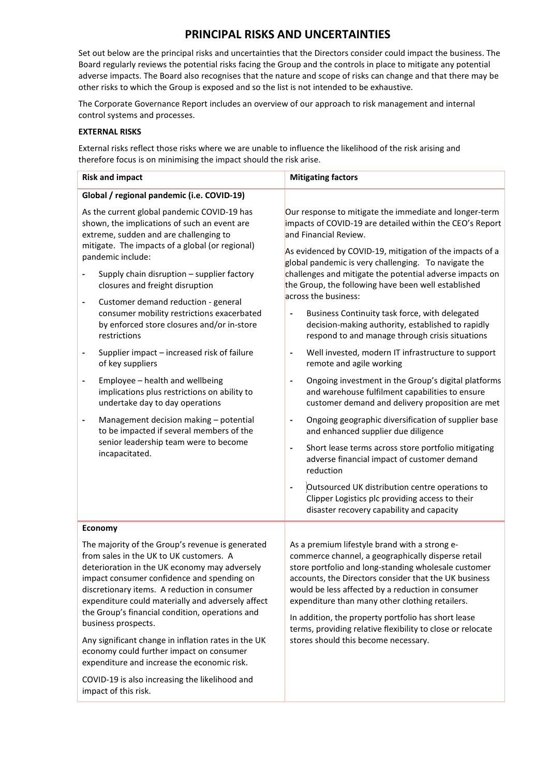# **PRINCIPAL RISKS AND UNCERTAINTIES**

Set out below are the principal risks and uncertainties that the Directors consider could impact the business. The Board regularly reviews the potential risks facing the Group and the controls in place to mitigate any potential adverse impacts. The Board also recognises that the nature and scope of risks can change and that there may be other risks to which the Group is exposed and so the list is not intended to be exhaustive.

The Corporate Governance Report includes an overview of our approach to risk management and internal control systems and processes.

# **EXTERNAL RISKS**

External risks reflect those risks where we are unable to influence the likelihood of the risk arising and therefore focus is on minimising the impact should the risk arise.

|                                                                                                                                                                                                               | <b>Risk and impact</b>                                                                                                                                                                                                                                                                                                                                                                                                                                                       | <b>Mitigating factors</b>                                                                                                                                                                                                                                                                                                                                                                                                                                                                 |  |  |
|---------------------------------------------------------------------------------------------------------------------------------------------------------------------------------------------------------------|------------------------------------------------------------------------------------------------------------------------------------------------------------------------------------------------------------------------------------------------------------------------------------------------------------------------------------------------------------------------------------------------------------------------------------------------------------------------------|-------------------------------------------------------------------------------------------------------------------------------------------------------------------------------------------------------------------------------------------------------------------------------------------------------------------------------------------------------------------------------------------------------------------------------------------------------------------------------------------|--|--|
|                                                                                                                                                                                                               | Global / regional pandemic (i.e. COVID-19)                                                                                                                                                                                                                                                                                                                                                                                                                                   |                                                                                                                                                                                                                                                                                                                                                                                                                                                                                           |  |  |
| As the current global pandemic COVID-19 has<br>shown, the implications of such an event are<br>extreme, sudden and are challenging to<br>mitigate. The impacts of a global (or regional)<br>pandemic include: |                                                                                                                                                                                                                                                                                                                                                                                                                                                                              | Our response to mitigate the immediate and longer-term<br>impacts of COVID-19 are detailed within the CEO's Report<br>and Financial Review.<br>As evidenced by COVID-19, mitigation of the impacts of a                                                                                                                                                                                                                                                                                   |  |  |
|                                                                                                                                                                                                               | Supply chain disruption - supplier factory<br>closures and freight disruption                                                                                                                                                                                                                                                                                                                                                                                                | global pandemic is very challenging. To navigate the<br>challenges and mitigate the potential adverse impacts on<br>the Group, the following have been well established<br>across the business:                                                                                                                                                                                                                                                                                           |  |  |
| $\qquad \qquad \blacksquare$                                                                                                                                                                                  | Customer demand reduction - general<br>consumer mobility restrictions exacerbated<br>by enforced store closures and/or in-store<br>restrictions                                                                                                                                                                                                                                                                                                                              | Business Continuity task force, with delegated<br>decision-making authority, established to rapidly<br>respond to and manage through crisis situations                                                                                                                                                                                                                                                                                                                                    |  |  |
| $\qquad \qquad \blacksquare$                                                                                                                                                                                  | Supplier impact - increased risk of failure<br>of key suppliers                                                                                                                                                                                                                                                                                                                                                                                                              | Well invested, modern IT infrastructure to support<br>$\qquad \qquad \blacksquare$<br>remote and agile working                                                                                                                                                                                                                                                                                                                                                                            |  |  |
|                                                                                                                                                                                                               | Employee - health and wellbeing<br>implications plus restrictions on ability to<br>undertake day to day operations                                                                                                                                                                                                                                                                                                                                                           | Ongoing investment in the Group's digital platforms<br>$\overline{a}$<br>and warehouse fulfilment capabilities to ensure<br>customer demand and delivery proposition are met                                                                                                                                                                                                                                                                                                              |  |  |
| Management decision making - potential<br>to be impacted if several members of the<br>senior leadership team were to become<br>incapacitated.                                                                 |                                                                                                                                                                                                                                                                                                                                                                                                                                                                              | Ongoing geographic diversification of supplier base<br>and enhanced supplier due diligence<br>Short lease terms across store portfolio mitigating<br>$\qquad \qquad \blacksquare$<br>adverse financial impact of customer demand<br>reduction                                                                                                                                                                                                                                             |  |  |
|                                                                                                                                                                                                               |                                                                                                                                                                                                                                                                                                                                                                                                                                                                              | Outsourced UK distribution centre operations to<br>$\qquad \qquad \blacksquare$<br>Clipper Logistics plc providing access to their<br>disaster recovery capability and capacity                                                                                                                                                                                                                                                                                                           |  |  |
|                                                                                                                                                                                                               | Economy                                                                                                                                                                                                                                                                                                                                                                                                                                                                      |                                                                                                                                                                                                                                                                                                                                                                                                                                                                                           |  |  |
|                                                                                                                                                                                                               | The majority of the Group's revenue is generated<br>from sales in the UK to UK customers. A<br>deterioration in the UK economy may adversely<br>impact consumer confidence and spending on<br>discretionary items. A reduction in consumer<br>expenditure could materially and adversely affect<br>the Group's financial condition, operations and<br>business prospects.<br>Any significant change in inflation rates in the UK<br>economy could further impact on consumer | As a premium lifestyle brand with a strong e-<br>commerce channel, a geographically disperse retail<br>store portfolio and long-standing wholesale customer<br>accounts, the Directors consider that the UK business<br>would be less affected by a reduction in consumer<br>expenditure than many other clothing retailers.<br>In addition, the property portfolio has short lease<br>terms, providing relative flexibility to close or relocate<br>stores should this become necessary. |  |  |
|                                                                                                                                                                                                               | expenditure and increase the economic risk.<br>COVID-19 is also increasing the likelihood and<br>impact of this risk.                                                                                                                                                                                                                                                                                                                                                        |                                                                                                                                                                                                                                                                                                                                                                                                                                                                                           |  |  |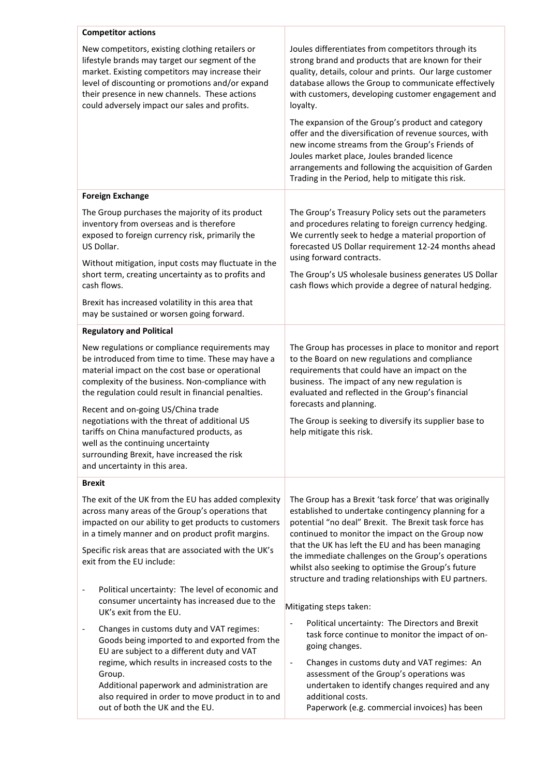| <b>Competitor actions</b>                                                                                                                                                                                                                                                                                  |                                                                                                                                                                                                                                                                                                                            |  |  |
|------------------------------------------------------------------------------------------------------------------------------------------------------------------------------------------------------------------------------------------------------------------------------------------------------------|----------------------------------------------------------------------------------------------------------------------------------------------------------------------------------------------------------------------------------------------------------------------------------------------------------------------------|--|--|
| New competitors, existing clothing retailers or<br>lifestyle brands may target our segment of the<br>market. Existing competitors may increase their<br>level of discounting or promotions and/or expand<br>their presence in new channels. These actions<br>could adversely impact our sales and profits. | Joules differentiates from competitors through its<br>strong brand and products that are known for their<br>quality, details, colour and prints. Our large customer<br>database allows the Group to communicate effectively<br>with customers, developing customer engagement and<br>loyalty.                              |  |  |
|                                                                                                                                                                                                                                                                                                            | The expansion of the Group's product and category<br>offer and the diversification of revenue sources, with<br>new income streams from the Group's Friends of<br>Joules market place, Joules branded licence<br>arrangements and following the acquisition of Garden<br>Trading in the Period, help to mitigate this risk. |  |  |
| <b>Foreign Exchange</b>                                                                                                                                                                                                                                                                                    |                                                                                                                                                                                                                                                                                                                            |  |  |
| The Group purchases the majority of its product<br>inventory from overseas and is therefore<br>exposed to foreign currency risk, primarily the<br>US Dollar.                                                                                                                                               | The Group's Treasury Policy sets out the parameters<br>and procedures relating to foreign currency hedging.<br>We currently seek to hedge a material proportion of<br>forecasted US Dollar requirement 12-24 months ahead                                                                                                  |  |  |
| Without mitigation, input costs may fluctuate in the<br>short term, creating uncertainty as to profits and<br>cash flows.                                                                                                                                                                                  | using forward contracts.<br>The Group's US wholesale business generates US Dollar<br>cash flows which provide a degree of natural hedging.                                                                                                                                                                                 |  |  |
| Brexit has increased volatility in this area that<br>may be sustained or worsen going forward.                                                                                                                                                                                                             |                                                                                                                                                                                                                                                                                                                            |  |  |
| <b>Regulatory and Political</b>                                                                                                                                                                                                                                                                            |                                                                                                                                                                                                                                                                                                                            |  |  |
| New regulations or compliance requirements may<br>be introduced from time to time. These may have a<br>material impact on the cost base or operational<br>complexity of the business. Non-compliance with<br>the regulation could result in financial penalties.                                           | The Group has processes in place to monitor and report<br>to the Board on new regulations and compliance<br>requirements that could have an impact on the<br>business. The impact of any new regulation is<br>evaluated and reflected in the Group's financial                                                             |  |  |
| Recent and on-going US/China trade<br>negotiations with the threat of additional US<br>tariffs on China manufactured products, as<br>well as the continuing uncertainty<br>surrounding Brexit, have increased the risk<br>and uncertainty in this area.                                                    | forecasts and planning.<br>The Group is seeking to diversify its supplier base to<br>help mitigate this risk.                                                                                                                                                                                                              |  |  |
| <b>Brexit</b>                                                                                                                                                                                                                                                                                              |                                                                                                                                                                                                                                                                                                                            |  |  |
| The exit of the UK from the EU has added complexity<br>across many areas of the Group's operations that<br>impacted on our ability to get products to customers<br>in a timely manner and on product profit margins.                                                                                       | The Group has a Brexit 'task force' that was originally<br>established to undertake contingency planning for a<br>potential "no deal" Brexit. The Brexit task force has<br>continued to monitor the impact on the Group now                                                                                                |  |  |
| Specific risk areas that are associated with the UK's<br>exit from the EU include:                                                                                                                                                                                                                         | that the UK has left the EU and has been managing<br>the immediate challenges on the Group's operations<br>whilst also seeking to optimise the Group's future<br>structure and trading relationships with EU partners.                                                                                                     |  |  |
| Political uncertainty: The level of economic and<br>$\overline{\phantom{a}}$<br>consumer uncertainty has increased due to the<br>UK's exit from the EU.                                                                                                                                                    | Mitigating steps taken:                                                                                                                                                                                                                                                                                                    |  |  |
| Changes in customs duty and VAT regimes:<br>$\overline{\phantom{a}}$<br>Goods being imported to and exported from the<br>EU are subject to a different duty and VAT                                                                                                                                        | Political uncertainty: The Directors and Brexit<br>task force continue to monitor the impact of on-<br>going changes.                                                                                                                                                                                                      |  |  |
| regime, which results in increased costs to the<br>Group.<br>Additional paperwork and administration are<br>also required in order to move product in to and<br>out of both the UK and the EU.                                                                                                             | Changes in customs duty and VAT regimes: An<br>$\overline{\phantom{a}}$<br>assessment of the Group's operations was<br>undertaken to identify changes required and any<br>additional costs.<br>Paperwork (e.g. commercial invoices) has been                                                                               |  |  |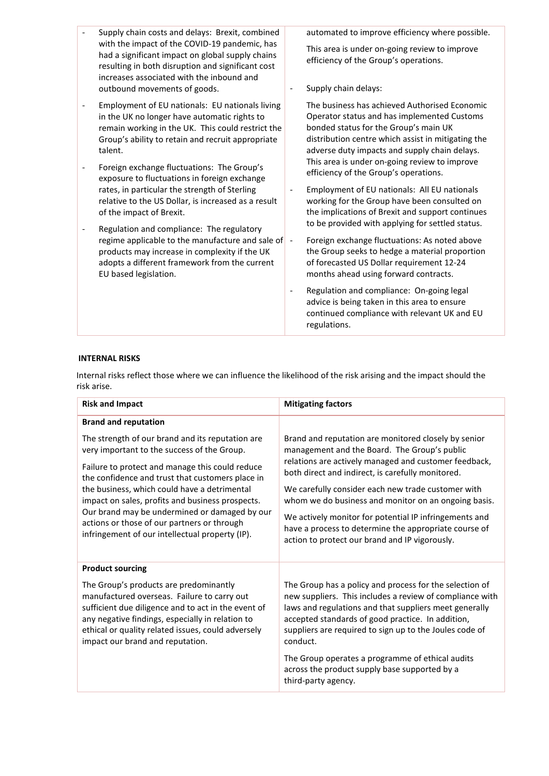- Supply chain costs and delays: Brexit, combined with the impact of the COVID-19 pandemic, has had a significant impact on global supply chains resulting in both disruption and significant cost increases associated with the inbound and outbound movements of goods.
- Employment of EU nationals: EU nationals living in the UK no longer have automatic rights to remain working in the UK. This could restrict the Group's ability to retain and recruit appropriate talent.
- Foreign exchange fluctuations: The Group's exposure to fluctuations in foreign exchange rates, in particular the strength of Sterling relative to the US Dollar, is increased as a result of the impact of Brexit.
- Regulation and compliance: The regulatory regime applicable to the manufacture and sale of products may increase in complexity if the UK adopts a different framework from the current EU based legislation.

automated to improve efficiency where possible.

This area is under on-going review to improve efficiency of the Group's operations.

- Supply chain delays:

The business has achieved Authorised Economic Operator status and has implemented Customs bonded status for the Group's main UK distribution centre which assist in mitigating the adverse duty impacts and supply chain delays. This area is under on-going review to improve efficiency of the Group's operations.

- Employment of EU nationals: All EU nationals working for the Group have been consulted on the implications of Brexit and support continues to be provided with applying for settled status.
- Foreign exchange fluctuations: As noted above the Group seeks to hedge a material proportion of forecasted US Dollar requirement 12-24 months ahead using forward contracts.
- Regulation and compliance: On-going legal advice is being taken in this area to ensure continued compliance with relevant UK and EU regulations.

# **INTERNAL RISKS**

Internal risks reflect those where we can influence the likelihood of the risk arising and the impact should the risk arise.

| <b>Risk and Impact</b>                                                                                                                                                                                                                                                                                                                                                                                                                                        | <b>Mitigating factors</b>                                                                                                                                                                                                                                                                                                                                                                                                                                                                             |
|---------------------------------------------------------------------------------------------------------------------------------------------------------------------------------------------------------------------------------------------------------------------------------------------------------------------------------------------------------------------------------------------------------------------------------------------------------------|-------------------------------------------------------------------------------------------------------------------------------------------------------------------------------------------------------------------------------------------------------------------------------------------------------------------------------------------------------------------------------------------------------------------------------------------------------------------------------------------------------|
| <b>Brand and reputation</b>                                                                                                                                                                                                                                                                                                                                                                                                                                   |                                                                                                                                                                                                                                                                                                                                                                                                                                                                                                       |
| The strength of our brand and its reputation are<br>very important to the success of the Group.<br>Failure to protect and manage this could reduce<br>the confidence and trust that customers place in<br>the business, which could have a detrimental<br>impact on sales, profits and business prospects.<br>Our brand may be undermined or damaged by our<br>actions or those of our partners or through<br>infringement of our intellectual property (IP). | Brand and reputation are monitored closely by senior<br>management and the Board. The Group's public<br>relations are actively managed and customer feedback,<br>both direct and indirect, is carefully monitored.<br>We carefully consider each new trade customer with<br>whom we do business and monitor on an ongoing basis.<br>We actively monitor for potential IP infringements and<br>have a process to determine the appropriate course of<br>action to protect our brand and IP vigorously. |
| <b>Product sourcing</b>                                                                                                                                                                                                                                                                                                                                                                                                                                       |                                                                                                                                                                                                                                                                                                                                                                                                                                                                                                       |
| The Group's products are predominantly<br>manufactured overseas. Failure to carry out<br>sufficient due diligence and to act in the event of<br>any negative findings, especially in relation to<br>ethical or quality related issues, could adversely<br>impact our brand and reputation.                                                                                                                                                                    | The Group has a policy and process for the selection of<br>new suppliers. This includes a review of compliance with<br>laws and regulations and that suppliers meet generally<br>accepted standards of good practice. In addition,<br>suppliers are required to sign up to the Joules code of<br>conduct.<br>The Group operates a programme of ethical audits<br>across the product supply base supported by a<br>third-party agency.                                                                 |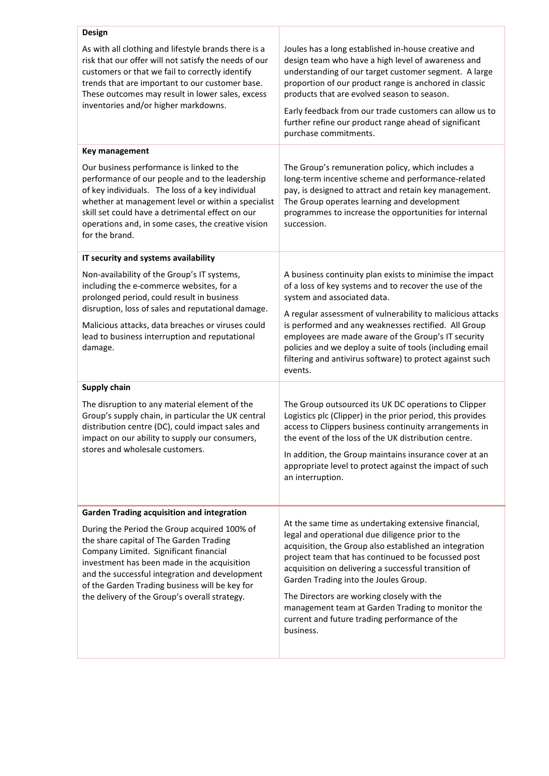| Design                                                                                                                                                                                                                                                                                                                                |                                                                                                                                                                                                                                                                                                                                                                                                                                                                                            |
|---------------------------------------------------------------------------------------------------------------------------------------------------------------------------------------------------------------------------------------------------------------------------------------------------------------------------------------|--------------------------------------------------------------------------------------------------------------------------------------------------------------------------------------------------------------------------------------------------------------------------------------------------------------------------------------------------------------------------------------------------------------------------------------------------------------------------------------------|
| As with all clothing and lifestyle brands there is a<br>risk that our offer will not satisfy the needs of our<br>customers or that we fail to correctly identify<br>trends that are important to our customer base.<br>These outcomes may result in lower sales, excess<br>inventories and/or higher markdowns.                       | Joules has a long established in-house creative and<br>design team who have a high level of awareness and<br>understanding of our target customer segment. A large<br>proportion of our product range is anchored in classic<br>products that are evolved season to season.<br>Early feedback from our trade customers can allow us to<br>further refine our product range ahead of significant<br>purchase commitments.                                                                   |
| Key management                                                                                                                                                                                                                                                                                                                        |                                                                                                                                                                                                                                                                                                                                                                                                                                                                                            |
| Our business performance is linked to the<br>performance of our people and to the leadership<br>of key individuals. The loss of a key individual<br>whether at management level or within a specialist<br>skill set could have a detrimental effect on our<br>operations and, in some cases, the creative vision<br>for the brand.    | The Group's remuneration policy, which includes a<br>long-term incentive scheme and performance-related<br>pay, is designed to attract and retain key management.<br>The Group operates learning and development<br>programmes to increase the opportunities for internal<br>succession.                                                                                                                                                                                                   |
| IT security and systems availability                                                                                                                                                                                                                                                                                                  |                                                                                                                                                                                                                                                                                                                                                                                                                                                                                            |
| Non-availability of the Group's IT systems,<br>including the e-commerce websites, for a<br>prolonged period, could result in business<br>disruption, loss of sales and reputational damage.<br>Malicious attacks, data breaches or viruses could<br>lead to business interruption and reputational<br>damage.                         | A business continuity plan exists to minimise the impact<br>of a loss of key systems and to recover the use of the<br>system and associated data.<br>A regular assessment of vulnerability to malicious attacks<br>is performed and any weaknesses rectified. All Group<br>employees are made aware of the Group's IT security<br>policies and we deploy a suite of tools (including email<br>filtering and antivirus software) to protect against such<br>events.                         |
| <b>Supply chain</b>                                                                                                                                                                                                                                                                                                                   |                                                                                                                                                                                                                                                                                                                                                                                                                                                                                            |
| The disruption to any material element of the<br>Group's supply chain, in particular the UK central<br>distribution centre (DC), could impact sales and<br>impact on our ability to supply our consumers,<br>stores and wholesale customers.                                                                                          | The Group outsourced its UK DC operations to Clipper<br>Logistics plc (Clipper) in the prior period, this provides<br>access to Clippers business continuity arrangements in<br>the event of the loss of the UK distribution centre<br>In addition, the Group maintains insurance cover at an<br>appropriate level to protect against the impact of such<br>an interruption.                                                                                                               |
| <b>Garden Trading acquisition and integration</b>                                                                                                                                                                                                                                                                                     |                                                                                                                                                                                                                                                                                                                                                                                                                                                                                            |
| During the Period the Group acquired 100% of<br>the share capital of The Garden Trading<br>Company Limited. Significant financial<br>investment has been made in the acquisition<br>and the successful integration and development<br>of the Garden Trading business will be key for<br>the delivery of the Group's overall strategy. | At the same time as undertaking extensive financial,<br>legal and operational due diligence prior to the<br>acquisition, the Group also established an integration<br>project team that has continued to be focussed post<br>acquisition on delivering a successful transition of<br>Garden Trading into the Joules Group.<br>The Directors are working closely with the<br>management team at Garden Trading to monitor the<br>current and future trading performance of the<br>business. |
|                                                                                                                                                                                                                                                                                                                                       |                                                                                                                                                                                                                                                                                                                                                                                                                                                                                            |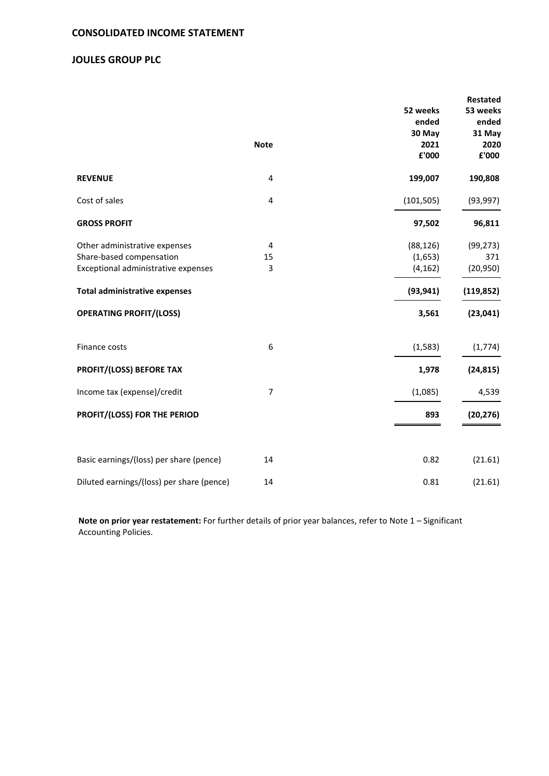# **JOULES GROUP PLC**

|                                           |                |            | <b>Restated</b> |
|-------------------------------------------|----------------|------------|-----------------|
|                                           |                | 52 weeks   | 53 weeks        |
|                                           |                | ended      | ended           |
|                                           |                | 30 May     | 31 May          |
|                                           | <b>Note</b>    | 2021       | 2020            |
|                                           |                | £'000      | £'000           |
| <b>REVENUE</b>                            | 4              | 199,007    | 190,808         |
| Cost of sales                             | $\overline{4}$ | (101, 505) | (93, 997)       |
| <b>GROSS PROFIT</b>                       |                | 97,502     | 96,811          |
| Other administrative expenses             | 4              | (88, 126)  | (99, 273)       |
| Share-based compensation                  | 15             | (1,653)    | 371             |
| Exceptional administrative expenses       | 3              | (4, 162)   | (20, 950)       |
| <b>Total administrative expenses</b>      |                | (93, 941)  | (119, 852)      |
| <b>OPERATING PROFIT/(LOSS)</b>            |                | 3,561      | (23, 041)       |
| Finance costs                             | 6              | (1, 583)   | (1, 774)        |
| PROFIT/(LOSS) BEFORE TAX                  |                | 1,978      | (24, 815)       |
| Income tax (expense)/credit               | $\overline{7}$ | (1,085)    | 4,539           |
| PROFIT/(LOSS) FOR THE PERIOD              |                | 893        | (20, 276)       |
|                                           |                |            |                 |
| Basic earnings/(loss) per share (pence)   | 14             | 0.82       | (21.61)         |
| Diluted earnings/(loss) per share (pence) | 14             | 0.81       | (21.61)         |

**Note on prior year restatement:** For further details of prior year balances, refer to Note 1 – Significant Accounting Policies.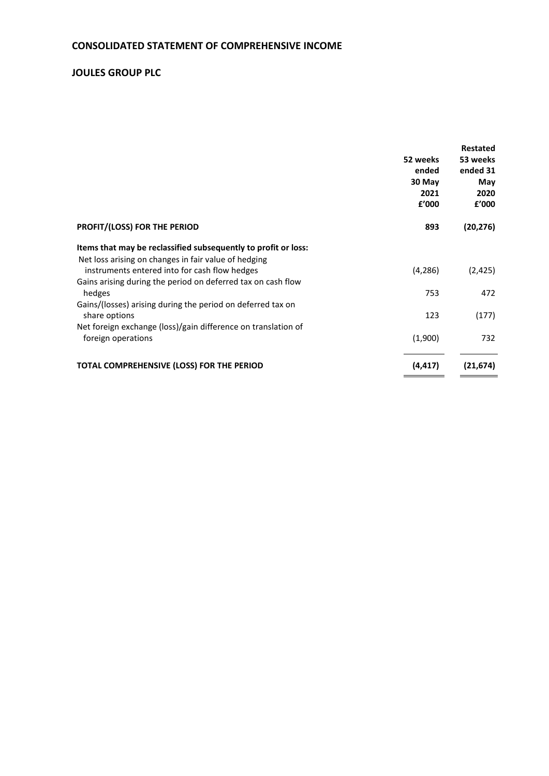# **CONSOLIDATED STATEMENT OF COMPREHENSIVE INCOME**

# **JOULES GROUP PLC**

|                                                                | <b>Restated</b> |
|----------------------------------------------------------------|-----------------|
| 52 weeks                                                       | 53 weeks        |
| ended                                                          | ended 31        |
| 30 May                                                         | May             |
| 2021                                                           | 2020            |
| £'000                                                          | £'000           |
| <b>PROFIT/(LOSS) FOR THE PERIOD</b><br>893                     | (20, 276)       |
| Items that may be reclassified subsequently to profit or loss: |                 |
| Net loss arising on changes in fair value of hedging           |                 |
| instruments entered into for cash flow hedges<br>(4, 286)      | (2, 425)        |
| Gains arising during the period on deferred tax on cash flow   |                 |
| hedges<br>753                                                  | 472             |
| Gains/(losses) arising during the period on deferred tax on    |                 |
| 123<br>share options                                           | (177)           |
| Net foreign exchange (loss)/gain difference on translation of  |                 |
| (1,900)<br>foreign operations                                  | 732             |
| TOTAL COMPREHENSIVE (LOSS) FOR THE PERIOD<br>(4, 417)          | (21, 674)       |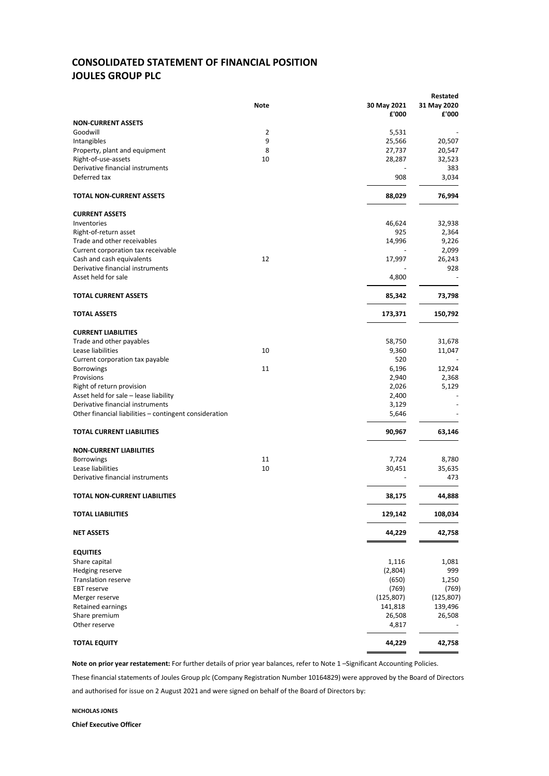# **CONSOLIDATED STATEMENT OF FINANCIAL POSITION JOULES GROUP PLC**

|                                                        |      |             | Restated    |
|--------------------------------------------------------|------|-------------|-------------|
|                                                        | Note | 30 May 2021 | 31 May 2020 |
|                                                        |      | £'000       | £'000       |
| <b>NON-CURRENT ASSETS</b>                              |      |             |             |
| Goodwill                                               | 2    | 5,531       |             |
| Intangibles                                            | 9    | 25,566      | 20,507      |
| Property, plant and equipment                          | 8    | 27,737      | 20,547      |
| Right-of-use-assets                                    | 10   | 28,287      | 32,523      |
| Derivative financial instruments                       |      |             | 383         |
| Deferred tax                                           |      | 908         | 3,034       |
|                                                        |      |             |             |
| TOTAL NON-CURRENT ASSETS                               |      | 88,029      | 76,994      |
| <b>CURRENT ASSETS</b>                                  |      |             |             |
| Inventories                                            |      | 46,624      | 32,938      |
| Right-of-return asset                                  |      | 925         | 2,364       |
| Trade and other receivables                            |      | 14,996      | 9,226       |
| Current corporation tax receivable                     |      |             | 2,099       |
| Cash and cash equivalents                              | 12   | 17,997      | 26,243      |
| Derivative financial instruments                       |      |             | 928         |
| Asset held for sale                                    |      | 4,800       |             |
|                                                        |      |             |             |
| <b>TOTAL CURRENT ASSETS</b>                            |      | 85,342      | 73,798      |
| <b>TOTAL ASSETS</b>                                    |      | 173,371     | 150,792     |
| <b>CURRENT LIABILITIES</b>                             |      |             |             |
| Trade and other payables                               |      | 58,750      | 31,678      |
| Lease liabilities                                      | 10   | 9,360       |             |
|                                                        |      | 520         | 11,047      |
| Current corporation tax payable                        | 11   |             |             |
| <b>Borrowings</b>                                      |      | 6,196       | 12,924      |
| Provisions                                             |      | 2,940       | 2,368       |
| Right of return provision                              |      | 2,026       | 5,129       |
| Asset held for sale - lease liability                  |      | 2,400       |             |
| Derivative financial instruments                       |      | 3,129       |             |
| Other financial liabilities - contingent consideration |      | 5,646       |             |
| <b>TOTAL CURRENT LIABILITIES</b>                       |      | 90,967      | 63,146      |
| <b>NON-CURRENT LIABILITIES</b>                         |      |             |             |
| <b>Borrowings</b>                                      | 11   | 7,724       | 8,780       |
| Lease liabilities                                      | 10   | 30,451      | 35,635      |
| Derivative financial instruments                       |      |             | 473         |
| <b>TOTAL NON-CURRENT LIABILITIES</b>                   |      | 38,175      | 44,888      |
| <b>TOTAL LIABILITIES</b>                               |      | 129,142     | 108,034     |
|                                                        |      |             |             |
| <b>NET ASSETS</b>                                      |      | 44,229      | 42,758      |
| <b>EQUITIES</b>                                        |      |             |             |
| Share capital                                          |      | 1,116       | 1,081       |
| Hedging reserve                                        |      | (2,804)     | 999         |
| <b>Translation reserve</b>                             |      | (650)       | 1,250       |
| <b>EBT</b> reserve                                     |      | (769)       | (769)       |
| Merger reserve                                         |      | (125, 807)  | (125, 807)  |
| Retained earnings                                      |      | 141,818     | 139,496     |
| Share premium                                          |      | 26,508      | 26,508      |
| Other reserve                                          |      | 4,817       |             |
| <b>TOTAL EQUITY</b>                                    |      | 44,229      | 42,758      |
|                                                        |      |             |             |

**Note on prior year restatement:** For further details of prior year balances, refer to Note 1 –Significant Accounting Policies.

These financial statements of Joules Group plc (Company Registration Number 10164829) were approved by the Board of Directors and authorised for issue on 2 August 2021 and were signed on behalf of the Board of Directors by:

**NICHOLAS JONES**

**Chief Executive Officer**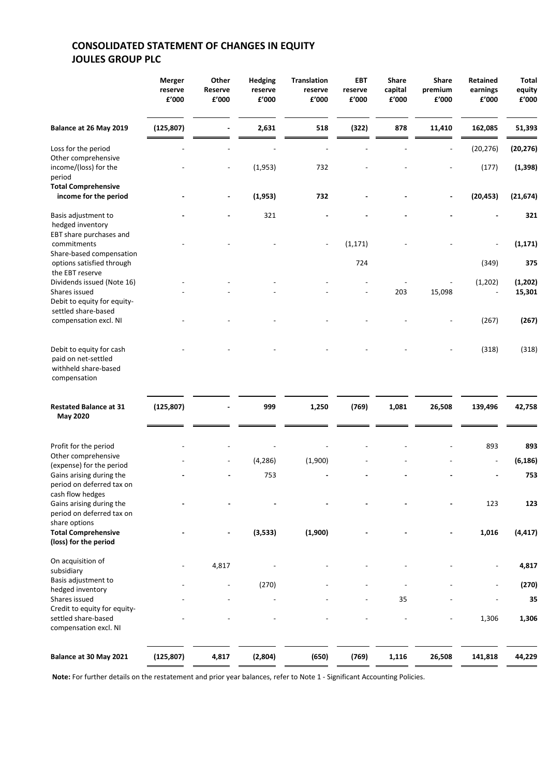# **CONSOLIDATED STATEMENT OF CHANGES IN EQUITY JOULES GROUP PLC**

|                                                                                         | Merger<br>reserve<br>£'000 | Other<br><b>Reserve</b><br>£'000 | <b>Hedging</b><br>reserve<br>£'000 | <b>Translation</b><br>reserve<br>£'000 | <b>EBT</b><br>reserve<br>£'000 | <b>Share</b><br>capital<br>£'000 | <b>Share</b><br>premium<br>£'000 | <b>Retained</b><br>earnings<br>£'000 | <b>Total</b><br>equity<br>£'000 |
|-----------------------------------------------------------------------------------------|----------------------------|----------------------------------|------------------------------------|----------------------------------------|--------------------------------|----------------------------------|----------------------------------|--------------------------------------|---------------------------------|
| Balance at 26 May 2019                                                                  | (125, 807)                 |                                  | 2,631                              | 518                                    | (322)                          | 878                              | 11,410                           | 162,085                              | 51,393                          |
| Loss for the period                                                                     |                            |                                  |                                    |                                        |                                |                                  |                                  | (20, 276)                            | (20, 276)                       |
| Other comprehensive<br>income/(loss) for the<br>period                                  |                            | $\overline{a}$                   | (1,953)                            | 732                                    |                                |                                  |                                  | (177)                                | (1, 398)                        |
| <b>Total Comprehensive</b><br>income for the period                                     |                            | ÷,                               | (1,953)                            | 732                                    |                                |                                  |                                  | (20, 453)                            | (21, 674)                       |
| Basis adjustment to<br>hedged inventory<br>EBT share purchases and                      |                            |                                  | 321                                |                                        |                                |                                  |                                  |                                      | 321                             |
| commitments<br>Share-based compensation                                                 |                            |                                  |                                    |                                        | (1, 171)                       |                                  |                                  |                                      | (1, 171)                        |
| options satisfied through<br>the EBT reserve                                            |                            |                                  |                                    |                                        | 724                            |                                  |                                  | (349)                                | 375                             |
| Dividends issued (Note 16)<br>Shares issued<br>Debit to equity for equity-              |                            |                                  |                                    |                                        |                                | 203                              | 15,098                           | (1, 202)                             | (1, 202)<br>15,301              |
| settled share-based<br>compensation excl. NI                                            |                            |                                  |                                    |                                        |                                |                                  |                                  | (267)                                | (267)                           |
| Debit to equity for cash<br>paid on net-settled<br>withheld share-based<br>compensation |                            |                                  |                                    |                                        |                                |                                  |                                  | (318)                                | (318)                           |
| <b>Restated Balance at 31</b><br><b>May 2020</b>                                        | (125, 807)                 |                                  | 999                                | 1,250                                  | (769)                          | 1,081                            | 26,508                           | 139,496                              | 42,758                          |
| Profit for the period<br>Other comprehensive<br>(expense) for the period                |                            |                                  | (4, 286)                           | (1,900)                                |                                |                                  |                                  | 893                                  | 893<br>(6, 186)                 |

| <b>Restated Balance at 31</b><br><b>May 2020</b>                             | (125, 807) |       | 999      | 1,250   | (769) | 1,081 | 26,508 | 139,496                  | 42,758   |
|------------------------------------------------------------------------------|------------|-------|----------|---------|-------|-------|--------|--------------------------|----------|
| Profit for the period                                                        |            |       |          |         |       |       |        | 893                      | 893      |
| Other comprehensive<br>(expense) for the period                              |            |       | (4, 286) | (1,900) |       |       |        | $\overline{\phantom{a}}$ | (6, 186) |
| Gains arising during the<br>period on deferred tax on<br>cash flow hedges    |            |       | 753      |         |       |       |        |                          | 753      |
| Gains arising during the<br>period on deferred tax on<br>share options       |            |       |          |         |       |       |        | 123                      | 123      |
| <b>Total Comprehensive</b><br>(loss) for the period                          |            |       | (3,533)  | (1,900) |       |       |        | 1,016                    | (4, 417) |
| On acquisition of<br>subsidiary                                              |            | 4,817 |          |         |       |       |        |                          | 4,817    |
| Basis adjustment to<br>hedged inventory                                      |            |       | (270)    |         |       |       |        |                          | (270)    |
| Shares issued                                                                |            |       |          |         |       | 35    |        |                          | 35       |
| Credit to equity for equity-<br>settled share-based<br>compensation excl. NI |            |       |          |         |       |       |        | 1,306                    | 1,306    |
| Balance at 30 May 2021                                                       | (125, 807) | 4,817 | (2,804)  | (650)   | (769) | 1,116 | 26,508 | 141,818                  | 44,229   |

**Note:** For further details on the restatement and prior year balances, refer to Note 1 - Significant Accounting Policies.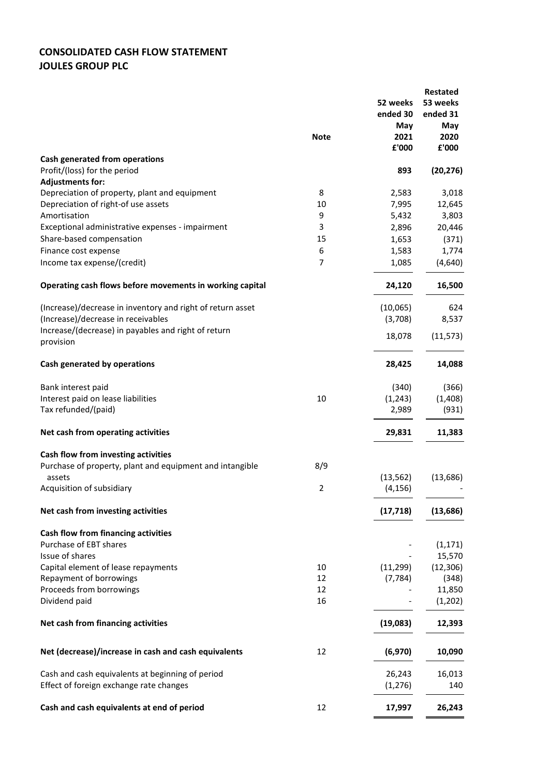# **CONSOLIDATED CASH FLOW STATEMENT JOULES GROUP PLC**

|                                                                          | <b>Note</b>    | 52 weeks<br>ended 30<br>May<br>2021<br>£'000 | <b>Restated</b><br>53 weeks<br>ended 31<br>May<br>2020<br>£'000 |
|--------------------------------------------------------------------------|----------------|----------------------------------------------|-----------------------------------------------------------------|
| Cash generated from operations                                           |                |                                              |                                                                 |
| Profit/(loss) for the period                                             |                | 893                                          | (20, 276)                                                       |
| <b>Adjustments for:</b><br>Depreciation of property, plant and equipment | 8              | 2,583                                        | 3,018                                                           |
| Depreciation of right-of use assets                                      | 10             | 7,995                                        | 12,645                                                          |
| Amortisation                                                             | 9              | 5,432                                        | 3,803                                                           |
| Exceptional administrative expenses - impairment                         | 3              | 2,896                                        | 20,446                                                          |
| Share-based compensation                                                 | 15             | 1,653                                        | (371)                                                           |
| Finance cost expense                                                     | 6              | 1,583                                        | 1,774                                                           |
| Income tax expense/(credit)                                              | $\overline{7}$ | 1,085                                        | (4,640)                                                         |
| Operating cash flows before movements in working capital                 |                | 24,120                                       | 16,500                                                          |
| (Increase)/decrease in inventory and right of return asset               |                | (10,065)                                     | 624                                                             |
| (Increase)/decrease in receivables                                       |                | (3,708)                                      | 8,537                                                           |
| Increase/(decrease) in payables and right of return<br>provision         |                | 18,078                                       | (11, 573)                                                       |
| Cash generated by operations                                             |                | 28,425                                       | 14,088                                                          |
| Bank interest paid                                                       |                | (340)                                        | (366)                                                           |
| Interest paid on lease liabilities                                       | 10             | (1, 243)                                     | (1, 408)                                                        |
| Tax refunded/(paid)                                                      |                | 2,989                                        | (931)                                                           |
| Net cash from operating activities                                       |                | 29,831                                       | 11,383                                                          |
| Cash flow from investing activities                                      |                |                                              |                                                                 |
| Purchase of property, plant and equipment and intangible                 | 8/9            |                                              |                                                                 |
| assets                                                                   |                | (13, 562)                                    | (13,686)                                                        |
| Acquisition of subsidiary                                                | $\overline{2}$ | (4, 156)                                     |                                                                 |
| Net cash from investing activities                                       |                | (17, 718)                                    | (13, 686)                                                       |
| Cash flow from financing activities                                      |                |                                              |                                                                 |
| Purchase of EBT shares<br>Issue of shares                                |                |                                              | (1, 171)                                                        |
| Capital element of lease repayments                                      | 10             | (11, 299)                                    | 15,570<br>(12, 306)                                             |
| Repayment of borrowings                                                  | 12             | (7, 784)                                     | (348)                                                           |
| Proceeds from borrowings                                                 | 12             |                                              | 11,850                                                          |
| Dividend paid                                                            | 16             |                                              | (1, 202)                                                        |
| Net cash from financing activities                                       |                | (19,083)                                     | 12,393                                                          |
| Net (decrease)/increase in cash and cash equivalents                     | 12             | (6,970)                                      | 10,090                                                          |
| Cash and cash equivalents at beginning of period                         |                | 26,243                                       | 16,013                                                          |
| Effect of foreign exchange rate changes                                  |                | (1, 276)                                     | 140                                                             |
| Cash and cash equivalents at end of period                               | 12             | 17,997                                       | 26,243                                                          |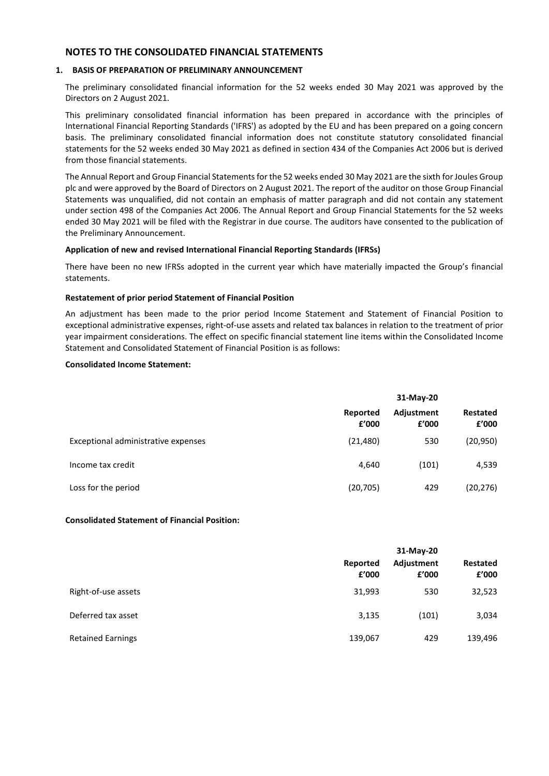# **NOTES TO THE CONSOLIDATED FINANCIAL STATEMENTS**

# **1. BASIS OF PREPARATION OF PRELIMINARY ANNOUNCEMENT**

The preliminary consolidated financial information for the 52 weeks ended 30 May 2021 was approved by the Directors on 2 August 2021.

This preliminary consolidated financial information has been prepared in accordance with the principles of International Financial Reporting Standards ('IFRS') as adopted by the EU and has been prepared on a going concern basis. The preliminary consolidated financial information does not constitute statutory consolidated financial statements for the 52 weeks ended 30 May 2021 as defined in section 434 of the Companies Act 2006 but is derived from those financial statements.

The Annual Report and Group Financial Statements for the 52 weeks ended 30 May 2021 are the sixth for Joules Group plc and were approved by the Board of Directors on 2 August 2021. The report of the auditor on those Group Financial Statements was unqualified, did not contain an emphasis of matter paragraph and did not contain any statement under section 498 of the Companies Act 2006. The Annual Report and Group Financial Statements for the 52 weeks ended 30 May 2021 will be filed with the Registrar in due course. The auditors have consented to the publication of the Preliminary Announcement.

### **Application of new and revised International Financial Reporting Standards (IFRSs)**

There have been no new IFRSs adopted in the current year which have materially impacted the Group's financial statements.

### **Restatement of prior period Statement of Financial Position**

An adjustment has been made to the prior period Income Statement and Statement of Financial Position to exceptional administrative expenses, right-of-use assets and related tax balances in relation to the treatment of prior year impairment considerations. The effect on specific financial statement line items within the Consolidated Income Statement and Consolidated Statement of Financial Position is as follows:

### **Consolidated Income Statement:**

|                                     | 31-May-20         |                     |                   |
|-------------------------------------|-------------------|---------------------|-------------------|
|                                     | Reported<br>f'000 | Adjustment<br>f'000 | Restated<br>f'000 |
| Exceptional administrative expenses | (21, 480)         | 530                 | (20, 950)         |
| Income tax credit                   | 4,640             | (101)               | 4,539             |
| Loss for the period                 | (20, 705)         | 429                 | (20, 276)         |

#### **Consolidated Statement of Financial Position:**

|                          | Reported<br>£'000 | 31-May-20<br>Adjustment<br>f'000 | Restated<br>f'000 |
|--------------------------|-------------------|----------------------------------|-------------------|
| Right-of-use assets      | 31,993            | 530                              | 32,523            |
| Deferred tax asset       | 3,135             | (101)                            | 3,034             |
| <b>Retained Earnings</b> | 139,067           | 429                              | 139,496           |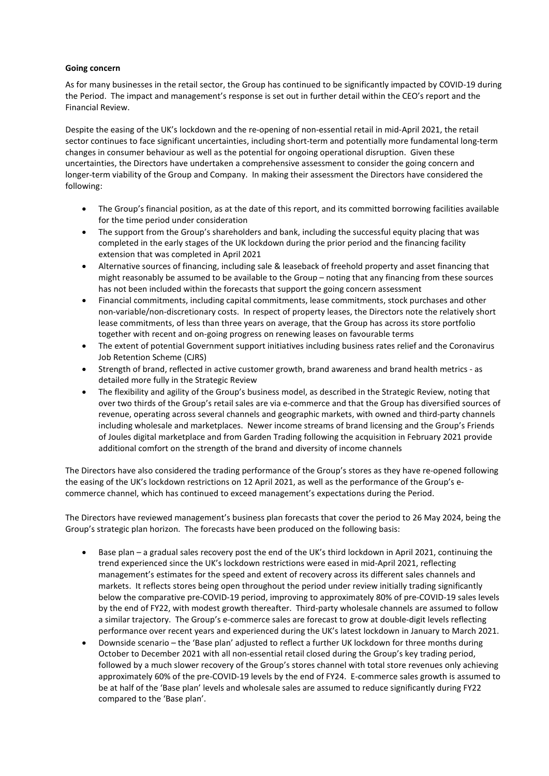### **Going concern**

As for many businesses in the retail sector, the Group has continued to be significantly impacted by COVID-19 during the Period. The impact and management's response is set out in further detail within the CEO's report and the Financial Review.

Despite the easing of the UK's lockdown and the re-opening of non-essential retail in mid-April 2021, the retail sector continues to face significant uncertainties, including short-term and potentially more fundamental long-term changes in consumer behaviour as well as the potential for ongoing operational disruption. Given these uncertainties, the Directors have undertaken a comprehensive assessment to consider the going concern and longer-term viability of the Group and Company. In making their assessment the Directors have considered the following:

- The Group's financial position, as at the date of this report, and its committed borrowing facilities available for the time period under consideration
- The support from the Group's shareholders and bank, including the successful equity placing that was completed in the early stages of the UK lockdown during the prior period and the financing facility extension that was completed in April 2021
- Alternative sources of financing, including sale & leaseback of freehold property and asset financing that might reasonably be assumed to be available to the Group – noting that any financing from these sources has not been included within the forecasts that support the going concern assessment
- Financial commitments, including capital commitments, lease commitments, stock purchases and other non-variable/non-discretionary costs. In respect of property leases, the Directors note the relatively short lease commitments, of less than three years on average, that the Group has across its store portfolio together with recent and on-going progress on renewing leases on favourable terms
- The extent of potential Government support initiatives including business rates relief and the Coronavirus Job Retention Scheme (CJRS)
- Strength of brand, reflected in active customer growth, brand awareness and brand health metrics as detailed more fully in the Strategic Review
- The flexibility and agility of the Group's business model, as described in the Strategic Review, noting that over two thirds of the Group's retail sales are via e-commerce and that the Group has diversified sources of revenue, operating across several channels and geographic markets, with owned and third-party channels including wholesale and marketplaces. Newer income streams of brand licensing and the Group's Friends of Joules digital marketplace and from Garden Trading following the acquisition in February 2021 provide additional comfort on the strength of the brand and diversity of income channels

The Directors have also considered the trading performance of the Group's stores as they have re-opened following the easing of the UK's lockdown restrictions on 12 April 2021, as well as the performance of the Group's ecommerce channel, which has continued to exceed management's expectations during the Period.

The Directors have reviewed management's business plan forecasts that cover the period to 26 May 2024, being the Group's strategic plan horizon. The forecasts have been produced on the following basis:

- Base plan a gradual sales recovery post the end of the UK's third lockdown in April 2021, continuing the trend experienced since the UK's lockdown restrictions were eased in mid-April 2021, reflecting management's estimates for the speed and extent of recovery across its different sales channels and markets. It reflects stores being open throughout the period under review initially trading significantly below the comparative pre-COVID-19 period, improving to approximately 80% of pre-COVID-19 sales levels by the end of FY22, with modest growth thereafter. Third-party wholesale channels are assumed to follow a similar trajectory. The Group's e-commerce sales are forecast to grow at double-digit levels reflecting performance over recent years and experienced during the UK's latest lockdown in January to March 2021.
- Downside scenario the 'Base plan' adjusted to reflect a further UK lockdown for three months during October to December 2021 with all non-essential retail closed during the Group's key trading period, followed by a much slower recovery of the Group's stores channel with total store revenues only achieving approximately 60% of the pre-COVID-19 levels by the end of FY24. E-commerce sales growth is assumed to be at half of the 'Base plan' levels and wholesale sales are assumed to reduce significantly during FY22 compared to the 'Base plan'.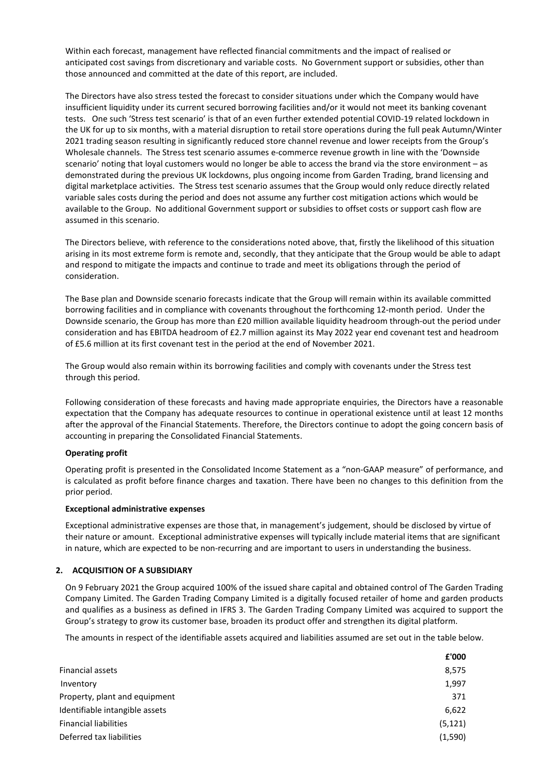Within each forecast, management have reflected financial commitments and the impact of realised or anticipated cost savings from discretionary and variable costs. No Government support or subsidies, other than those announced and committed at the date of this report, are included.

The Directors have also stress tested the forecast to consider situations under which the Company would have insufficient liquidity under its current secured borrowing facilities and/or it would not meet its banking covenant tests. One such 'Stress test scenario' is that of an even further extended potential COVID-19 related lockdown in the UK for up to six months, with a material disruption to retail store operations during the full peak Autumn/Winter 2021 trading season resulting in significantly reduced store channel revenue and lower receipts from the Group's Wholesale channels. The Stress test scenario assumes e-commerce revenue growth in line with the 'Downside scenario' noting that loyal customers would no longer be able to access the brand via the store environment – as demonstrated during the previous UK lockdowns, plus ongoing income from Garden Trading, brand licensing and digital marketplace activities. The Stress test scenario assumes that the Group would only reduce directly related variable sales costs during the period and does not assume any further cost mitigation actions which would be available to the Group. No additional Government support or subsidies to offset costs or support cash flow are assumed in this scenario.

The Directors believe, with reference to the considerations noted above, that, firstly the likelihood of this situation arising in its most extreme form is remote and, secondly, that they anticipate that the Group would be able to adapt and respond to mitigate the impacts and continue to trade and meet its obligations through the period of consideration.

The Base plan and Downside scenario forecasts indicate that the Group will remain within its available committed borrowing facilities and in compliance with covenants throughout the forthcoming 12-month period.  Under the Downside scenario, the Group has more than £20 million available liquidity headroom through-out the period under consideration and has EBITDA headroom of £2.7 million against its May 2022 year end covenant test and headroom of £5.6 million at its first covenant test in the period at the end of November 2021.

The Group would also remain within its borrowing facilities and comply with covenants under the Stress test through this period.

Following consideration of these forecasts and having made appropriate enquiries, the Directors have a reasonable expectation that the Company has adequate resources to continue in operational existence until at least 12 months after the approval of the Financial Statements. Therefore, the Directors continue to adopt the going concern basis of accounting in preparing the Consolidated Financial Statements.

# **Operating profit**

Operating profit is presented in the Consolidated Income Statement as a "non-GAAP measure" of performance, and is calculated as profit before finance charges and taxation. There have been no changes to this definition from the prior period.

# **Exceptional administrative expenses**

Exceptional administrative expenses are those that, in management's judgement, should be disclosed by virtue of their nature or amount. Exceptional administrative expenses will typically include material items that are significant in nature, which are expected to be non-recurring and are important to users in understanding the business.

# **2. ACQUISITION OF A SUBSIDIARY**

On 9 February 2021 the Group acquired 100% of the issued share capital and obtained control of The Garden Trading Company Limited. The Garden Trading Company Limited is a digitally focused retailer of home and garden products and qualifies as a business as defined in IFRS 3. The Garden Trading Company Limited was acquired to support the Group's strategy to grow its customer base, broaden its product offer and strengthen its digital platform.

The amounts in respect of the identifiable assets acquired and liabilities assumed are set out in the table below.

| £'000    |
|----------|
| 8,575    |
| 1,997    |
| 371      |
| 6,622    |
| (5, 121) |
| (1,590)  |
|          |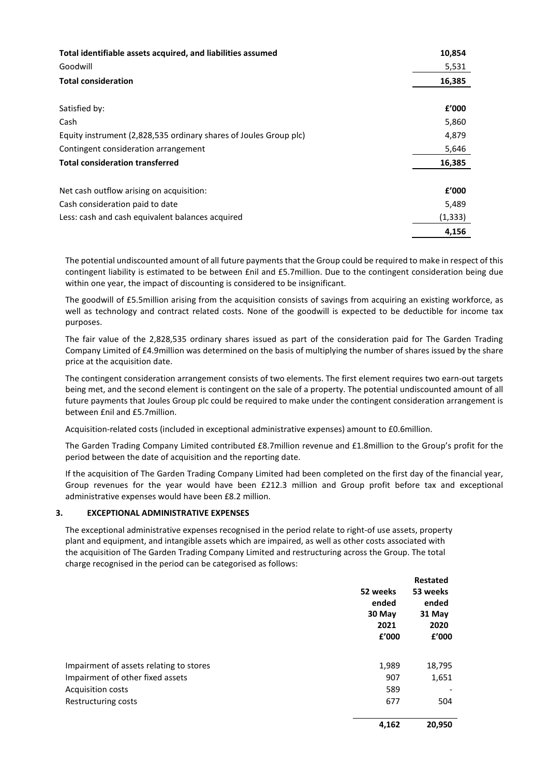| Total identifiable assets acquired, and liabilities assumed       | 10,854   |
|-------------------------------------------------------------------|----------|
| Goodwill                                                          | 5,531    |
| <b>Total consideration</b>                                        | 16,385   |
|                                                                   |          |
| Satisfied by:                                                     | f'000    |
| Cash                                                              | 5,860    |
| Equity instrument (2,828,535 ordinary shares of Joules Group plc) | 4,879    |
| Contingent consideration arrangement                              | 5,646    |
| <b>Total consideration transferred</b>                            | 16,385   |
|                                                                   |          |
| Net cash outflow arising on acquisition:                          | f'000    |
| Cash consideration paid to date                                   | 5,489    |
| Less: cash and cash equivalent balances acquired                  | (1, 333) |
|                                                                   | 4,156    |

The potential undiscounted amount of all future payments that the Group could be required to make in respect of this contingent liability is estimated to be between £nil and £5.7million. Due to the contingent consideration being due within one year, the impact of discounting is considered to be insignificant.

The goodwill of £5.5million arising from the acquisition consists of savings from acquiring an existing workforce, as well as technology and contract related costs. None of the goodwill is expected to be deductible for income tax purposes.

The fair value of the 2,828,535 ordinary shares issued as part of the consideration paid for The Garden Trading Company Limited of £4.9million was determined on the basis of multiplying the number of shares issued by the share price at the acquisition date.

The contingent consideration arrangement consists of two elements. The first element requires two earn-out targets being met, and the second element is contingent on the sale of a property. The potential undiscounted amount of all future payments that Joules Group plc could be required to make under the contingent consideration arrangement is between £nil and £5.7million.

Acquisition-related costs (included in exceptional administrative expenses) amount to £0.6million.

The Garden Trading Company Limited contributed £8.7million revenue and £1.8million to the Group's profit for the period between the date of acquisition and the reporting date.

If the acquisition of The Garden Trading Company Limited had been completed on the first day of the financial year, Group revenues for the year would have been £212.3 million and Group profit before tax and exceptional administrative expenses would have been £8.2 million.

# **3. EXCEPTIONAL ADMINISTRATIVE EXPENSES**

The exceptional administrative expenses recognised in the period relate to right-of use assets, property plant and equipment, and intangible assets which are impaired, as well as other costs associated with the acquisition of The Garden Trading Company Limited and restructuring across the Group. The total charge recognised in the period can be categorised as follows:

|                                         |          | <b>Restated</b> |
|-----------------------------------------|----------|-----------------|
|                                         | 52 weeks | 53 weeks        |
|                                         | ended    | ended           |
|                                         | 30 May   | 31 May          |
|                                         | 2021     | 2020            |
|                                         | £'000    | £'000           |
|                                         |          |                 |
| Impairment of assets relating to stores | 1,989    | 18,795          |
| Impairment of other fixed assets        | 907      | 1,651           |
| <b>Acquisition costs</b>                | 589      |                 |
| Restructuring costs                     | 677      | 504             |
|                                         |          |                 |
|                                         | - - - -  |                 |

 **4,162 20,950**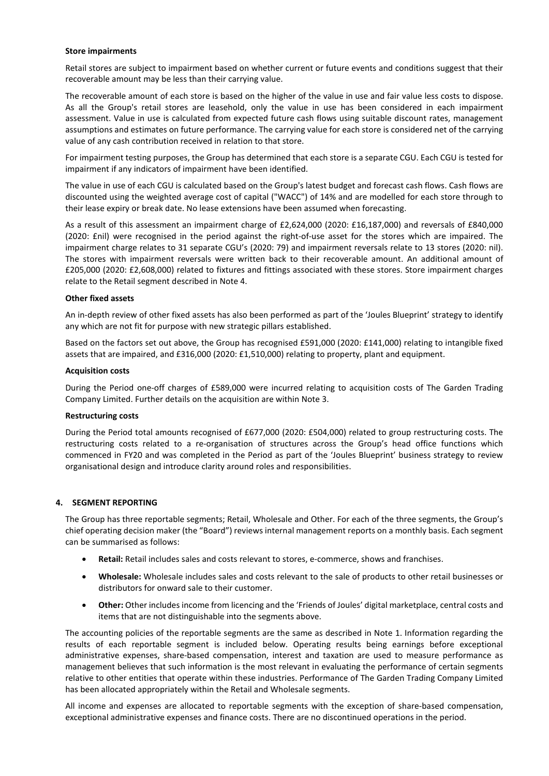#### **Store impairments**

Retail stores are subject to impairment based on whether current or future events and conditions suggest that their recoverable amount may be less than their carrying value.

The recoverable amount of each store is based on the higher of the value in use and fair value less costs to dispose. As all the Group's retail stores are leasehold, only the value in use has been considered in each impairment assessment. Value in use is calculated from expected future cash flows using suitable discount rates, management assumptions and estimates on future performance. The carrying value for each store is considered net of the carrying value of any cash contribution received in relation to that store.

For impairment testing purposes, the Group has determined that each store is a separate CGU. Each CGU is tested for impairment if any indicators of impairment have been identified.

The value in use of each CGU is calculated based on the Group's latest budget and forecast cash flows. Cash flows are discounted using the weighted average cost of capital ("WACC") of 14% and are modelled for each store through to their lease expiry or break date. No lease extensions have been assumed when forecasting.

As a result of this assessment an impairment charge of £2,624,000 (2020: £16,187,000) and reversals of £840,000 (2020: £nil) were recognised in the period against the right-of-use asset for the stores which are impaired. The impairment charge relates to 31 separate CGU's (2020: 79) and impairment reversals relate to 13 stores (2020: nil). The stores with impairment reversals were written back to their recoverable amount. An additional amount of £205,000 (2020: £2,608,000) related to fixtures and fittings associated with these stores. Store impairment charges relate to the Retail segment described in Note 4.

# **Other fixed assets**

An in-depth review of other fixed assets has also been performed as part of the 'Joules Blueprint' strategy to identify any which are not fit for purpose with new strategic pillars established.

Based on the factors set out above, the Group has recognised £591,000 (2020: £141,000) relating to intangible fixed assets that are impaired, and £316,000 (2020: £1,510,000) relating to property, plant and equipment.

### **Acquisition costs**

During the Period one-off charges of £589,000 were incurred relating to acquisition costs of The Garden Trading Company Limited. Further details on the acquisition are within Note 3.

# **Restructuring costs**

During the Period total amounts recognised of £677,000 (2020: £504,000) related to group restructuring costs. The restructuring costs related to a re-organisation of structures across the Group's head office functions which commenced in FY20 and was completed in the Period as part of the 'Joules Blueprint' business strategy to review organisational design and introduce clarity around roles and responsibilities.

# **4. SEGMENT REPORTING**

The Group has three reportable segments; Retail, Wholesale and Other. For each of the three segments, the Group's chief operating decision maker (the "Board") reviews internal management reports on a monthly basis. Each segment can be summarised as follows:

- **Retail:** Retail includes sales and costs relevant to stores, e-commerce, shows and franchises.
- **Wholesale:** Wholesale includes sales and costs relevant to the sale of products to other retail businesses or distributors for onward sale to their customer.
- **Other:** Other includes income from licencing and the 'Friends of Joules' digital marketplace, central costs and items that are not distinguishable into the segments above.

The accounting policies of the reportable segments are the same as described in Note 1. Information regarding the results of each reportable segment is included below. Operating results being earnings before exceptional administrative expenses, share-based compensation, interest and taxation are used to measure performance as management believes that such information is the most relevant in evaluating the performance of certain segments relative to other entities that operate within these industries. Performance of The Garden Trading Company Limited has been allocated appropriately within the Retail and Wholesale segments.

All income and expenses are allocated to reportable segments with the exception of share-based compensation, exceptional administrative expenses and finance costs. There are no discontinued operations in the period.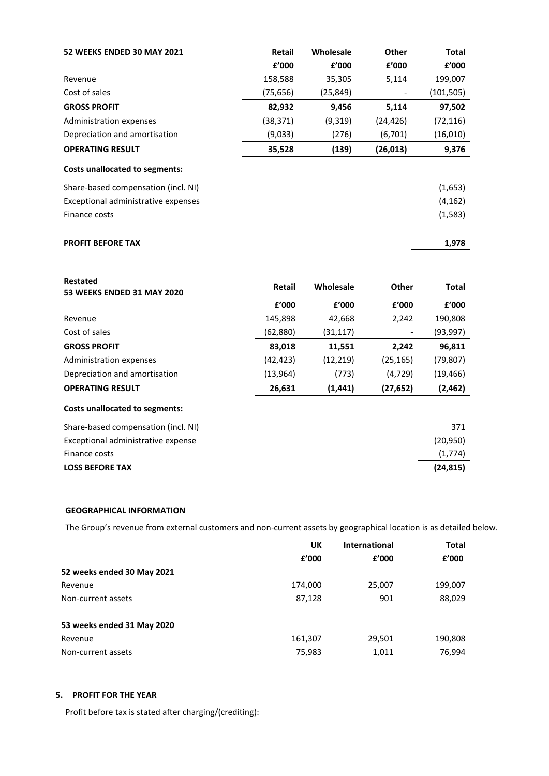| <b>52 WEEKS ENDED 30 MAY 2021</b>     | Retail        | Wholesale | Other     | <b>Total</b> |
|---------------------------------------|---------------|-----------|-----------|--------------|
|                                       | £'000         | £'000     | £'000     | £'000        |
| Revenue                               | 158,588       | 35,305    | 5,114     | 199,007      |
| Cost of sales                         | (75, 656)     | (25, 849) |           | (101, 505)   |
| <b>GROSS PROFIT</b>                   | 82,932        | 9,456     | 5,114     | 97,502       |
| Administration expenses               | (38, 371)     | (9, 319)  | (24, 426) | (72, 116)    |
| Depreciation and amortisation         | (9,033)       | (276)     | (6, 701)  | (16, 010)    |
| <b>OPERATING RESULT</b>               | 35,528        | (139)     | (26, 013) | 9,376        |
| Costs unallocated to segments:        |               |           |           |              |
| Share-based compensation (incl. NI)   |               |           |           | (1,653)      |
| Exceptional administrative expenses   |               |           |           | (4, 162)     |
| Finance costs                         |               |           |           | (1, 583)     |
|                                       |               |           |           |              |
| <b>PROFIT BEFORE TAX</b>              |               |           |           | 1,978        |
|                                       |               |           |           |              |
| <b>Restated</b>                       |               |           |           |              |
| <b>53 WEEKS ENDED 31 MAY 2020</b>     | <b>Retail</b> | Wholesale | Other     | <b>Total</b> |
|                                       | £'000         | £'000     | £'000     | £'000        |
| Revenue                               | 145,898       | 42,668    | 2,242     | 190,808      |
| Cost of sales                         | (62, 880)     | (31, 117) |           | (93, 997)    |
| <b>GROSS PROFIT</b>                   | 83,018        | 11,551    | 2,242     | 96,811       |
| Administration expenses               | (42, 423)     | (12, 219) | (25, 165) | (79, 807)    |
| Depreciation and amortisation         | (13, 964)     | (773)     | (4, 729)  | (19, 466)    |
| <b>OPERATING RESULT</b>               | 26,631        | (1, 441)  | (27, 652) | (2, 462)     |
| <b>Costs unallocated to segments:</b> |               |           |           |              |
| Share-based compensation (incl. NI)   |               |           |           | 371          |
| Exceptional administrative expense    |               |           |           | (20, 950)    |
| Finance costs                         |               |           |           | (1,774)      |
| <b>LOSS BEFORE TAX</b>                |               |           |           | (24, 815)    |

# **GEOGRAPHICAL INFORMATION**

The Group's revenue from external customers and non-current assets by geographical location is as detailed below.

|                            | UK      | <b>International</b> | <b>Total</b> |
|----------------------------|---------|----------------------|--------------|
|                            | f'000   | f'000                | f'000        |
| 52 weeks ended 30 May 2021 |         |                      |              |
| Revenue                    | 174,000 | 25,007               | 199,007      |
| Non-current assets         | 87,128  | 901                  | 88,029       |
| 53 weeks ended 31 May 2020 |         |                      |              |
| Revenue                    | 161,307 | 29,501               | 190,808      |
| Non-current assets         | 75,983  | 1,011                | 76,994       |

# **5. PROFIT FOR THE YEAR**

Profit before tax is stated after charging/(crediting):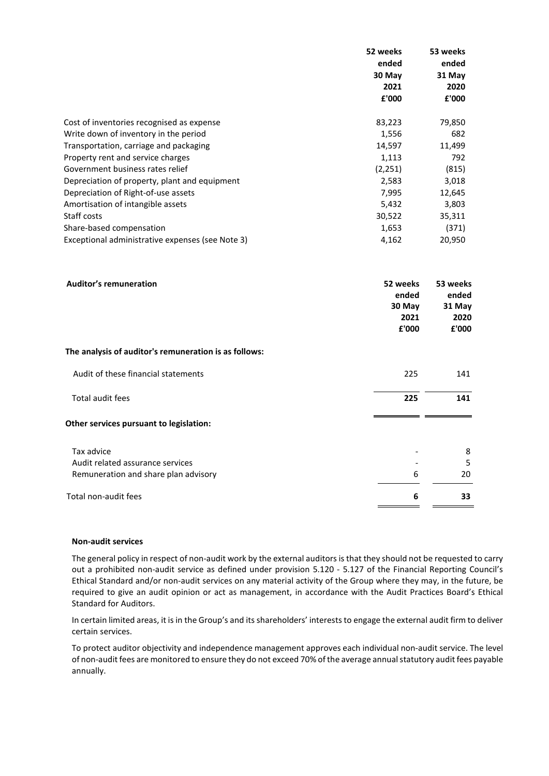|                                                       | 52 weeks<br>ended<br>30 May<br>2021<br>£'000 | 53 weeks<br>ended<br>31 May<br>2020<br>£'000 |
|-------------------------------------------------------|----------------------------------------------|----------------------------------------------|
| Cost of inventories recognised as expense             | 83,223                                       | 79,850                                       |
| Write down of inventory in the period                 | 1,556                                        | 682                                          |
| Transportation, carriage and packaging                | 14,597                                       | 11,499                                       |
| Property rent and service charges                     | 1,113                                        | 792                                          |
| Government business rates relief                      | (2, 251)                                     | (815)                                        |
| Depreciation of property, plant and equipment         | 2,583                                        | 3,018                                        |
| Depreciation of Right-of-use assets                   | 7,995                                        | 12,645                                       |
| Amortisation of intangible assets                     | 5,432                                        | 3,803                                        |
| Staff costs                                           | 30,522                                       | 35,311                                       |
| Share-based compensation                              | 1,653                                        | (371)                                        |
| Exceptional administrative expenses (see Note 3)      | 4,162                                        | 20,950                                       |
| <b>Auditor's remuneration</b>                         | 52 weeks<br>ended<br>30 May<br>2021<br>£'000 | 53 weeks<br>ended<br>31 May<br>2020<br>£'000 |
| The analysis of auditor's remuneration is as follows: |                                              |                                              |
| Audit of these financial statements                   | 225                                          | 141                                          |
| Total audit fees                                      | 225                                          | 141                                          |
| Other services pursuant to legislation:               |                                              |                                              |
| Tax advice                                            |                                              | 8                                            |
| Audit related assurance services                      |                                              | 5                                            |
| Remuneration and share plan advisory                  | 6                                            | 20                                           |
| Total non-audit fees                                  | 6                                            | 33                                           |

#### **Non-audit services**

The general policy in respect of non-audit work by the external auditors is that they should not be requested to carry out a prohibited non-audit service as defined under provision 5.120 - 5.127 of the Financial Reporting Council's Ethical Standard and/or non-audit services on any material activity of the Group where they may, in the future, be required to give an audit opinion or act as management, in accordance with the Audit Practices Board's Ethical Standard for Auditors.

In certain limited areas, it is in the Group's and its shareholders' interests to engage the external audit firm to deliver certain services.

To protect auditor objectivity and independence management approves each individual non-audit service. The level of non-audit fees are monitored to ensure they do not exceed 70% of the average annual statutory audit fees payable annually.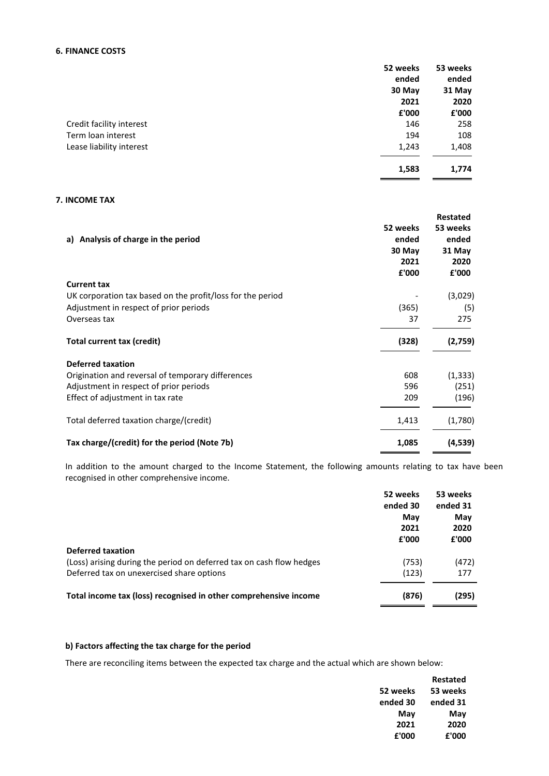# **6. FINANCE COSTS**

|                          | 52 weeks | 53 weeks |
|--------------------------|----------|----------|
|                          | ended    | ended    |
|                          | 30 May   | 31 May   |
|                          | 2021     | 2020     |
|                          | £'000    | £'000    |
| Credit facility interest | 146      | 258      |
| Term loan interest       | 194      | 108      |
| Lease liability interest | 1,243    | 1,408    |
|                          | 1,583    | 1,774    |

# **7. INCOME TAX**

|                                                            |          | Restated |
|------------------------------------------------------------|----------|----------|
|                                                            | 52 weeks | 53 weeks |
| a) Analysis of charge in the period                        | ended    | ended    |
|                                                            | 30 May   | 31 May   |
|                                                            | 2021     | 2020     |
|                                                            | £'000    | £'000    |
| <b>Current tax</b>                                         |          |          |
| UK corporation tax based on the profit/loss for the period |          | (3,029)  |
| Adjustment in respect of prior periods                     | (365)    | (5)      |
| Overseas tax                                               | 37       | 275      |
| <b>Total current tax (credit)</b>                          | (328)    | (2,759)  |
| <b>Deferred taxation</b>                                   |          |          |
| Origination and reversal of temporary differences          | 608      | (1, 333) |
| Adjustment in respect of prior periods                     | 596      | (251)    |
| Effect of adjustment in tax rate                           | 209      | (196)    |
| Total deferred taxation charge/(credit)                    | 1,413    | (1,780)  |
| Tax charge/(credit) for the period (Note 7b)               | 1,085    | (4,539)  |

In addition to the amount charged to the Income Statement, the following amounts relating to tax have been recognised in other comprehensive income.

|                                                                      | 52 weeks | 53 weeks |
|----------------------------------------------------------------------|----------|----------|
|                                                                      | ended 30 | ended 31 |
|                                                                      | May      | May      |
|                                                                      | 2021     | 2020     |
|                                                                      | £'000    | £'000    |
| <b>Deferred taxation</b>                                             |          |          |
| (Loss) arising during the period on deferred tax on cash flow hedges | (753)    | (472)    |
| Deferred tax on unexercised share options                            | (123)    | 177      |
| Total income tax (loss) recognised in other comprehensive income     | (876)    | (295)    |
|                                                                      |          |          |

# **b) Factors affecting the tax charge for the period**

There are reconciling items between the expected tax charge and the actual which are shown below:

|          | <b>Restated</b> |
|----------|-----------------|
| 52 weeks | 53 weeks        |
| ended 30 | ended 31        |
| May      | May             |
| 2021     | 2020            |
| £'000    | £'000           |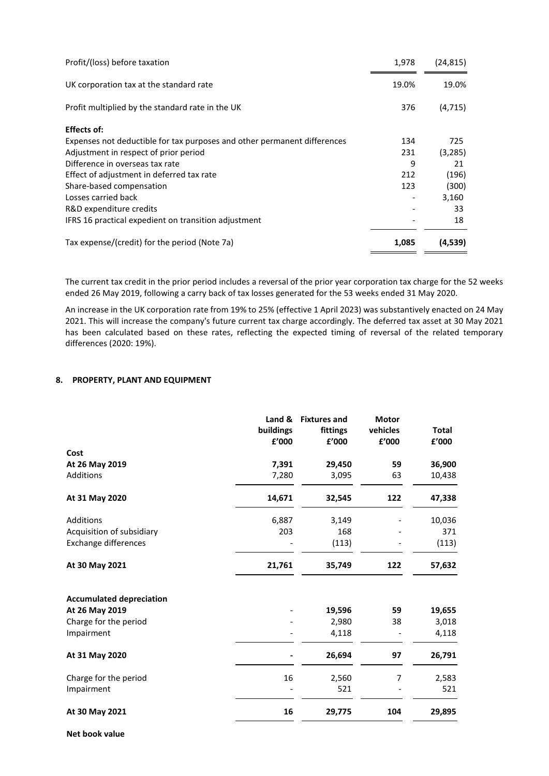| Profit/(loss) before taxation                                            | 1,978 | (24, 815) |
|--------------------------------------------------------------------------|-------|-----------|
| UK corporation tax at the standard rate                                  | 19.0% | 19.0%     |
| Profit multiplied by the standard rate in the UK                         | 376   | (4, 715)  |
| <b>Effects of:</b>                                                       |       |           |
| Expenses not deductible for tax purposes and other permanent differences | 134   | 725       |
| Adjustment in respect of prior period                                    | 231   | (3, 285)  |
| Difference in overseas tax rate                                          | 9     | 21        |
| Effect of adjustment in deferred tax rate                                | 212   | (196)     |
| Share-based compensation                                                 | 123   | (300)     |
| Losses carried back                                                      |       | 3,160     |
| R&D expenditure credits                                                  |       | 33        |
| IFRS 16 practical expedient on transition adjustment                     |       | 18        |
| Tax expense/(credit) for the period (Note 7a)                            | 1,085 | (4,539)   |

The current tax credit in the prior period includes a reversal of the prior year corporation tax charge for the 52 weeks ended 26 May 2019, following a carry back of tax losses generated for the 53 weeks ended 31 May 2020.

An increase in the UK corporation rate from 19% to 25% (effective 1 April 2023) was substantively enacted on 24 May 2021. This will increase the company's future current tax charge accordingly. The deferred tax asset at 30 May 2021 has been calculated based on these rates, reflecting the expected timing of reversal of the related temporary differences (2020: 19%).

# **8. PROPERTY, PLANT AND EQUIPMENT**

|                                 | Land &<br>buildings<br>£'000 | <b>Fixtures and</b><br>fittings<br>£'000 | <b>Motor</b><br>vehicles<br>£'000 | <b>Total</b><br>£'000 |
|---------------------------------|------------------------------|------------------------------------------|-----------------------------------|-----------------------|
| Cost                            |                              |                                          |                                   |                       |
| At 26 May 2019                  | 7,391                        | 29,450                                   | 59                                | 36,900                |
| Additions                       | 7,280                        | 3,095                                    | 63                                | 10,438                |
| At 31 May 2020                  | 14,671                       | 32,545                                   | 122                               | 47,338                |
| Additions                       | 6,887                        | 3,149                                    |                                   | 10,036                |
| Acquisition of subsidiary       | 203                          | 168                                      |                                   | 371                   |
| <b>Exchange differences</b>     |                              | (113)                                    |                                   | (113)                 |
| At 30 May 2021                  | 21,761                       | 35,749                                   | 122                               | 57,632                |
| <b>Accumulated depreciation</b> |                              |                                          |                                   |                       |
| At 26 May 2019                  |                              | 19,596                                   | 59                                | 19,655                |
| Charge for the period           |                              | 2,980                                    | 38                                | 3,018                 |
| Impairment                      |                              | 4,118                                    |                                   | 4,118                 |
| At 31 May 2020                  |                              | 26,694                                   | 97                                | 26,791                |
| Charge for the period           | 16                           | 2,560                                    | 7                                 | 2,583                 |
| Impairment                      |                              | 521                                      |                                   | 521                   |
| At 30 May 2021                  | 16                           | 29,775                                   | 104                               | 29,895                |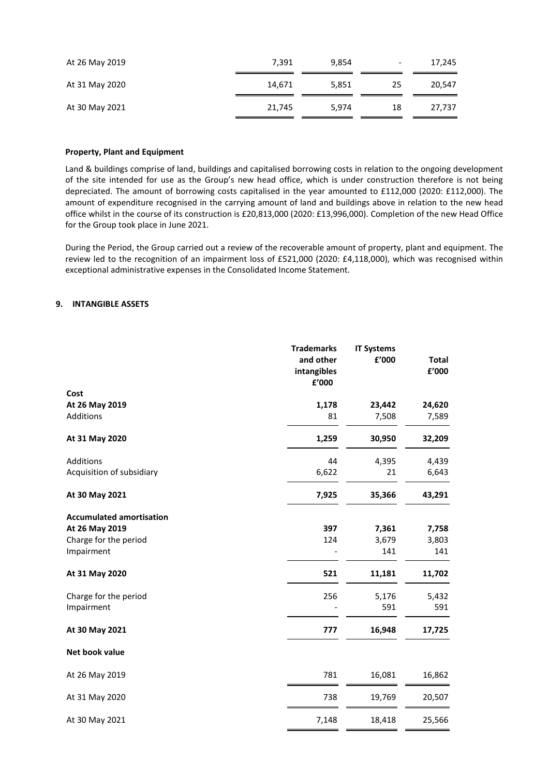| At 26 May 2019 | 7.391  | 9,854 | $\overline{\phantom{a}}$ | 17,245 |
|----------------|--------|-------|--------------------------|--------|
| At 31 May 2020 | 14.671 | 5.851 | 25                       | 20.547 |
| At 30 May 2021 | 21,745 | 5.974 | 18                       | 27,737 |

#### **Property, Plant and Equipment**

Land & buildings comprise of land, buildings and capitalised borrowing costs in relation to the ongoing development of the site intended for use as the Group's new head office, which is under construction therefore is not being depreciated. The amount of borrowing costs capitalised in the year amounted to £112,000 (2020: £112,000). The amount of expenditure recognised in the carrying amount of land and buildings above in relation to the new head office whilst in the course of its construction is £20,813,000 (2020: £13,996,000). Completion of the new Head Office for the Group took place in June 2021.

During the Period, the Group carried out a review of the recoverable amount of property, plant and equipment. The review led to the recognition of an impairment loss of £521,000 (2020: £4,118,000), which was recognised within exceptional administrative expenses in the Consolidated Income Statement.

### **9. INTANGIBLE ASSETS**

|                                 | <b>Trademarks</b><br>and other<br>intangibles<br>£'000 | <b>IT Systems</b><br>£'000 | <b>Total</b><br>${\bf f}^{\prime}$ 000 |
|---------------------------------|--------------------------------------------------------|----------------------------|----------------------------------------|
| Cost                            |                                                        |                            |                                        |
| At 26 May 2019                  | 1,178                                                  | 23,442                     | 24,620                                 |
| Additions                       | 81                                                     | 7,508                      | 7,589                                  |
| At 31 May 2020                  | 1,259                                                  | 30,950                     | 32,209                                 |
| Additions                       | 44                                                     | 4,395                      | 4,439                                  |
| Acquisition of subsidiary       | 6,622                                                  | 21                         | 6,643                                  |
| At 30 May 2021                  | 7,925                                                  | 35,366                     | 43,291                                 |
| <b>Accumulated amortisation</b> |                                                        |                            |                                        |
| At 26 May 2019                  | 397                                                    | 7,361                      | 7,758                                  |
| Charge for the period           | 124                                                    | 3,679                      | 3,803                                  |
| Impairment                      |                                                        | 141                        | 141                                    |
| At 31 May 2020                  | 521                                                    | 11,181                     | 11,702                                 |
| Charge for the period           | 256                                                    | 5,176                      | 5,432                                  |
| Impairment                      |                                                        | 591                        | 591                                    |
| At 30 May 2021                  | 777                                                    | 16,948                     | 17,725                                 |
| Net book value                  |                                                        |                            |                                        |
| At 26 May 2019                  | 781                                                    | 16,081                     | 16,862                                 |
| At 31 May 2020                  | 738                                                    | 19,769                     | 20,507                                 |
| At 30 May 2021                  | 7,148                                                  | 18,418                     | 25,566                                 |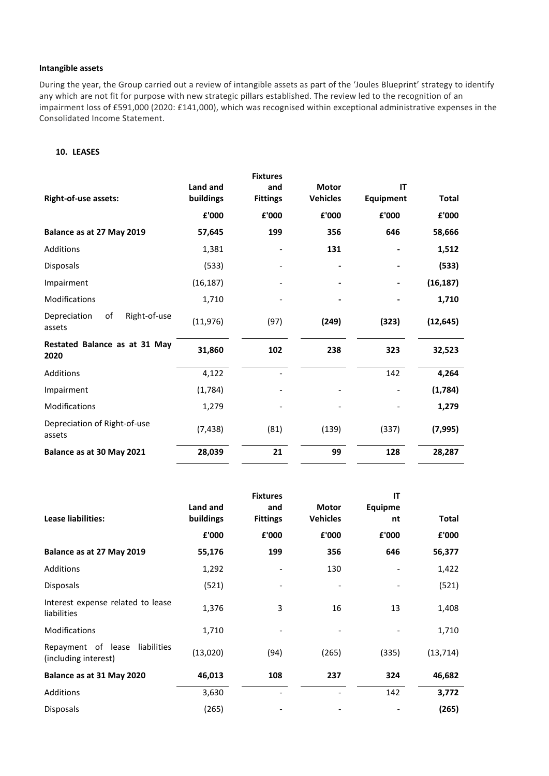# **Intangible assets**

During the year, the Group carried out a review of intangible assets as part of the 'Joules Blueprint' strategy to identify any which are not fit for purpose with new strategic pillars established. The review led to the recognition of an impairment loss of £591,000 (2020: £141,000), which was recognised within exceptional administrative expenses in the Consolidated Income Statement.

# **10. LEASES**

|                                              |                       | <b>Fixtures</b>        |                                 |                 |              |
|----------------------------------------------|-----------------------|------------------------|---------------------------------|-----------------|--------------|
| <b>Right-of-use assets:</b>                  | Land and<br>buildings | and<br><b>Fittings</b> | <b>Motor</b><br><b>Vehicles</b> | IT<br>Equipment | <b>Total</b> |
|                                              | £'000                 | £'000                  | £'000                           | £'000           | £'000        |
| Balance as at 27 May 2019                    | 57,645                | 199                    | 356                             | 646             | 58,666       |
| Additions                                    | 1,381                 |                        | 131                             |                 | 1,512        |
| Disposals                                    | (533)                 |                        |                                 |                 | (533)        |
| Impairment                                   | (16, 187)             |                        |                                 |                 | (16, 187)    |
| <b>Modifications</b>                         | 1,710                 |                        |                                 |                 | 1,710        |
| Right-of-use<br>of<br>Depreciation<br>assets | (11, 976)             | (97)                   | (249)                           | (323)           | (12, 645)    |
| Restated Balance as at 31 May<br>2020        | 31,860                | 102                    | 238                             | 323             | 32,523       |
| Additions                                    | 4,122                 |                        |                                 | 142             | 4,264        |
| Impairment                                   | (1,784)               |                        |                                 |                 | (1,784)      |
| Modifications                                | 1,279                 |                        |                                 |                 | 1,279        |
| Depreciation of Right-of-use<br>assets       | (7, 438)              | (81)                   | (139)                           | (337)           | (7,995)      |
| Balance as at 30 May 2021                    | 28,039                | 21                     | 99                              | 128             | 28,287       |

|                                                           |                       | <b>Fixtures</b>        |                                 | IT                   |              |
|-----------------------------------------------------------|-----------------------|------------------------|---------------------------------|----------------------|--------------|
| <b>Lease liabilities:</b>                                 | Land and<br>buildings | and<br><b>Fittings</b> | <b>Motor</b><br><b>Vehicles</b> | <b>Equipme</b><br>nt | <b>Total</b> |
|                                                           | £'000                 | £'000                  | £'000                           | £'000                | £'000        |
| Balance as at 27 May 2019                                 | 55,176                | 199                    | 356                             | 646                  | 56,377       |
| <b>Additions</b>                                          | 1,292                 |                        | 130                             |                      | 1,422        |
| <b>Disposals</b>                                          | (521)                 |                        |                                 |                      | (521)        |
| Interest expense related to lease<br>liabilities          | 1,376                 | 3                      | 16                              | 13                   | 1,408        |
| <b>Modifications</b>                                      | 1,710                 |                        |                                 |                      | 1,710        |
| Repayment of lease<br>liabilities<br>(including interest) | (13,020)              | (94)                   | (265)                           | (335)                | (13, 714)    |
| Balance as at 31 May 2020                                 | 46,013                | 108                    | 237                             | 324                  | 46,682       |
| Additions                                                 | 3,630                 |                        |                                 | 142                  | 3,772        |
| <b>Disposals</b>                                          | (265)                 |                        |                                 |                      | (265)        |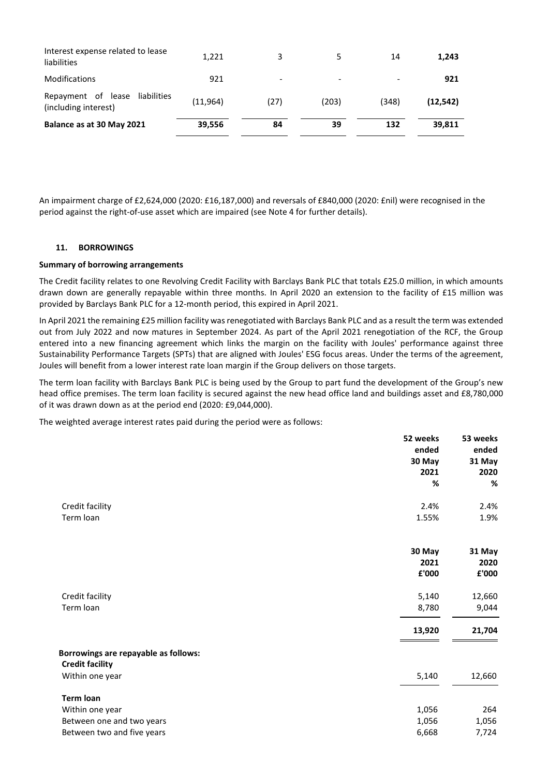| Repayment of lease<br>liabilities<br>(including interest) | (11, 964) | (27) | (203) | (348) | (12.542) |
|-----------------------------------------------------------|-----------|------|-------|-------|----------|
| Balance as at 30 May 2021                                 | 39,556    | 84   | 39    | 132   | 39,811   |

An impairment charge of £2,624,000 (2020: £16,187,000) and reversals of £840,000 (2020: £nil) were recognised in the period against the right-of-use asset which are impaired (see Note 4 for further details).

# **11. BORROWINGS**

### **Summary of borrowing arrangements**

The Credit facility relates to one Revolving Credit Facility with Barclays Bank PLC that totals £25.0 million, in which amounts drawn down are generally repayable within three months. In April 2020 an extension to the facility of £15 million was provided by Barclays Bank PLC for a 12-month period, this expired in April 2021.

In April 2021 the remaining £25 million facility was renegotiated with Barclays Bank PLC and as a result the term was extended out from July 2022 and now matures in September 2024. As part of the April 2021 renegotiation of the RCF, the Group entered into a new financing agreement which links the margin on the facility with Joules' performance against three Sustainability Performance Targets (SPTs) that are aligned with Joules' ESG focus areas. Under the terms of the agreement, Joules will benefit from a lower interest rate loan margin if the Group delivers on those targets.

The term loan facility with Barclays Bank PLC is being used by the Group to part fund the development of the Group's new head office premises. The term loan facility is secured against the new head office land and buildings asset and £8,780,000 of it was drawn down as at the period end (2020: £9,044,000).

The weighted average interest rates paid during the period were as follows:

|                                      | 52 weeks | 53 weeks |
|--------------------------------------|----------|----------|
|                                      | ended    | ended    |
|                                      | 30 May   | 31 May   |
|                                      | 2021     | 2020     |
|                                      | %        | %        |
| Credit facility                      | 2.4%     | 2.4%     |
| Term loan                            | 1.55%    | 1.9%     |
|                                      | 30 May   | 31 May   |
|                                      | 2021     | 2020     |
|                                      | £'000    | £'000    |
|                                      |          |          |
| Credit facility                      | 5,140    | 12,660   |
| Term loan                            | 8,780    | 9,044    |
|                                      | 13,920   | 21,704   |
| Borrowings are repayable as follows: |          |          |
| <b>Credit facility</b>               |          |          |
| Within one year                      | 5,140    | 12,660   |
| <b>Term loan</b>                     |          |          |
| Within one year                      | 1,056    | 264      |
| Between one and two years            | 1,056    | 1,056    |
| Between two and five years           | 6,668    | 7,724    |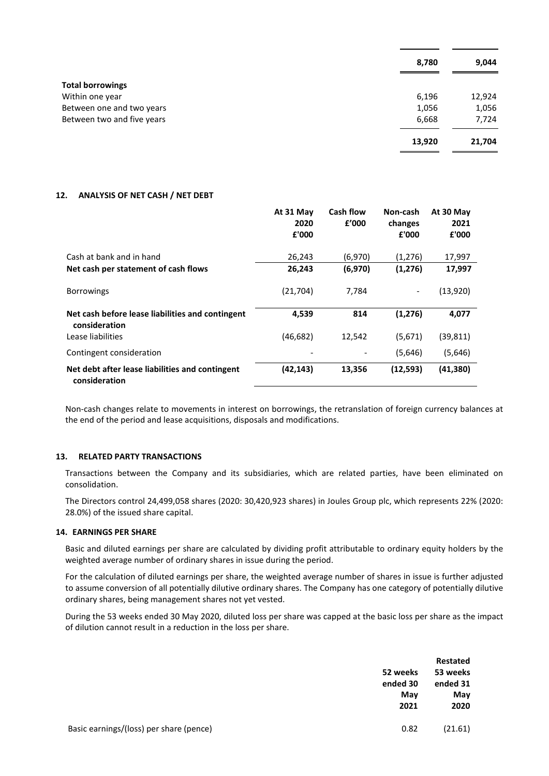|                            | 8,780  | 9,044  |
|----------------------------|--------|--------|
| <b>Total borrowings</b>    |        |        |
| Within one year            | 6,196  | 12,924 |
| Between one and two years  | 1,056  | 1,056  |
| Between two and five years | 6,668  | 7,724  |
|                            | 13,920 | 21,704 |

#### **12. ANALYSIS OF NET CASH / NET DEBT**

|                                                                   | At 31 May<br>2020<br>£'000 | <b>Cash flow</b><br>£'000 | Non-cash<br>changes<br>£'000 | At 30 May<br>2021<br>£'000 |
|-------------------------------------------------------------------|----------------------------|---------------------------|------------------------------|----------------------------|
| Cash at bank and in hand                                          | 26,243                     | (6,970)                   | (1,276)                      | 17,997                     |
| Net cash per statement of cash flows                              | 26,243                     | (6,970)                   | (1,276)                      | 17,997                     |
| <b>Borrowings</b>                                                 | (21, 704)                  | 7,784                     |                              | (13,920)                   |
| Net cash before lease liabilities and contingent<br>consideration | 4,539                      | 814                       | (1, 276)                     | 4,077                      |
| Lease liabilities                                                 | (46, 682)                  | 12,542                    | (5,671)                      | (39, 811)                  |
| Contingent consideration                                          |                            |                           | (5,646)                      | (5,646)                    |
| Net debt after lease liabilities and contingent<br>consideration  | (42,143)                   | 13,356                    | (12, 593)                    | (41,380)                   |

Non-cash changes relate to movements in interest on borrowings, the retranslation of foreign currency balances at the end of the period and lease acquisitions, disposals and modifications.

# **13. RELATED PARTY TRANSACTIONS**

Transactions between the Company and its subsidiaries, which are related parties, have been eliminated on consolidation.

The Directors control 24,499,058 shares (2020: 30,420,923 shares) in Joules Group plc, which represents 22% (2020: 28.0%) of the issued share capital.

# **14. EARNINGS PER SHARE**

Basic and diluted earnings per share are calculated by dividing profit attributable to ordinary equity holders by the weighted average number of ordinary shares in issue during the period.

For the calculation of diluted earnings per share, the weighted average number of shares in issue is further adjusted to assume conversion of all potentially dilutive ordinary shares. The Company has one category of potentially dilutive ordinary shares, being management shares not yet vested.

During the 53 weeks ended 30 May 2020, diluted loss per share was capped at the basic loss per share as the impact of dilution cannot result in a reduction in the loss per share.

|                                         |          | Restated |
|-----------------------------------------|----------|----------|
|                                         | 52 weeks | 53 weeks |
|                                         | ended 30 | ended 31 |
|                                         | May      | May      |
|                                         | 2021     | 2020     |
| Basic earnings/(loss) per share (pence) | 0.82     | (21.61)  |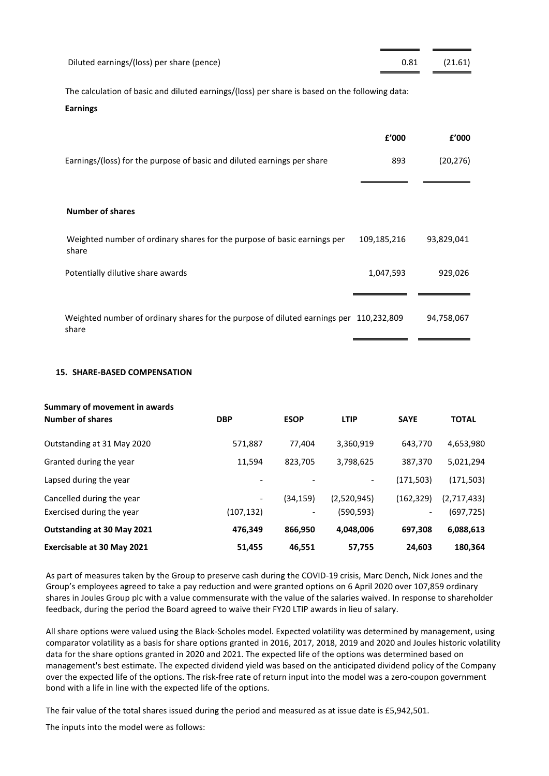| Diluted earnings/(loss) per share (pence)                                                                         |             | 0.81      | (21.61)    |
|-------------------------------------------------------------------------------------------------------------------|-------------|-----------|------------|
| The calculation of basic and diluted earnings/(loss) per share is based on the following data:<br><b>Earnings</b> |             |           |            |
|                                                                                                                   |             | f'000     | £'000      |
| Earnings/(loss) for the purpose of basic and diluted earnings per share                                           |             | 893       | (20, 276)  |
|                                                                                                                   |             |           |            |
| <b>Number of shares</b>                                                                                           |             |           |            |
| Weighted number of ordinary shares for the purpose of basic earnings per<br>share                                 | 109,185,216 |           | 93,829,041 |
| Potentially dilutive share awards                                                                                 |             | 1,047,593 | 929,026    |
|                                                                                                                   |             |           |            |
| Weighted number of ordinary shares for the purpose of diluted earnings per 110,232,809<br>share                   |             |           | 94,758,067 |

### **15. SHARE-BASED COMPENSATION**

| Summary of movement in awards     |            |                          |             |                          |              |
|-----------------------------------|------------|--------------------------|-------------|--------------------------|--------------|
| <b>Number of shares</b>           | <b>DBP</b> | <b>ESOP</b>              | <b>LTIP</b> | <b>SAYE</b>              | <b>TOTAL</b> |
| Outstanding at 31 May 2020        | 571,887    | 77.404                   | 3,360,919   | 643,770                  | 4,653,980    |
| Granted during the year           | 11,594     | 823,705                  | 3,798,625   | 387,370                  | 5,021,294    |
| Lapsed during the year            |            |                          | -           | (171, 503)               | (171, 503)   |
| Cancelled during the year         |            | (34, 159)                | (2,520,945) | (162, 329)               | (2,717,433)  |
| Exercised during the year         | (107, 132) | $\overline{\phantom{a}}$ | (590, 593)  | $\overline{\phantom{a}}$ | (697, 725)   |
| Outstanding at 30 May 2021        | 476,349    | 866,950                  | 4,048,006   | 697,308                  | 6,088,613    |
| <b>Exercisable at 30 May 2021</b> | 51,455     | 46,551                   | 57,755      | 24,603                   | 180,364      |

As part of measures taken by the Group to preserve cash during the COVID-19 crisis, Marc Dench, Nick Jones and the Group's employees agreed to take a pay reduction and were granted options on 6 April 2020 over 107,859 ordinary shares in Joules Group plc with a value commensurate with the value of the salaries waived. In response to shareholder feedback, during the period the Board agreed to waive their FY20 LTIP awards in lieu of salary.

All share options were valued using the Black-Scholes model. Expected volatility was determined by management, using comparator volatility as a basis for share options granted in 2016, 2017, 2018, 2019 and 2020 and Joules historic volatility data for the share options granted in 2020 and 2021. The expected life of the options was determined based on management's best estimate. The expected dividend yield was based on the anticipated dividend policy of the Company over the expected life of the options. The risk-free rate of return input into the model was a zero-coupon government bond with a life in line with the expected life of the options.

The fair value of the total shares issued during the period and measured as at issue date is £5,942,501.

The inputs into the model were as follows: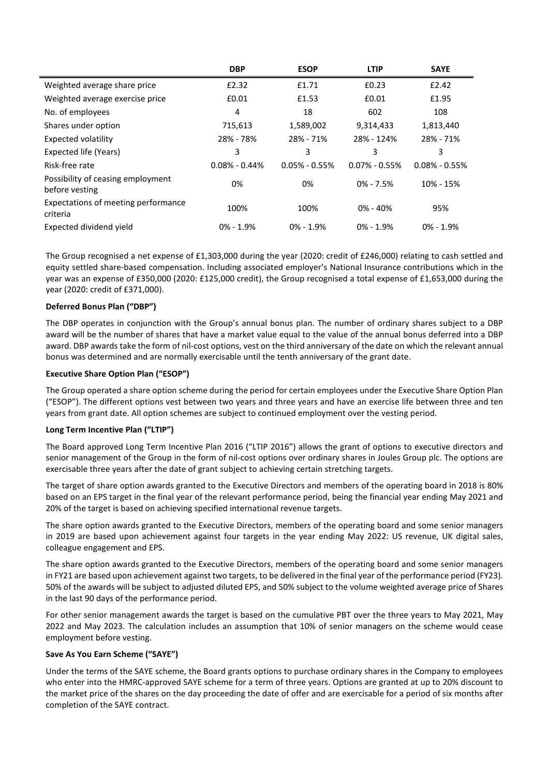|                                                     | <b>DBP</b>        | <b>ESOP</b>       | <b>LTIP</b>       | <b>SAYE</b>       |
|-----------------------------------------------------|-------------------|-------------------|-------------------|-------------------|
| Weighted average share price                        | £2.32             | £1.71             | £0.23             | £2.42             |
| Weighted average exercise price                     | £0.01             | £1.53             | £0.01             | £1.95             |
| No. of employees                                    | 4                 | 18                | 602               | 108               |
| Shares under option                                 | 715,613           | 1,589,002         | 9,314,433         | 1,813,440         |
| <b>Expected volatility</b>                          | 28% - 78%         | 28% - 71%         | 28% - 124%        | 28% - 71%         |
| Expected life (Years)                               | 3                 | 3                 | 3                 | 3                 |
| Risk-free rate                                      | $0.08\% - 0.44\%$ | $0.05\% - 0.55\%$ | $0.07\% - 0.55\%$ | $0.08\% - 0.55\%$ |
| Possibility of ceasing employment<br>before vesting | 0%                | 0%                | $0\% - 7.5\%$     | 10% - 15%         |
| Expectations of meeting performance<br>criteria     | 100%              | 100%              | $0\% - 40\%$      | 95%               |
| Expected dividend yield                             | $0\% - 1.9\%$     | $0\% - 1.9\%$     | $0\% - 1.9\%$     | $0\% - 1.9\%$     |

The Group recognised a net expense of £1,303,000 during the year (2020: credit of £246,000) relating to cash settled and equity settled share-based compensation. Including associated employer's National Insurance contributions which in the year was an expense of £350,000 (2020: £125,000 credit), the Group recognised a total expense of £1,653,000 during the year (2020: credit of £371,000).

# **Deferred Bonus Plan ("DBP")**

The DBP operates in conjunction with the Group's annual bonus plan. The number of ordinary shares subject to a DBP award will be the number of shares that have a market value equal to the value of the annual bonus deferred into a DBP award. DBP awards take the form of nil-cost options, vest on the third anniversary of the date on which the relevant annual bonus was determined and are normally exercisable until the tenth anniversary of the grant date.

# **Executive Share Option Plan ("ESOP")**

The Group operated a share option scheme during the period for certain employees under the Executive Share Option Plan ("ESOP"). The different options vest between two years and three years and have an exercise life between three and ten years from grant date. All option schemes are subject to continued employment over the vesting period.

# **Long Term Incentive Plan ("LTIP")**

The Board approved Long Term Incentive Plan 2016 ("LTIP 2016") allows the grant of options to executive directors and senior management of the Group in the form of nil-cost options over ordinary shares in Joules Group plc. The options are exercisable three years after the date of grant subject to achieving certain stretching targets.

The target of share option awards granted to the Executive Directors and members of the operating board in 2018 is 80% based on an EPS target in the final year of the relevant performance period, being the financial year ending May 2021 and 20% of the target is based on achieving specified international revenue targets.

The share option awards granted to the Executive Directors, members of the operating board and some senior managers in 2019 are based upon achievement against four targets in the year ending May 2022: US revenue, UK digital sales, colleague engagement and EPS.

The share option awards granted to the Executive Directors, members of the operating board and some senior managers in FY21 are based upon achievement against two targets, to be delivered in the final year of the performance period (FY23). 50% of the awards will be subject to adjusted diluted EPS, and 50% subject to the volume weighted average price of Shares in the last 90 days of the performance period.

For other senior management awards the target is based on the cumulative PBT over the three years to May 2021, May 2022 and May 2023. The calculation includes an assumption that 10% of senior managers on the scheme would cease employment before vesting.

# **Save As You Earn Scheme ("SAYE")**

Under the terms of the SAYE scheme, the Board grants options to purchase ordinary shares in the Company to employees who enter into the HMRC-approved SAYE scheme for a term of three years. Options are granted at up to 20% discount to the market price of the shares on the day proceeding the date of offer and are exercisable for a period of six months after completion of the SAYE contract.